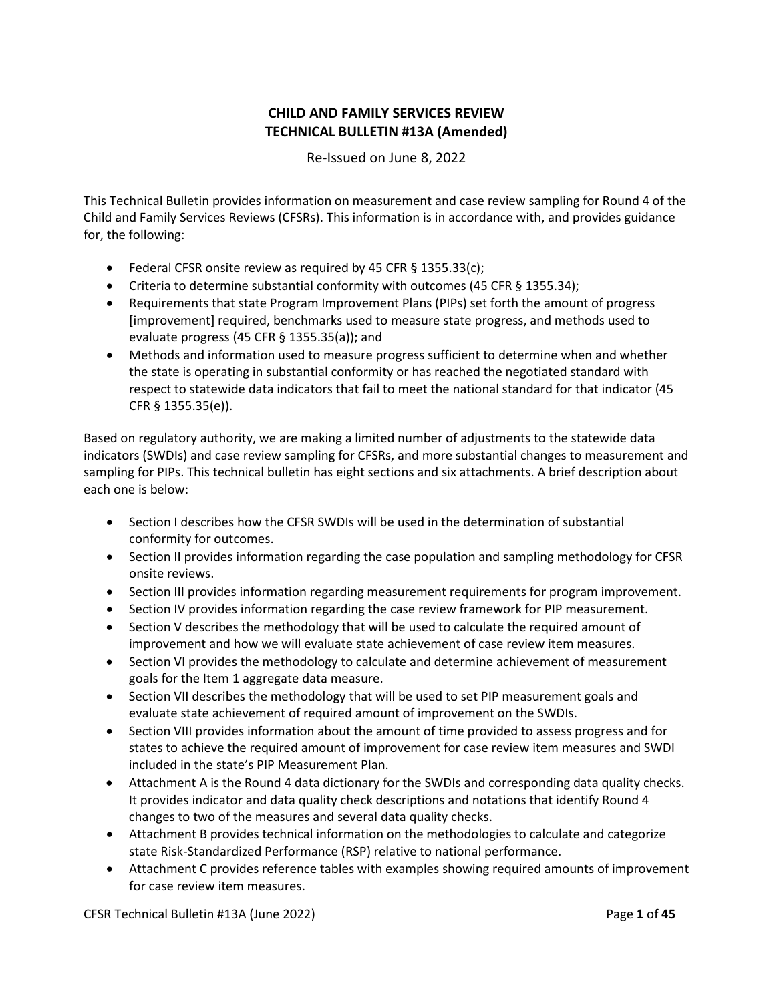# **CHILD AND FAMILY SERVICES REVIEW TECHNICAL BULLETIN #13A (Amended)**

Re-Issued on June 8, 2022

This Technical Bulletin provides information on measurement and case review sampling for Round 4 of the Child and Family Services Reviews (CFSRs). This information is in accordance with, and provides guidance for, the following:

- Federal CFSR onsite review as required by 45 CFR § 1355.33(c);
- Criteria to determine substantial conformity with outcomes (45 CFR § 1355.34);
- Requirements that state Program Improvement Plans (PIPs) set forth the amount of progress [improvement] required, benchmarks used to measure state progress, and methods used to evaluate progress (45 CFR § 1355.35(a)); and
- Methods and information used to measure progress sufficient to determine when and whether the state is operating in substantial conformity or has reached the negotiated standard with respect to statewide data indicators that fail to meet the national standard for that indicator (45 CFR § 1355.35(e)).

Based on regulatory authority, we are making a limited number of adjustments to the statewide data indicators (SWDIs) and case review sampling for CFSRs, and more substantial changes to measurement and sampling for PIPs. This technical bulletin has eight sections and six attachments. A brief description about each one is below:

- Section I describes how the CFSR SWDIs will be used in the determination of substantial conformity for outcomes.
- Section II provides information regarding the case population and sampling methodology for CFSR onsite reviews.
- Section III provides information regarding measurement requirements for program improvement.
- Section IV provides information regarding the case review framework for PIP measurement.
- Section V describes the methodology that will be used to calculate the required amount of improvement and how we will evaluate state achievement of case review item measures.
- Section VI provides the methodology to calculate and determine achievement of measurement goals for the Item 1 aggregate data measure.
- Section VII describes the methodology that will be used to set PIP measurement goals and evaluate state achievement of required amount of improvement on the SWDIs.
- Section VIII provides information about the amount of time provided to assess progress and for states to achieve the required amount of improvement for case review item measures and SWDI included in the state's PIP Measurement Plan.
- Attachment A is the Round 4 data dictionary for the SWDIs and corresponding data quality checks. It provides indicator and data quality check descriptions and notations that identify Round 4 changes to two of the measures and several data quality checks.
- Attachment B provides technical information on the methodologies to calculate and categorize state Risk-Standardized Performance (RSP) relative to national performance.
- Attachment C provides reference tables with examples showing required amounts of improvement for case review item measures.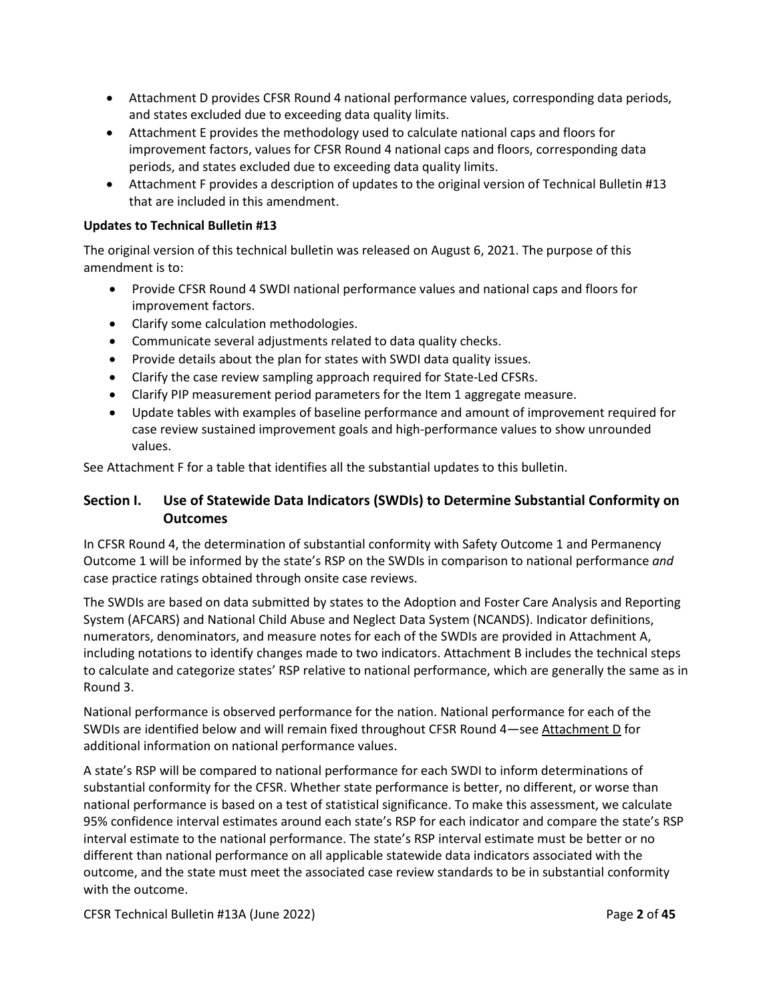- Attachment D provides CFSR Round 4 national performance values, corresponding data periods, and states excluded due to exceeding data quality limits.
- Attachment E provides the methodology used to calculate national caps and floors for improvement factors, values for CFSR Round 4 national caps and floors, corresponding data periods, and states excluded due to exceeding data quality limits.
- Attachment F provides a description of updates to the original version of Technical Bulletin #13 that are included in this amendment.

# **Updates to Technical Bulletin #13**

The original version of this technical bulletin was released on August 6, 2021. The purpose of this amendment is to:

- Provide CFSR Round 4 SWDI national performance values and national caps and floors for improvement factors.
- Clarify some calculation methodologies.
- Communicate several adjustments related to data quality checks.
- Provide details about the plan for states with SWDI data quality issues.
- Clarify the case review sampling approach required for State-Led CFSRs.
- Clarify PIP measurement period parameters for the Item 1 aggregate measure.
- Update tables with examples of baseline performance and amount of improvement required for case review sustained improvement goals and high-performance values to show unrounded values.

See Attachment F for a table that identifies all the substantial updates to this bulletin.

# **Section I. Use of Statewide Data Indicators (SWDIs) to Determine Substantial Conformity on Outcomes**

In CFSR Round 4, the determination of substantial conformity with Safety Outcome 1 and Permanency Outcome 1 will be informed by the state's RSP on the SWDIs in comparison to national performance *and* case practice ratings obtained through onsite case reviews.

The SWDIs are based on data submitted by states to the Adoption and Foster Care Analysis and Reporting System (AFCARS) and National Child Abuse and Neglect Data System (NCANDS). Indicator definitions, numerators, denominators, and measure notes for each of the SWDIs are provided in Attachment A, including notations to identify changes made to two indicators. Attachment B includes the technical steps to calculate and categorize states' RSP relative to national performance, which are generally the same as in Round 3.

National performance is observed performance for the nation. National performance for each of the SWDIs are identified below and will remain fixed throughout CFSR Round 4—see [Attachment D](#page-39-0) for additional information on national performance values.

A state's RSP will be compared to national performance for each SWDI to inform determinations of substantial conformity for the CFSR. Whether state performance is better, no different, or worse than national performance is based on a test of statistical significance. To make this assessment, we calculate 95% confidence interval estimates around each state's RSP for each indicator and compare the state's RSP interval estimate to the national performance. The state's RSP interval estimate must be better or no different than national performance on all applicable statewide data indicators associated with the outcome, and the state must meet the associated case review standards to be in substantial conformity with the outcome.

CFSR Technical Bulletin #13A (June 2022) Page **2** of **45**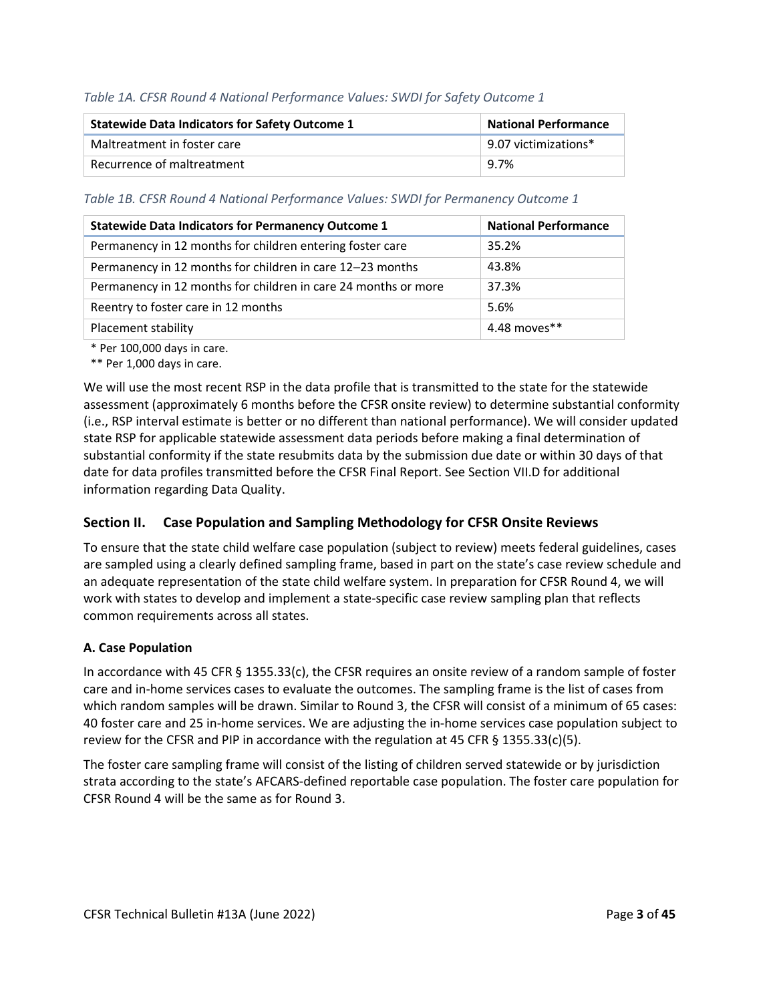## *Table 1A. CFSR Round 4 National Performance Values: SWDI for Safety Outcome 1*

| <b>Statewide Data Indicators for Safety Outcome 1</b> | <b>National Performance</b>  |
|-------------------------------------------------------|------------------------------|
| Maltreatment in foster care                           | $\vert$ 9.07 victimizations* |
| Recurrence of maltreatment                            | $9.7\%$                      |

*Table 1B. CFSR Round 4 National Performance Values: SWDI for Permanency Outcome 1*

| <b>Statewide Data Indicators for Permanency Outcome 1</b>      | <b>National Performance</b> |
|----------------------------------------------------------------|-----------------------------|
| Permanency in 12 months for children entering foster care      | 35.2%                       |
| Permanency in 12 months for children in care 12-23 months      | 43.8%                       |
| Permanency in 12 months for children in care 24 months or more | 37.3%                       |
| Reentry to foster care in 12 months                            | 5.6%                        |
| Placement stability                                            | 4.48 moves**                |

\* Per 100,000 days in care.

\*\* Per 1,000 days in care.

We will use the most recent RSP in the data profile that is transmitted to the state for the statewide assessment (approximately 6 months before the CFSR onsite review) to determine substantial conformity (i.e., RSP interval estimate is better or no different than national performance). We will consider updated state RSP for applicable statewide assessment data periods before making a final determination of substantial conformity if the state resubmits data by the submission due date or within 30 days of that date for data profiles transmitted before the CFSR Final Report. See Section VII.D for additional information regarding Data Quality.

## **Section II. Case Population and Sampling Methodology for CFSR Onsite Reviews**

To ensure that the state child welfare case population (subject to review) meets federal guidelines, cases are sampled using a clearly defined sampling frame, based in part on the state's case review schedule and an adequate representation of the state child welfare system. In preparation for CFSR Round 4, we will work with states to develop and implement a state-specific case review sampling plan that reflects common requirements across all states.

## **A. Case Population**

In accordance with 45 CFR § 1355.33(c), the CFSR requires an onsite review of a random sample of foster care and in-home services cases to evaluate the outcomes. The sampling frame is the list of cases from which random samples will be drawn. Similar to Round 3, the CFSR will consist of a minimum of 65 cases: 40 foster care and 25 in-home services. We are adjusting the in-home services case population subject to review for the CFSR and PIP in accordance with the regulation at 45 CFR § 1355.33(c)(5).

The foster care sampling frame will consist of the listing of children served statewide or by jurisdiction strata according to the state's AFCARS-defined reportable case population. The foster care population for CFSR Round 4 will be the same as for Round 3.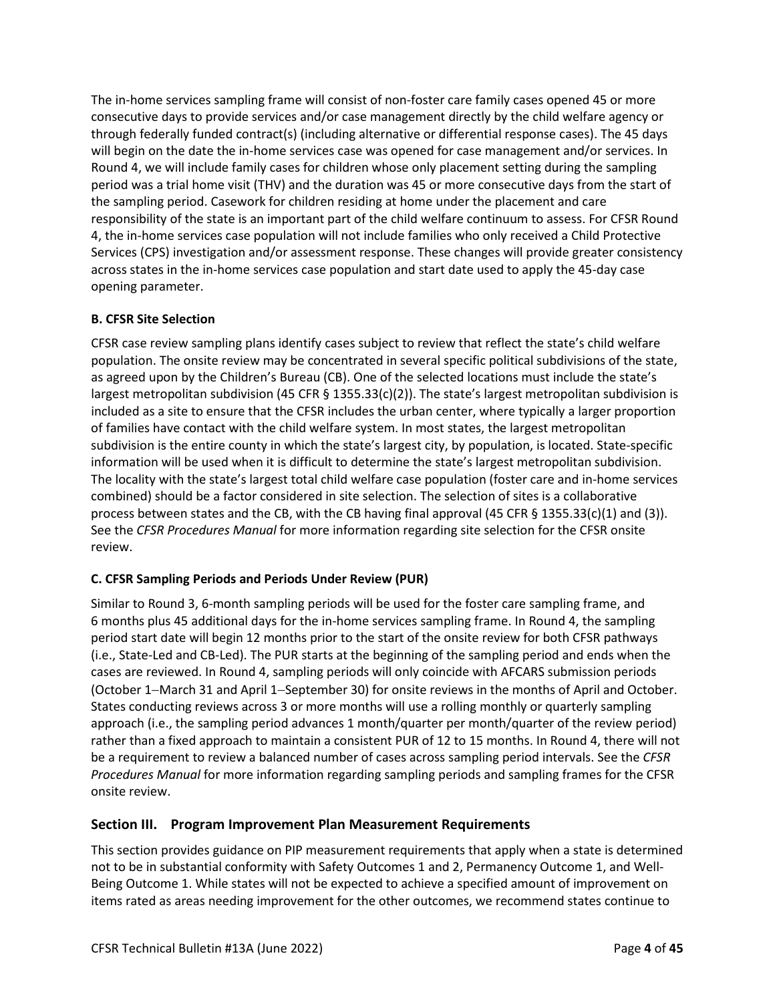The in-home services sampling frame will consist of non-foster care family cases opened 45 or more consecutive days to provide services and/or case management directly by the child welfare agency or through federally funded contract(s) (including alternative or differential response cases). The 45 days will begin on the date the in-home services case was opened for case management and/or services. In Round 4, we will include family cases for children whose only placement setting during the sampling period was a trial home visit (THV) and the duration was 45 or more consecutive days from the start of the sampling period. Casework for children residing at home under the placement and care responsibility of the state is an important part of the child welfare continuum to assess. For CFSR Round 4, the in-home services case population will not include families who only received a Child Protective Services (CPS) investigation and/or assessment response. These changes will provide greater consistency across states in the in-home services case population and start date used to apply the 45-day case opening parameter.

# **B. CFSR Site Selection**

CFSR case review sampling plans identify cases subject to review that reflect the state's child welfare population. The onsite review may be concentrated in several specific political subdivisions of the state, as agreed upon by the Children's Bureau (CB). One of the selected locations must include the state's largest metropolitan subdivision (45 CFR  $\S$  1355.33(c)(2)). The state's largest metropolitan subdivision is included as a site to ensure that the CFSR includes the urban center, where typically a larger proportion of families have contact with the child welfare system. In most states, the largest metropolitan subdivision is the entire county in which the state's largest city, by population, is located. State-specific information will be used when it is difficult to determine the state's largest metropolitan subdivision. The locality with the state's largest total child welfare case population (foster care and in-home services combined) should be a factor considered in site selection. The selection of sites is a collaborative process between states and the CB, with the CB having final approval (45 CFR § 1355.33(c)(1) and (3)). See the *CFSR Procedures Manual* for more information regarding site selection for the CFSR onsite review.

## **C. CFSR Sampling Periods and Periods Under Review (PUR)**

Similar to Round 3, 6-month sampling periods will be used for the foster care sampling frame, and 6 months plus 45 additional days for the in-home services sampling frame. In Round 4, the sampling period start date will begin 12 months prior to the start of the onsite review for both CFSR pathways (i.e., State-Led and CB-Led). The PUR starts at the beginning of the sampling period and ends when the cases are reviewed. In Round 4, sampling periods will only coincide with AFCARS submission periods (October 1−March 31 and April 1−September 30) for onsite reviews in the months of April and October. States conducting reviews across 3 or more months will use a rolling monthly or quarterly sampling approach (i.e., the sampling period advances 1 month/quarter per month/quarter of the review period) rather than a fixed approach to maintain a consistent PUR of 12 to 15 months. In Round 4, there will not be a requirement to review a balanced number of cases across sampling period intervals. See the *CFSR Procedures Manual* for more information regarding sampling periods and sampling frames for the CFSR onsite review.

# **Section III. Program Improvement Plan Measurement Requirements**

This section provides guidance on PIP measurement requirements that apply when a state is determined not to be in substantial conformity with Safety Outcomes 1 and 2, Permanency Outcome 1, and Well-Being Outcome 1. While states will not be expected to achieve a specified amount of improvement on items rated as areas needing improvement for the other outcomes, we recommend states continue to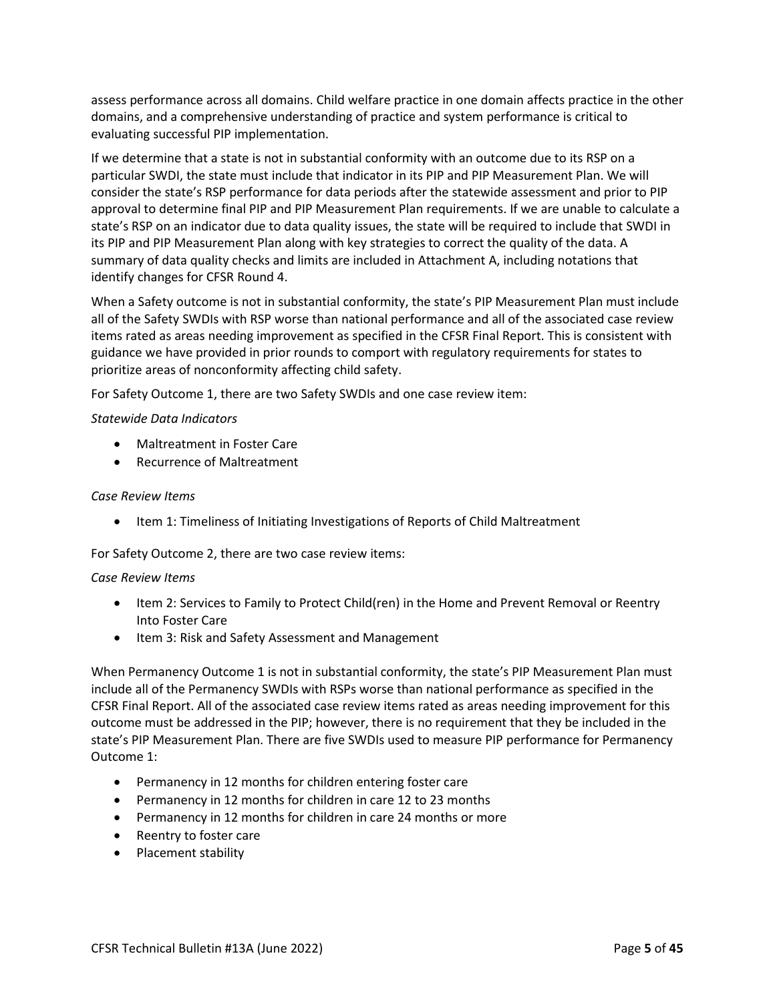assess performance across all domains. Child welfare practice in one domain affects practice in the other domains, and a comprehensive understanding of practice and system performance is critical to evaluating successful PIP implementation.

If we determine that a state is not in substantial conformity with an outcome due to its RSP on a particular SWDI, the state must include that indicator in its PIP and PIP Measurement Plan. We will consider the state's RSP performance for data periods after the statewide assessment and prior to PIP approval to determine final PIP and PIP Measurement Plan requirements. If we are unable to calculate a state's RSP on an indicator due to data quality issues, the state will be required to include that SWDI in its PIP and PIP Measurement Plan along with key strategies to correct the quality of the data. A summary of data quality checks and limits are included in Attachment A, including notations that identify changes for CFSR Round 4.

When a Safety outcome is not in substantial conformity, the state's PIP Measurement Plan must include all of the Safety SWDIs with RSP worse than national performance and all of the associated case review items rated as areas needing improvement as specified in the CFSR Final Report. This is consistent with guidance we have provided in prior rounds to comport with regulatory requirements for states to prioritize areas of nonconformity affecting child safety.

For Safety Outcome 1, there are two Safety SWDIs and one case review item:

#### *Statewide Data Indicators*

- Maltreatment in Foster Care
- Recurrence of Maltreatment

#### *Case Review Items*

• Item 1: Timeliness of Initiating Investigations of Reports of Child Maltreatment

## For Safety Outcome 2, there are two case review items:

#### *Case Review Items*

- Item 2: Services to Family to Protect Child(ren) in the Home and Prevent Removal or Reentry Into Foster Care
- Item 3: Risk and Safety Assessment and Management

When Permanency Outcome 1 is not in substantial conformity, the state's PIP Measurement Plan must include all of the Permanency SWDIs with RSPs worse than national performance as specified in the CFSR Final Report. All of the associated case review items rated as areas needing improvement for this outcome must be addressed in the PIP; however, there is no requirement that they be included in the state's PIP Measurement Plan. There are five SWDIs used to measure PIP performance for Permanency Outcome 1:

- Permanency in 12 months for children entering foster care
- Permanency in 12 months for children in care 12 to 23 months
- Permanency in 12 months for children in care 24 months or more
- Reentry to foster care
- Placement stability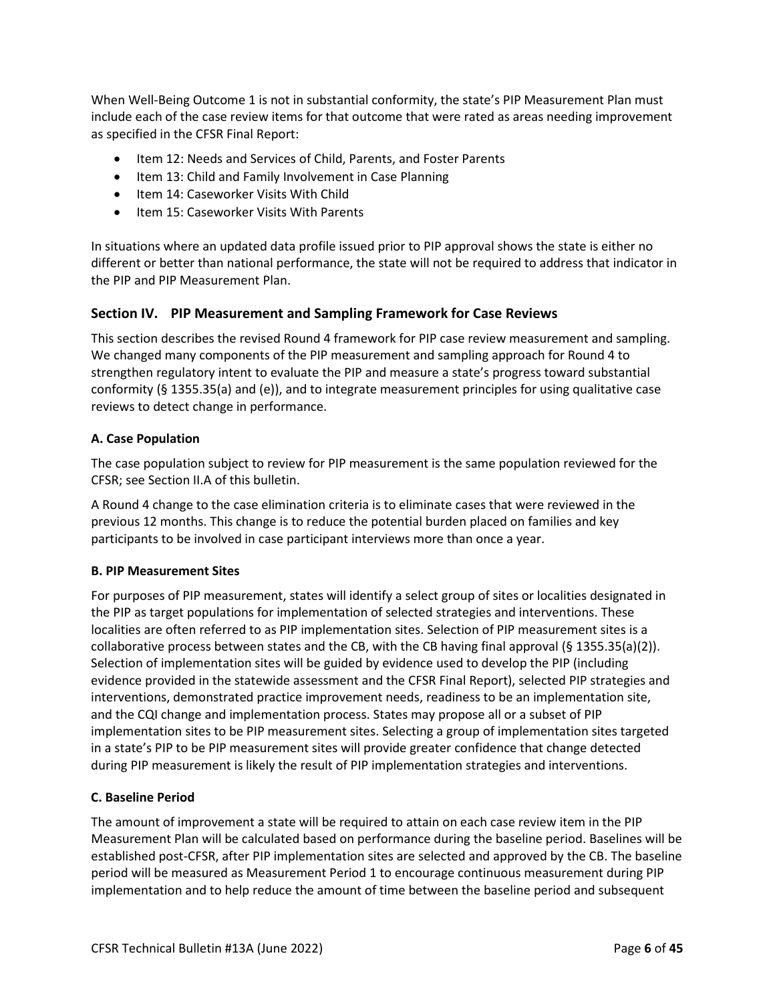When Well-Being Outcome 1 is not in substantial conformity, the state's PIP Measurement Plan must include each of the case review items for that outcome that were rated as areas needing improvement as specified in the CFSR Final Report:

- Item 12: Needs and Services of Child, Parents, and Foster Parents
- Item 13: Child and Family Involvement in Case Planning
- Item 14: Caseworker Visits With Child
- Item 15: Caseworker Visits With Parents

In situations where an updated data profile issued prior to PIP approval shows the state is either no different or better than national performance, the state will not be required to address that indicator in the PIP and PIP Measurement Plan.

## **Section IV. PIP Measurement and Sampling Framework for Case Reviews**

This section describes the revised Round 4 framework for PIP case review measurement and sampling. We changed many components of the PIP measurement and sampling approach for Round 4 to strengthen regulatory intent to evaluate the PIP and measure a state's progress toward substantial conformity (§ 1355.35(a) and (e)), and to integrate measurement principles for using qualitative case reviews to detect change in performance.

#### **A. Case Population**

The case population subject to review for PIP measurement is the same population reviewed for the CFSR; see Section II.A of this bulletin.

A Round 4 change to the case elimination criteria is to eliminate cases that were reviewed in the previous 12 months. This change is to reduce the potential burden placed on families and key participants to be involved in case participant interviews more than once a year.

## **B. PIP Measurement Sites**

For purposes of PIP measurement, states will identify a select group of sites or localities designated in the PIP as target populations for implementation of selected strategies and interventions. These localities are often referred to as PIP implementation sites. Selection of PIP measurement sites is a collaborative process between states and the CB, with the CB having final approval (§ 1355.35(a)(2)). Selection of implementation sites will be guided by evidence used to develop the PIP (including evidence provided in the statewide assessment and the CFSR Final Report), selected PIP strategies and interventions, demonstrated practice improvement needs, readiness to be an implementation site, and the CQI change and implementation process. States may propose all or a subset of PIP implementation sites to be PIP measurement sites. Selecting a group of implementation sites targeted in a state's PIP to be PIP measurement sites will provide greater confidence that change detected during PIP measurement is likely the result of PIP implementation strategies and interventions.

## **C. Baseline Period**

The amount of improvement a state will be required to attain on each case review item in the PIP Measurement Plan will be calculated based on performance during the baseline period. Baselines will be established post-CFSR, after PIP implementation sites are selected and approved by the CB. The baseline period will be measured as Measurement Period 1 to encourage continuous measurement during PIP implementation and to help reduce the amount of time between the baseline period and subsequent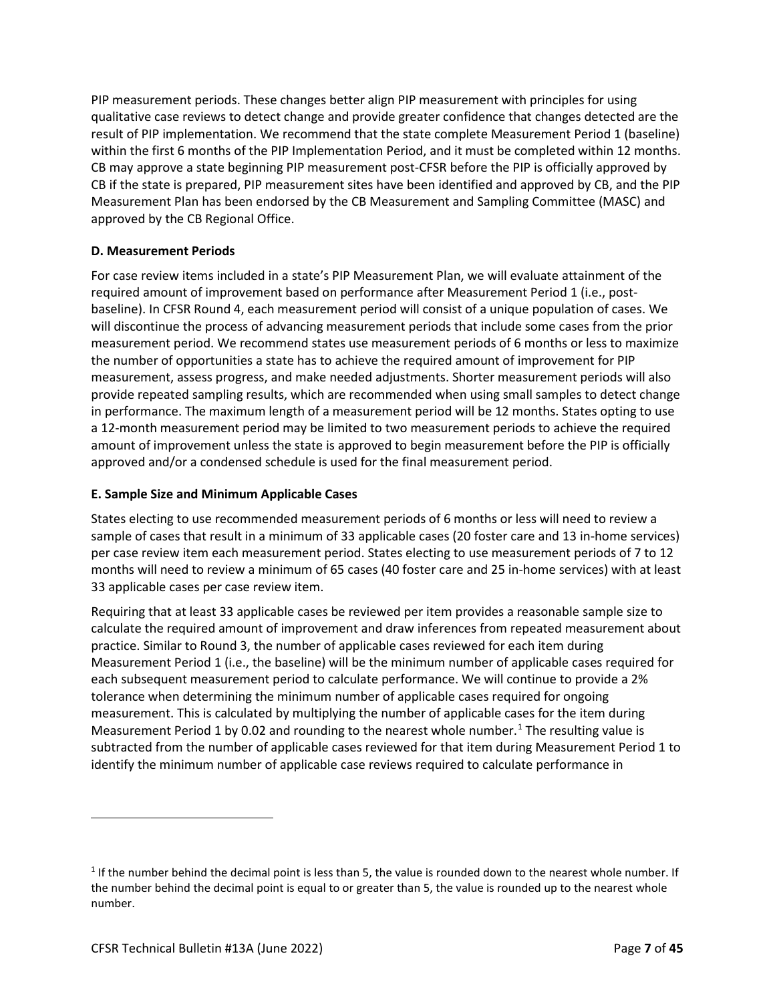PIP measurement periods. These changes better align PIP measurement with principles for using qualitative case reviews to detect change and provide greater confidence that changes detected are the result of PIP implementation. We recommend that the state complete Measurement Period 1 (baseline) within the first 6 months of the PIP Implementation Period, and it must be completed within 12 months. CB may approve a state beginning PIP measurement post-CFSR before the PIP is officially approved by CB if the state is prepared, PIP measurement sites have been identified and approved by CB, and the PIP Measurement Plan has been endorsed by the CB Measurement and Sampling Committee (MASC) and approved by the CB Regional Office.

## **D. Measurement Periods**

For case review items included in a state's PIP Measurement Plan, we will evaluate attainment of the required amount of improvement based on performance after Measurement Period 1 (i.e., postbaseline). In CFSR Round 4, each measurement period will consist of a unique population of cases. We will discontinue the process of advancing measurement periods that include some cases from the prior measurement period. We recommend states use measurement periods of 6 months or less to maximize the number of opportunities a state has to achieve the required amount of improvement for PIP measurement, assess progress, and make needed adjustments. Shorter measurement periods will also provide repeated sampling results, which are recommended when using small samples to detect change in performance. The maximum length of a measurement period will be 12 months. States opting to use a 12-month measurement period may be limited to two measurement periods to achieve the required amount of improvement unless the state is approved to begin measurement before the PIP is officially approved and/or a condensed schedule is used for the final measurement period.

## **E. Sample Size and Minimum Applicable Cases**

States electing to use recommended measurement periods of 6 months or less will need to review a sample of cases that result in a minimum of 33 applicable cases (20 foster care and 13 in-home services) per case review item each measurement period. States electing to use measurement periods of 7 to 12 months will need to review a minimum of 65 cases (40 foster care and 25 in-home services) with at least 33 applicable cases per case review item.

Requiring that at least 33 applicable cases be reviewed per item provides a reasonable sample size to calculate the required amount of improvement and draw inferences from repeated measurement about practice. Similar to Round 3, the number of applicable cases reviewed for each item during Measurement Period 1 (i.e., the baseline) will be the minimum number of applicable cases required for each subsequent measurement period to calculate performance. We will continue to provide a 2% tolerance when determining the minimum number of applicable cases required for ongoing measurement. This is calculated by multiplying the number of applicable cases for the item during Measurement Period 1 by 0.02 and rounding to the nearest whole number. $1$  The resulting value is subtracted from the number of applicable cases reviewed for that item during Measurement Period 1 to identify the minimum number of applicable case reviews required to calculate performance in

 $1$  If the number behind the decimal point is less than 5, the value is rounded down to the nearest whole number. If the number behind the decimal point is equal to or greater than 5, the value is rounded up to the nearest whole number.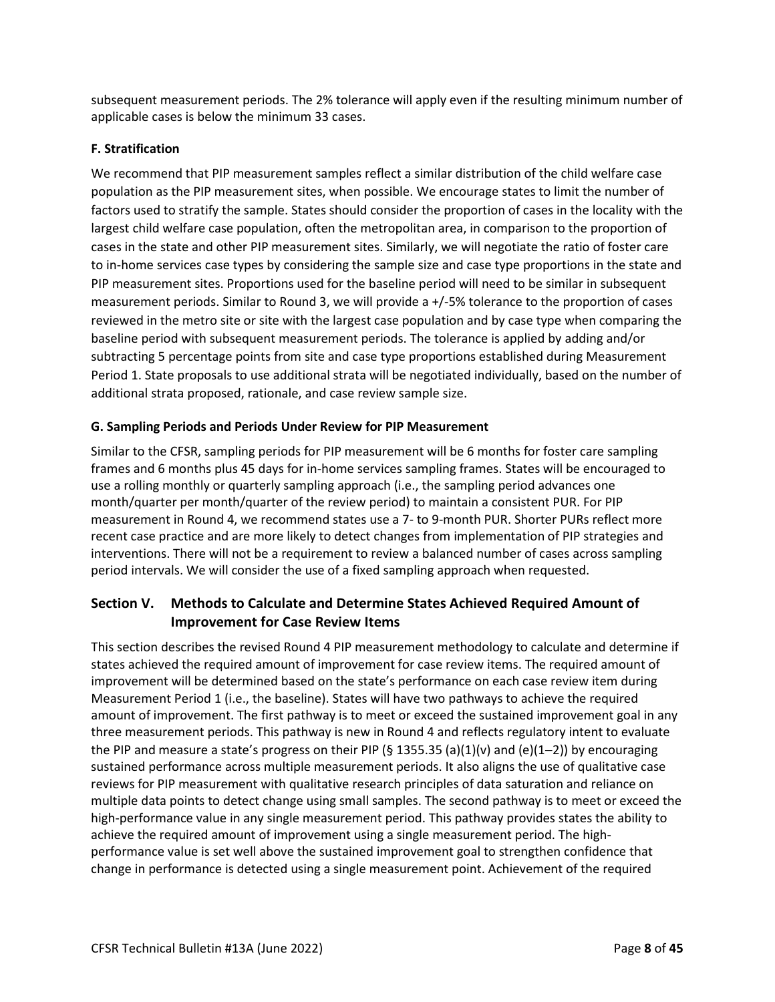subsequent measurement periods. The 2% tolerance will apply even if the resulting minimum number of applicable cases is below the minimum 33 cases.

# **F. Stratification**

We recommend that PIP measurement samples reflect a similar distribution of the child welfare case population as the PIP measurement sites, when possible. We encourage states to limit the number of factors used to stratify the sample. States should consider the proportion of cases in the locality with the largest child welfare case population, often the metropolitan area, in comparison to the proportion of cases in the state and other PIP measurement sites. Similarly, we will negotiate the ratio of foster care to in-home services case types by considering the sample size and case type proportions in the state and PIP measurement sites. Proportions used for the baseline period will need to be similar in subsequent measurement periods. Similar to Round 3, we will provide a +/-5% tolerance to the proportion of cases reviewed in the metro site or site with the largest case population and by case type when comparing the baseline period with subsequent measurement periods. The tolerance is applied by adding and/or subtracting 5 percentage points from site and case type proportions established during Measurement Period 1. State proposals to use additional strata will be negotiated individually, based on the number of additional strata proposed, rationale, and case review sample size.

## **G. Sampling Periods and Periods Under Review for PIP Measurement**

Similar to the CFSR, sampling periods for PIP measurement will be 6 months for foster care sampling frames and 6 months plus 45 days for in-home services sampling frames. States will be encouraged to use a rolling monthly or quarterly sampling approach (i.e., the sampling period advances one month/quarter per month/quarter of the review period) to maintain a consistent PUR. For PIP measurement in Round 4, we recommend states use a 7- to 9-month PUR. Shorter PURs reflect more recent case practice and are more likely to detect changes from implementation of PIP strategies and interventions. There will not be a requirement to review a balanced number of cases across sampling period intervals. We will consider the use of a fixed sampling approach when requested.

# **Section V. Methods to Calculate and Determine States Achieved Required Amount of Improvement for Case Review Items**

This section describes the revised Round 4 PIP measurement methodology to calculate and determine if states achieved the required amount of improvement for case review items. The required amount of improvement will be determined based on the state's performance on each case review item during Measurement Period 1 (i.e., the baseline). States will have two pathways to achieve the required amount of improvement. The first pathway is to meet or exceed the sustained improvement goal in any three measurement periods. This pathway is new in Round 4 and reflects regulatory intent to evaluate the PIP and measure a state's progress on their PIP (§ 1355.35 (a)(1)(v) and (e)(1−2)) by encouraging sustained performance across multiple measurement periods. It also aligns the use of qualitative case reviews for PIP measurement with qualitative research principles of data saturation and reliance on multiple data points to detect change using small samples. The second pathway is to meet or exceed the high-performance value in any single measurement period. This pathway provides states the ability to achieve the required amount of improvement using a single measurement period. The highperformance value is set well above the sustained improvement goal to strengthen confidence that change in performance is detected using a single measurement point. Achievement of the required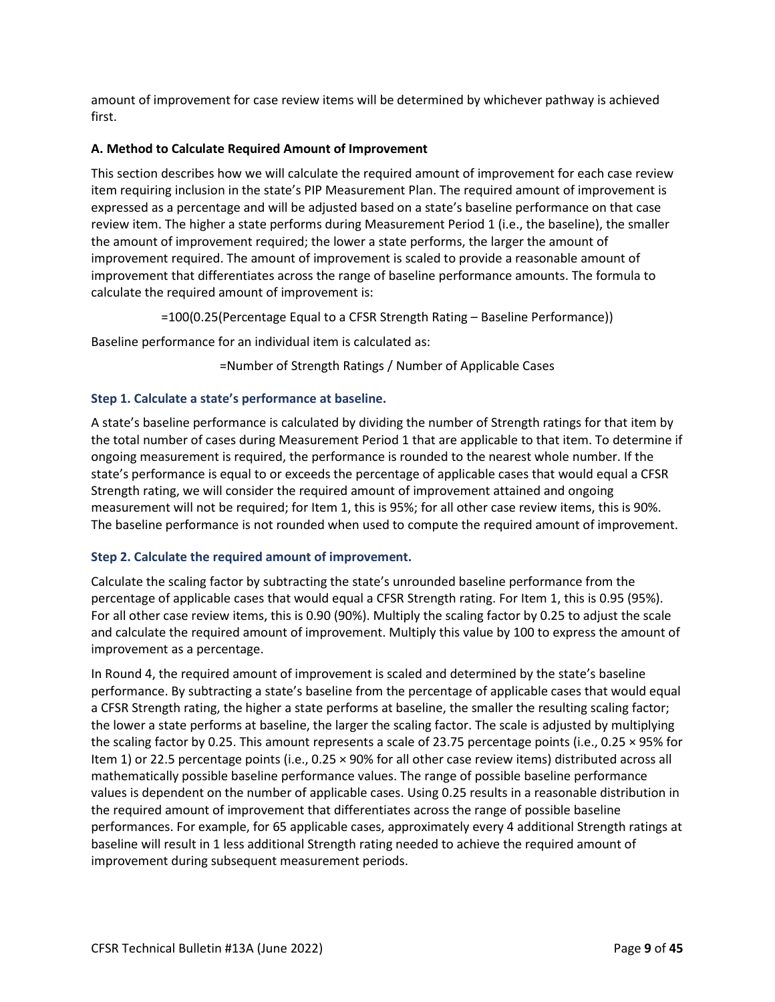amount of improvement for case review items will be determined by whichever pathway is achieved first.

## **A. Method to Calculate Required Amount of Improvement**

This section describes how we will calculate the required amount of improvement for each case review item requiring inclusion in the state's PIP Measurement Plan. The required amount of improvement is expressed as a percentage and will be adjusted based on a state's baseline performance on that case review item. The higher a state performs during Measurement Period 1 (i.e., the baseline), the smaller the amount of improvement required; the lower a state performs, the larger the amount of improvement required. The amount of improvement is scaled to provide a reasonable amount of improvement that differentiates across the range of baseline performance amounts. The formula to calculate the required amount of improvement is:

=100(0.25(Percentage Equal to a CFSR Strength Rating – Baseline Performance))

Baseline performance for an individual item is calculated as:

=Number of Strength Ratings / Number of Applicable Cases

## **Step 1. Calculate a state's performance at baseline.**

A state's baseline performance is calculated by dividing the number of Strength ratings for that item by the total number of cases during Measurement Period 1 that are applicable to that item. To determine if ongoing measurement is required, the performance is rounded to the nearest whole number. If the state's performance is equal to or exceeds the percentage of applicable cases that would equal a CFSR Strength rating, we will consider the required amount of improvement attained and ongoing measurement will not be required; for Item 1, this is 95%; for all other case review items, this is 90%. The baseline performance is not rounded when used to compute the required amount of improvement.

## **Step 2. Calculate the required amount of improvement.**

Calculate the scaling factor by subtracting the state's unrounded baseline performance from the percentage of applicable cases that would equal a CFSR Strength rating. For Item 1, this is 0.95 (95%). For all other case review items, this is 0.90 (90%). Multiply the scaling factor by 0.25 to adjust the scale and calculate the required amount of improvement. Multiply this value by 100 to express the amount of improvement as a percentage.

In Round 4, the required amount of improvement is scaled and determined by the state's baseline performance. By subtracting a state's baseline from the percentage of applicable cases that would equal a CFSR Strength rating, the higher a state performs at baseline, the smaller the resulting scaling factor; the lower a state performs at baseline, the larger the scaling factor. The scale is adjusted by multiplying the scaling factor by 0.25. This amount represents a scale of 23.75 percentage points (i.e., 0.25 × 95% for Item 1) or 22.5 percentage points (i.e., 0.25 × 90% for all other case review items) distributed across all mathematically possible baseline performance values. The range of possible baseline performance values is dependent on the number of applicable cases. Using 0.25 results in a reasonable distribution in the required amount of improvement that differentiates across the range of possible baseline performances. For example, for 65 applicable cases, approximately every 4 additional Strength ratings at baseline will result in 1 less additional Strength rating needed to achieve the required amount of improvement during subsequent measurement periods.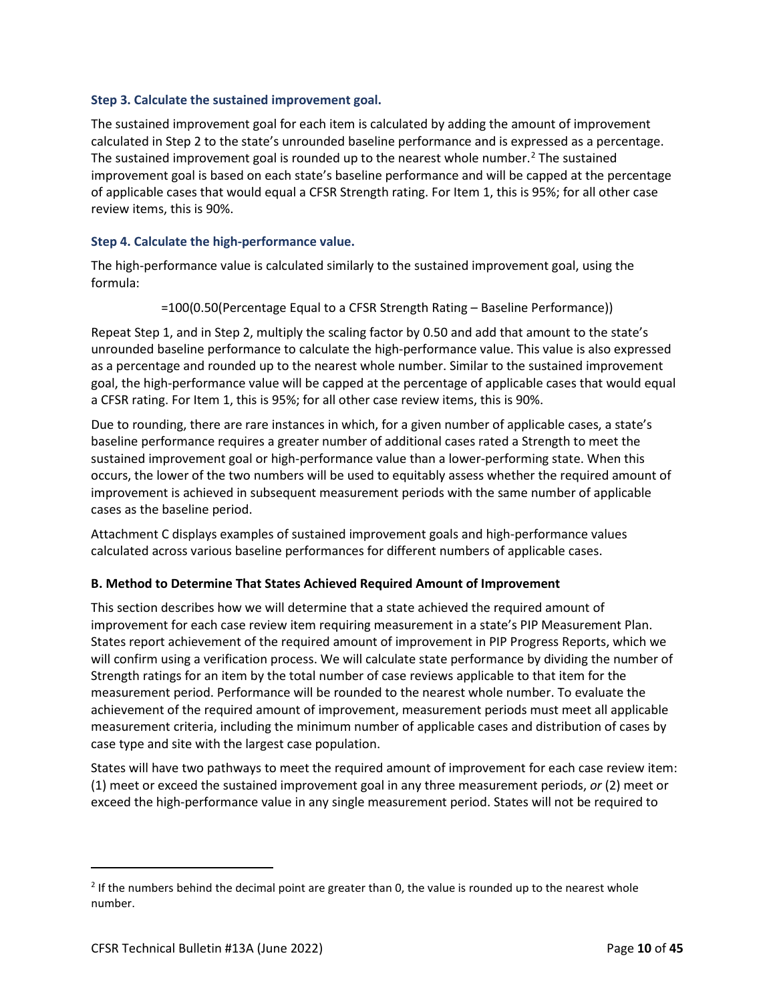#### **Step 3. Calculate the sustained improvement goal.**

The sustained improvement goal for each item is calculated by adding the amount of improvement calculated in Step 2 to the state's unrounded baseline performance and is expressed as a percentage. The sustained improvement goal is rounded up to the nearest whole number.<sup>2</sup> The sustained improvement goal is based on each state's baseline performance and will be capped at the percentage of applicable cases that would equal a CFSR Strength rating. For Item 1, this is 95%; for all other case review items, this is 90%.

#### **Step 4. Calculate the high-performance value.**

The high-performance value is calculated similarly to the sustained improvement goal, using the formula:

=100(0.50(Percentage Equal to a CFSR Strength Rating – Baseline Performance))

Repeat Step 1, and in Step 2, multiply the scaling factor by 0.50 and add that amount to the state's unrounded baseline performance to calculate the high-performance value. This value is also expressed as a percentage and rounded up to the nearest whole number. Similar to the sustained improvement goal, the high-performance value will be capped at the percentage of applicable cases that would equal a CFSR rating. For Item 1, this is 95%; for all other case review items, this is 90%.

Due to rounding, there are rare instances in which, for a given number of applicable cases, a state's baseline performance requires a greater number of additional cases rated a Strength to meet the sustained improvement goal or high-performance value than a lower-performing state. When this occurs, the lower of the two numbers will be used to equitably assess whether the required amount of improvement is achieved in subsequent measurement periods with the same number of applicable cases as the baseline period.

Attachment C displays examples of sustained improvement goals and high-performance values calculated across various baseline performances for different numbers of applicable cases.

#### **B. Method to Determine That States Achieved Required Amount of Improvement**

This section describes how we will determine that a state achieved the required amount of improvement for each case review item requiring measurement in a state's PIP Measurement Plan. States report achievement of the required amount of improvement in PIP Progress Reports, which we will confirm using a verification process. We will calculate state performance by dividing the number of Strength ratings for an item by the total number of case reviews applicable to that item for the measurement period. Performance will be rounded to the nearest whole number. To evaluate the achievement of the required amount of improvement, measurement periods must meet all applicable measurement criteria, including the minimum number of applicable cases and distribution of cases by case type and site with the largest case population.

States will have two pathways to meet the required amount of improvement for each case review item: (1) meet or exceed the sustained improvement goal in any three measurement periods, *or* (2) meet or exceed the high-performance value in any single measurement period. States will not be required to

 $2$  If the numbers behind the decimal point are greater than 0, the value is rounded up to the nearest whole number.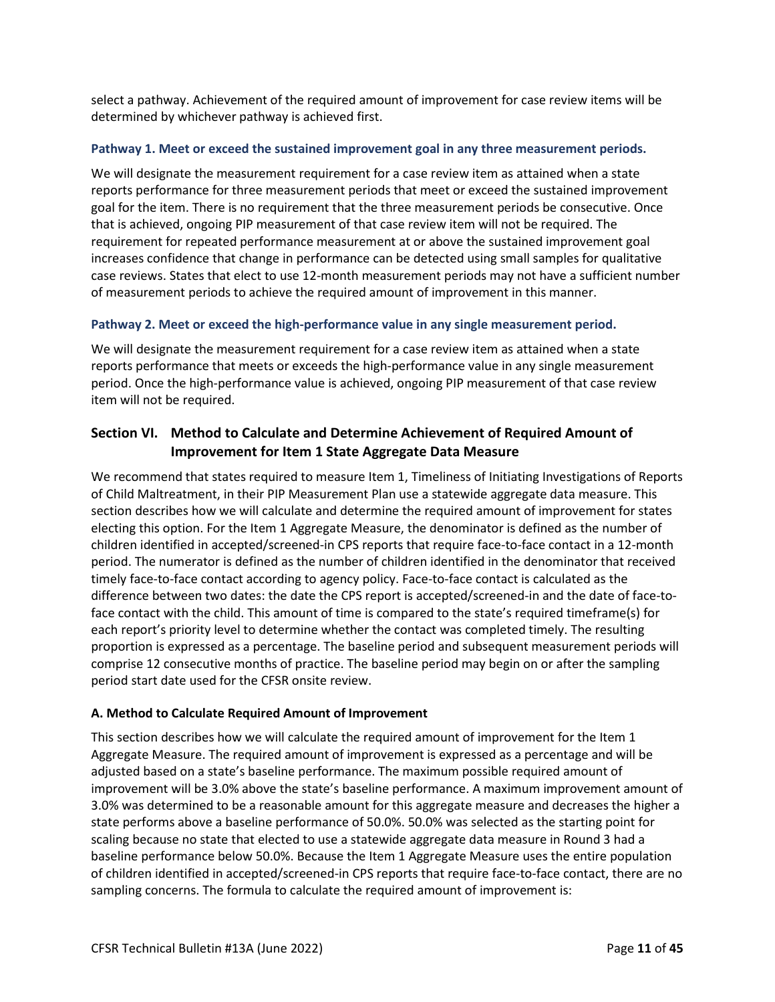select a pathway. Achievement of the required amount of improvement for case review items will be determined by whichever pathway is achieved first.

#### **Pathway 1. Meet or exceed the sustained improvement goal in any three measurement periods.**

We will designate the measurement requirement for a case review item as attained when a state reports performance for three measurement periods that meet or exceed the sustained improvement goal for the item. There is no requirement that the three measurement periods be consecutive. Once that is achieved, ongoing PIP measurement of that case review item will not be required. The requirement for repeated performance measurement at or above the sustained improvement goal increases confidence that change in performance can be detected using small samples for qualitative case reviews. States that elect to use 12-month measurement periods may not have a sufficient number of measurement periods to achieve the required amount of improvement in this manner.

#### **Pathway 2. Meet or exceed the high-performance value in any single measurement period.**

We will designate the measurement requirement for a case review item as attained when a state reports performance that meets or exceeds the high-performance value in any single measurement period. Once the high-performance value is achieved, ongoing PIP measurement of that case review item will not be required.

# **Section VI. Method to Calculate and Determine Achievement of Required Amount of Improvement for Item 1 State Aggregate Data Measure**

We recommend that states required to measure Item 1, Timeliness of Initiating Investigations of Reports of Child Maltreatment, in their PIP Measurement Plan use a statewide aggregate data measure. This section describes how we will calculate and determine the required amount of improvement for states electing this option. For the Item 1 Aggregate Measure, the denominator is defined as the number of children identified in accepted/screened-in CPS reports that require face-to-face contact in a 12-month period. The numerator is defined as the number of children identified in the denominator that received timely face-to-face contact according to agency policy. Face-to-face contact is calculated as the difference between two dates: the date the CPS report is accepted/screened-in and the date of face-toface contact with the child. This amount of time is compared to the state's required timeframe(s) for each report's priority level to determine whether the contact was completed timely. The resulting proportion is expressed as a percentage. The baseline period and subsequent measurement periods will comprise 12 consecutive months of practice. The baseline period may begin on or after the sampling period start date used for the CFSR onsite review.

## **A. Method to Calculate Required Amount of Improvement**

This section describes how we will calculate the required amount of improvement for the Item 1 Aggregate Measure. The required amount of improvement is expressed as a percentage and will be adjusted based on a state's baseline performance. The maximum possible required amount of improvement will be 3.0% above the state's baseline performance. A maximum improvement amount of 3.0% was determined to be a reasonable amount for this aggregate measure and decreases the higher a state performs above a baseline performance of 50.0%. 50.0% was selected as the starting point for scaling because no state that elected to use a statewide aggregate data measure in Round 3 had a baseline performance below 50.0%. Because the Item 1 Aggregate Measure uses the entire population of children identified in accepted/screened-in CPS reports that require face-to-face contact, there are no sampling concerns. The formula to calculate the required amount of improvement is: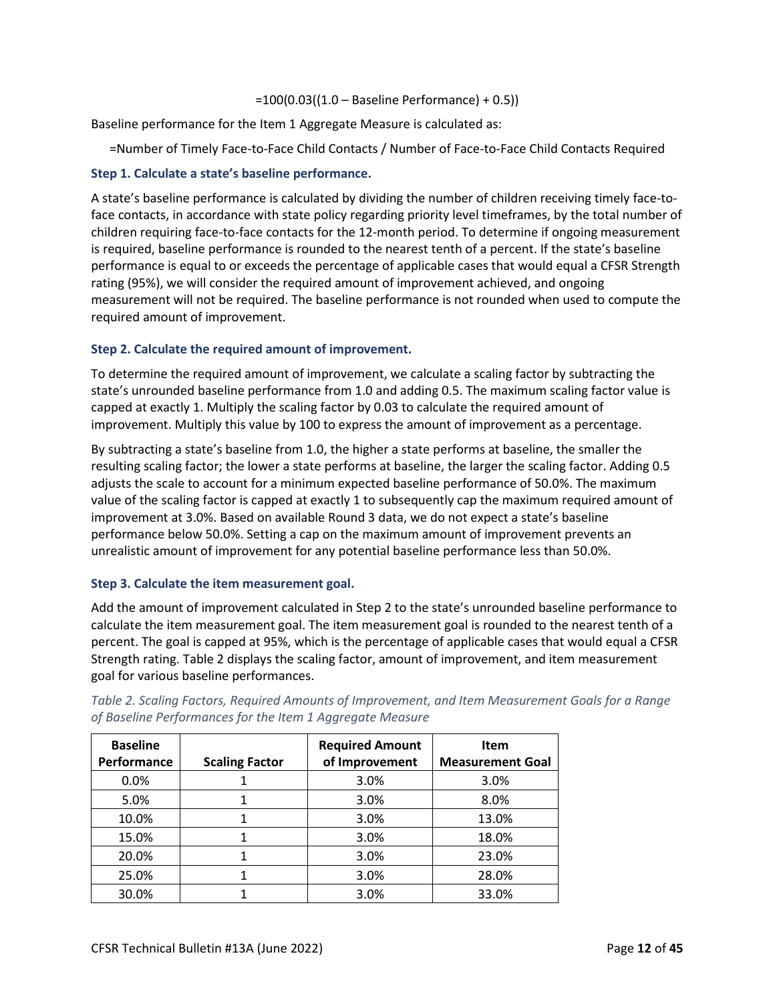#### =100(0.03((1.0 – Baseline Performance) + 0.5))

Baseline performance for the Item 1 Aggregate Measure is calculated as:

=Number of Timely Face-to-Face Child Contacts / Number of Face-to-Face Child Contacts Required

## **Step 1. Calculate a state's baseline performance.**

A state's baseline performance is calculated by dividing the number of children receiving timely face-toface contacts, in accordance with state policy regarding priority level timeframes, by the total number of children requiring face-to-face contacts for the 12-month period. To determine if ongoing measurement is required, baseline performance is rounded to the nearest tenth of a percent. If the state's baseline performance is equal to or exceeds the percentage of applicable cases that would equal a CFSR Strength rating (95%), we will consider the required amount of improvement achieved, and ongoing measurement will not be required. The baseline performance is not rounded when used to compute the required amount of improvement.

## **Step 2. Calculate the required amount of improvement.**

To determine the required amount of improvement, we calculate a scaling factor by subtracting the state's unrounded baseline performance from 1.0 and adding 0.5. The maximum scaling factor value is capped at exactly 1. Multiply the scaling factor by 0.03 to calculate the required amount of improvement. Multiply this value by 100 to express the amount of improvement as a percentage.

By subtracting a state's baseline from 1.0, the higher a state performs at baseline, the smaller the resulting scaling factor; the lower a state performs at baseline, the larger the scaling factor. Adding 0.5 adjusts the scale to account for a minimum expected baseline performance of 50.0%. The maximum value of the scaling factor is capped at exactly 1 to subsequently cap the maximum required amount of improvement at 3.0%. Based on available Round 3 data, we do not expect a state's baseline performance below 50.0%. Setting a cap on the maximum amount of improvement prevents an unrealistic amount of improvement for any potential baseline performance less than 50.0%.

## **Step 3. Calculate the item measurement goal.**

Add the amount of improvement calculated in Step 2 to the state's unrounded baseline performance to calculate the item measurement goal. The item measurement goal is rounded to the nearest tenth of a percent. The goal is capped at 95%, which is the percentage of applicable cases that would equal a CFSR Strength rating. Table 2 displays the scaling factor, amount of improvement, and item measurement goal for various baseline performances.

| <b>Baseline</b><br>Performance | <b>Scaling Factor</b> | <b>Required Amount</b><br>of Improvement | <b>Item</b><br><b>Measurement Goal</b> |
|--------------------------------|-----------------------|------------------------------------------|----------------------------------------|
| 0.0%                           |                       | 3.0%                                     | 3.0%                                   |
| 5.0%                           |                       | 3.0%                                     | 8.0%                                   |
| 10.0%                          |                       | 3.0%                                     | 13.0%                                  |
| 15.0%                          |                       | 3.0%                                     | 18.0%                                  |
| 20.0%                          |                       | 3.0%                                     | 23.0%                                  |
| 25.0%                          |                       | 3.0%                                     | 28.0%                                  |
| 30.0%                          |                       | 3.0%                                     | 33.0%                                  |

*Table 2. Scaling Factors, Required Amounts of Improvement, and Item Measurement Goals for a Range of Baseline Performances for the Item 1 Aggregate Measure*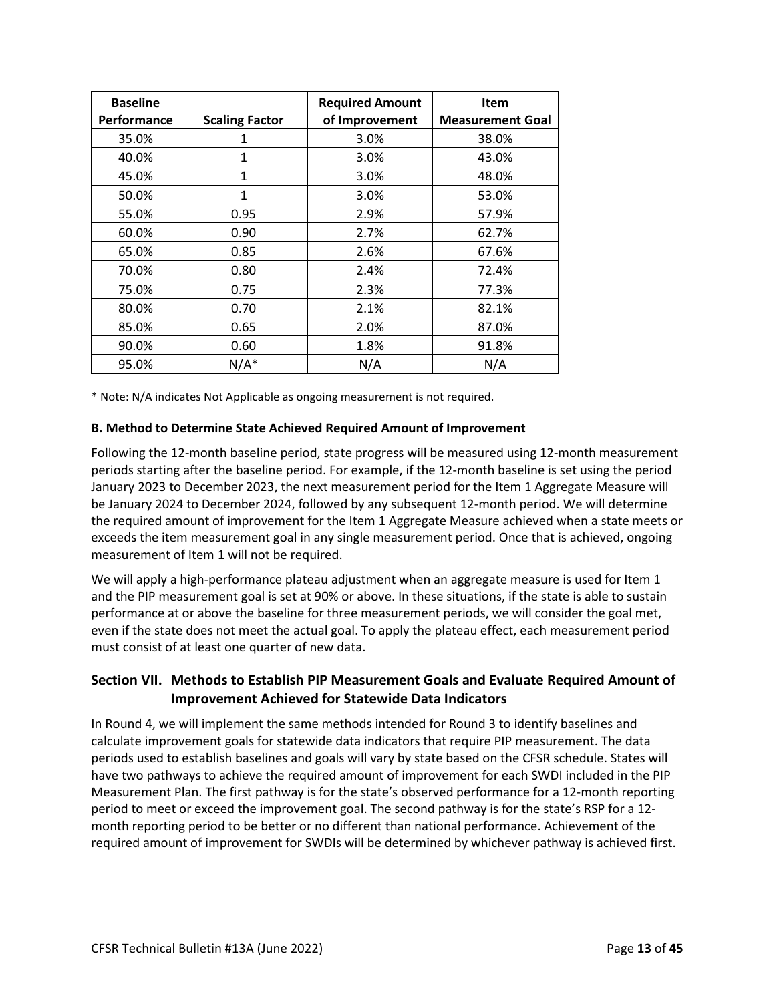| <b>Baseline</b> |                       | <b>Required Amount</b> | <b>Item</b>             |
|-----------------|-----------------------|------------------------|-------------------------|
| Performance     | <b>Scaling Factor</b> | of Improvement         | <b>Measurement Goal</b> |
| 35.0%           | 1                     | 3.0%                   | 38.0%                   |
| 40.0%           | 1                     | 3.0%                   | 43.0%                   |
| 45.0%           | $\mathbf{1}$          | 3.0%                   | 48.0%                   |
| 50.0%           | 1                     | 3.0%                   | 53.0%                   |
| 55.0%           | 0.95                  | 2.9%                   | 57.9%                   |
| 60.0%           | 0.90                  | 2.7%                   | 62.7%                   |
| 65.0%           | 0.85                  | 2.6%                   | 67.6%                   |
| 70.0%           | 0.80                  | 2.4%                   | 72.4%                   |
| 75.0%           | 0.75                  | 2.3%                   | 77.3%                   |
| 80.0%           | 0.70                  | 2.1%                   | 82.1%                   |
| 85.0%           | 0.65                  | 2.0%                   | 87.0%                   |
| 90.0%           | 0.60                  | 1.8%                   | 91.8%                   |
| 95.0%           | $N/A^*$               | N/A                    | N/A                     |

\* Note: N/A indicates Not Applicable as ongoing measurement is not required.

## **B. Method to Determine State Achieved Required Amount of Improvement**

Following the 12-month baseline period, state progress will be measured using 12-month measurement periods starting after the baseline period. For example, if the 12-month baseline is set using the period January 2023 to December 2023, the next measurement period for the Item 1 Aggregate Measure will be January 2024 to December 2024, followed by any subsequent 12-month period. We will determine the required amount of improvement for the Item 1 Aggregate Measure achieved when a state meets or exceeds the item measurement goal in any single measurement period. Once that is achieved, ongoing measurement of Item 1 will not be required.

We will apply a high-performance plateau adjustment when an aggregate measure is used for Item 1 and the PIP measurement goal is set at 90% or above. In these situations, if the state is able to sustain performance at or above the baseline for three measurement periods, we will consider the goal met, even if the state does not meet the actual goal. To apply the plateau effect, each measurement period must consist of at least one quarter of new data.

# **Section VII. Methods to Establish PIP Measurement Goals and Evaluate Required Amount of Improvement Achieved for Statewide Data Indicators**

In Round 4, we will implement the same methods intended for Round 3 to identify baselines and calculate improvement goals for statewide data indicators that require PIP measurement. The data periods used to establish baselines and goals will vary by state based on the CFSR schedule. States will have two pathways to achieve the required amount of improvement for each SWDI included in the PIP Measurement Plan. The first pathway is for the state's observed performance for a 12-month reporting period to meet or exceed the improvement goal. The second pathway is for the state's RSP for a 12 month reporting period to be better or no different than national performance. Achievement of the required amount of improvement for SWDIs will be determined by whichever pathway is achieved first.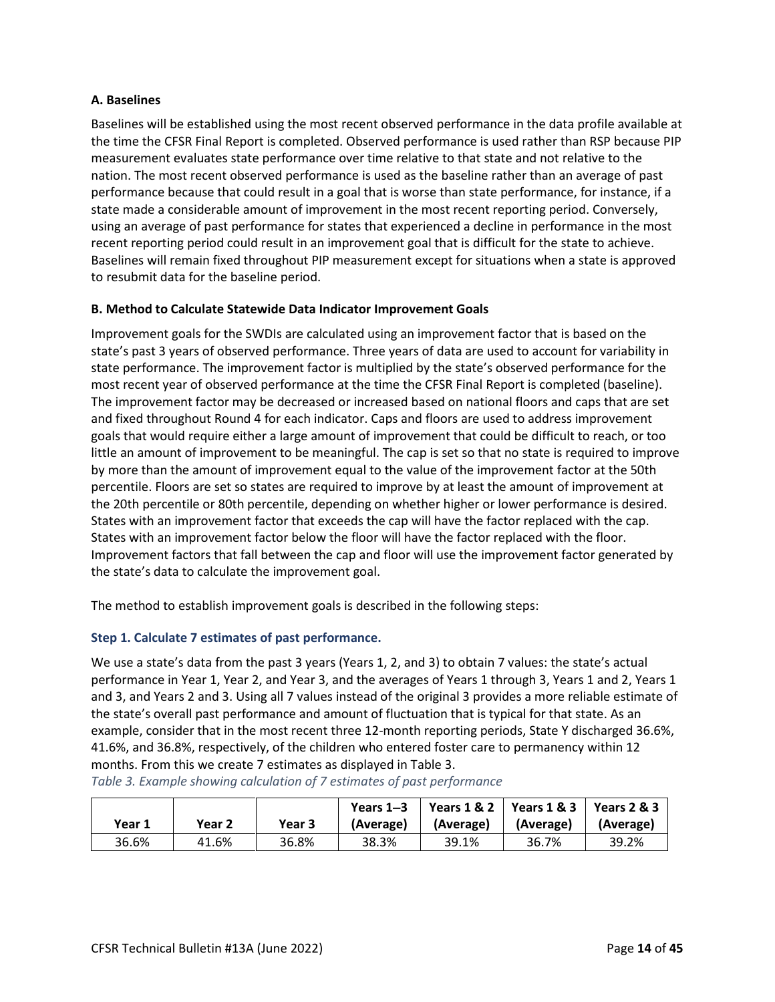#### **A. Baselines**

Baselines will be established using the most recent observed performance in the data profile available at the time the CFSR Final Report is completed. Observed performance is used rather than RSP because PIP measurement evaluates state performance over time relative to that state and not relative to the nation. The most recent observed performance is used as the baseline rather than an average of past performance because that could result in a goal that is worse than state performance, for instance, if a state made a considerable amount of improvement in the most recent reporting period. Conversely, using an average of past performance for states that experienced a decline in performance in the most recent reporting period could result in an improvement goal that is difficult for the state to achieve. Baselines will remain fixed throughout PIP measurement except for situations when a state is approved to resubmit data for the baseline period.

## **B. Method to Calculate Statewide Data Indicator Improvement Goals**

<span id="page-13-0"></span>Improvement goals for the SWDIs are calculated using an improvement factor that is based on the state's past 3 years of observed performance. Three years of data are used to account for variability in state performance. The improvement factor is multiplied by the state's observed performance for the most recent year of observed performance at the time the CFSR Final Report is completed (baseline). The improvement factor may be decreased or increased based on national floors and caps that are set and fixed throughout Round 4 for each indicator. Caps and floors are used to address improvement goals that would require either a large amount of improvement that could be difficult to reach, or too little an amount of improvement to be meaningful. The cap is set so that no state is required to improve by more than the amount of improvement equal to the value of the improvement factor at the 50th percentile. Floors are set so states are required to improve by at least the amount of improvement at the 20th percentile or 80th percentile, depending on whether higher or lower performance is desired. States with an improvement factor that exceeds the cap will have the factor replaced with the cap. States with an improvement factor below the floor will have the factor replaced with the floor. Improvement factors that fall between the cap and floor will use the improvement factor generated by the state's data to calculate the improvement goal.

The method to establish improvement goals is described in the following steps:

## **Step 1. Calculate 7 estimates of past performance.**

We use a state's data from the past 3 years (Years 1, 2, and 3) to obtain 7 values: the state's actual performance in Year 1, Year 2, and Year 3, and the averages of Years 1 through 3, Years 1 and 2, Years 1 and 3, and Years 2 and 3. Using all 7 values instead of the original 3 provides a more reliable estimate of the state's overall past performance and amount of fluctuation that is typical for that state. As an example, consider that in the most recent three 12-month reporting periods, State Y discharged 36.6%, 41.6%, and 36.8%, respectively, of the children who entered foster care to permanency within 12 months. From this we create 7 estimates as displayed in Table 3.

| Year 1 | Year 2 | Year 3 | Years $1-3$<br>(Average) | (Average) | Years 1 & 2   Years 1 & 3<br>(Average) | Years $2 & 3$<br>(Average) |
|--------|--------|--------|--------------------------|-----------|----------------------------------------|----------------------------|
| 36.6%  | 41.6%  | 36.8%  | 38.3%                    | 39.1%     | 36.7%                                  | 39.2%                      |

*Table 3. Example showing calculation of 7 estimates of past performance*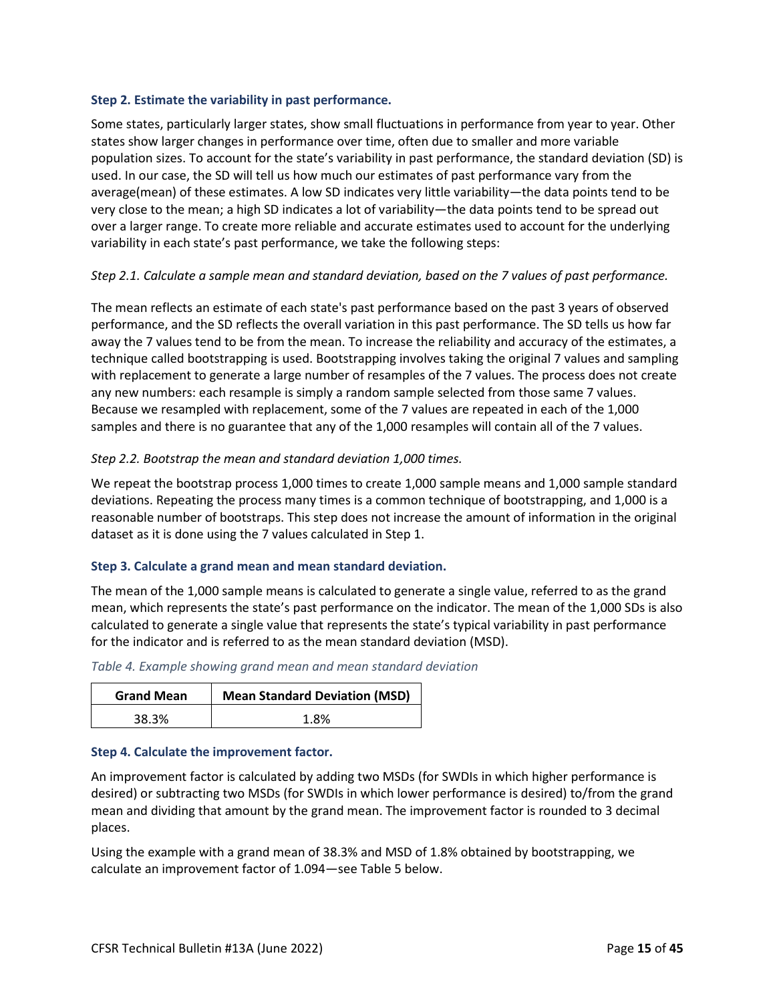#### **Step 2. Estimate the variability in past performance.**

Some states, particularly larger states, show small fluctuations in performance from year to year. Other states show larger changes in performance over time, often due to smaller and more variable population sizes. To account for the state's variability in past performance, the standard deviation (SD) is used. In our case, the SD will tell us how much our estimates of past performance vary from the average(mean) of these estimates. A low SD indicates very little variability—the data points tend to be very close to the mean; a high SD indicates a lot of variability—the data points tend to be spread out over a larger range. To create more reliable and accurate estimates used to account for the underlying variability in each state's past performance, we take the following steps:

## *Step 2.1. Calculate a sample mean and standard deviation, based on the 7 values of past performance.*

The mean reflects an estimate of each state's past performance based on the past 3 years of observed performance, and the SD reflects the overall variation in this past performance. The SD tells us how far away the 7 values tend to be from the mean. To increase the reliability and accuracy of the estimates, a technique called bootstrapping is used. Bootstrapping involves taking the original 7 values and sampling with replacement to generate a large number of resamples of the 7 values. The process does not create any new numbers: each resample is simply a random sample selected from those same 7 values. Because we resampled with replacement, some of the 7 values are repeated in each of the 1,000 samples and there is no guarantee that any of the 1,000 resamples will contain all of the 7 values.

## *Step 2.2. Bootstrap the mean and standard deviation 1,000 times.*

We repeat the bootstrap process 1,000 times to create 1,000 sample means and 1,000 sample standard deviations. Repeating the process many times is a common technique of bootstrapping, and 1,000 is a reasonable number of bootstraps. This step does not increase the amount of information in the original dataset as it is done using the 7 values calculated in Step 1.

## **Step 3. Calculate a grand mean and mean standard deviation.**

The mean of the 1,000 sample means is calculated to generate a single value, referred to as the grand mean, which represents the state's past performance on the indicator. The mean of the 1,000 SDs is also calculated to generate a single value that represents the state's typical variability in past performance for the indicator and is referred to as the mean standard deviation (MSD).

| <b>Grand Mean</b> | <b>Mean Standard Deviation (MSD)</b> |
|-------------------|--------------------------------------|
| 38.3%             | 1.8%                                 |

## **Step 4. Calculate the improvement factor.**

An improvement factor is calculated by adding two MSDs (for SWDIs in which higher performance is desired) or subtracting two MSDs (for SWDIs in which lower performance is desired) to/from the grand mean and dividing that amount by the grand mean. The improvement factor is rounded to 3 decimal places.

Using the example with a grand mean of 38.3% and MSD of 1.8% obtained by bootstrapping, we calculate an improvement factor of 1.094—see Table 5 below.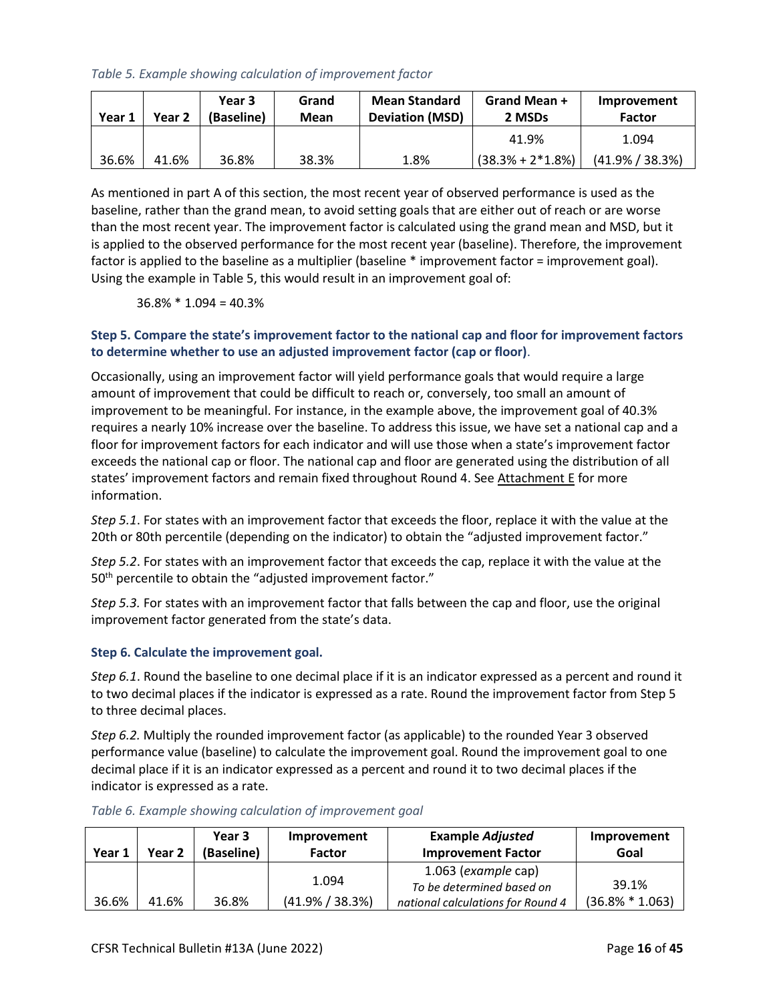## *Table 5. Example showing calculation of improvement factor*

| Year 1 | Year 2 | Year 3<br>(Baseline) | Grand<br>Mean | <b>Mean Standard</b><br><b>Deviation (MSD)</b> | Grand Mean +<br>2 MSDs | Improvement<br><b>Factor</b> |
|--------|--------|----------------------|---------------|------------------------------------------------|------------------------|------------------------------|
|        |        |                      |               |                                                | 41.9%                  | 1.094                        |
| 36.6%  | 41.6%  | 36.8%                | 38.3%         | 1.8%                                           | $(38.3\% + 2*1.8\%)$   | $(41.9\% / 38.3\%)$          |

As mentioned in part A of this section, the most recent year of observed performance is used as the baseline, rather than the grand mean, to avoid setting goals that are either out of reach or are worse than the most recent year. The improvement factor is calculated using the grand mean and MSD, but it is applied to the observed performance for the most recent year (baseline). Therefore, the improvement factor is applied to the baseline as a multiplier (baseline \* improvement factor = improvement goal). Using the example in Table 5, this would result in an improvement goal of:

36.8% \* 1.094 = 40.3%

# **Step 5. Compare the state's improvement factor to the national cap and floor for improvement factors to determine whether to use an adjusted improvement factor (cap or floor)**.

Occasionally, using an improvement factor will yield performance goals that would require a large amount of improvement that could be difficult to reach or, conversely, too small an amount of improvement to be meaningful. For instance, in the example above, the improvement goal of 40.3% requires a nearly 10% increase over the baseline. To address this issue, we have set a national cap and a floor for improvement factors for each indicator and will use those when a state's improvement factor exceeds the national cap or floor. The national cap and floor are generated using the distribution of all states' improvement factors and remain fixed throughout Round 4. See [Attachment E](#page-40-0) for more information.

*Step 5.1*. For states with an improvement factor that exceeds the floor, replace it with the value at the 20th or 80th percentile (depending on the indicator) to obtain the "adjusted improvement factor."

*Step 5.2*. For states with an improvement factor that exceeds the cap, replace it with the value at the 50<sup>th</sup> percentile to obtain the "adjusted improvement factor."

*Step 5.3.* For states with an improvement factor that falls between the cap and floor, use the original improvement factor generated from the state's data.

## **Step 6. Calculate the improvement goal.**

*Step 6.1*. Round the baseline to one decimal place if it is an indicator expressed as a percent and round it to two decimal places if the indicator is expressed as a rate. Round the improvement factor from Step 5 to three decimal places.

*Step 6.2.* Multiply the rounded improvement factor (as applicable) to the rounded Year 3 observed performance value (baseline) to calculate the improvement goal. Round the improvement goal to one decimal place if it is an indicator expressed as a percent and round it to two decimal places if the indicator is expressed as a rate.

|        |        | Year 3     | Improvement         | <b>Example Adjusted</b>           | Improvement        |
|--------|--------|------------|---------------------|-----------------------------------|--------------------|
| Year 1 | Year 2 | (Baseline) | <b>Factor</b>       | <b>Improvement Factor</b>         | Goal               |
|        |        |            |                     | $1.063$ (example cap)             |                    |
|        |        |            | 1.094               | To be determined based on         | 39.1%              |
| 36.6%  | 41.6%  | 36.8%      | $(41.9\% / 38.3\%)$ | national calculations for Round 4 | $(36.8\% * 1.063)$ |

#### *Table 6. Example showing calculation of improvement goal*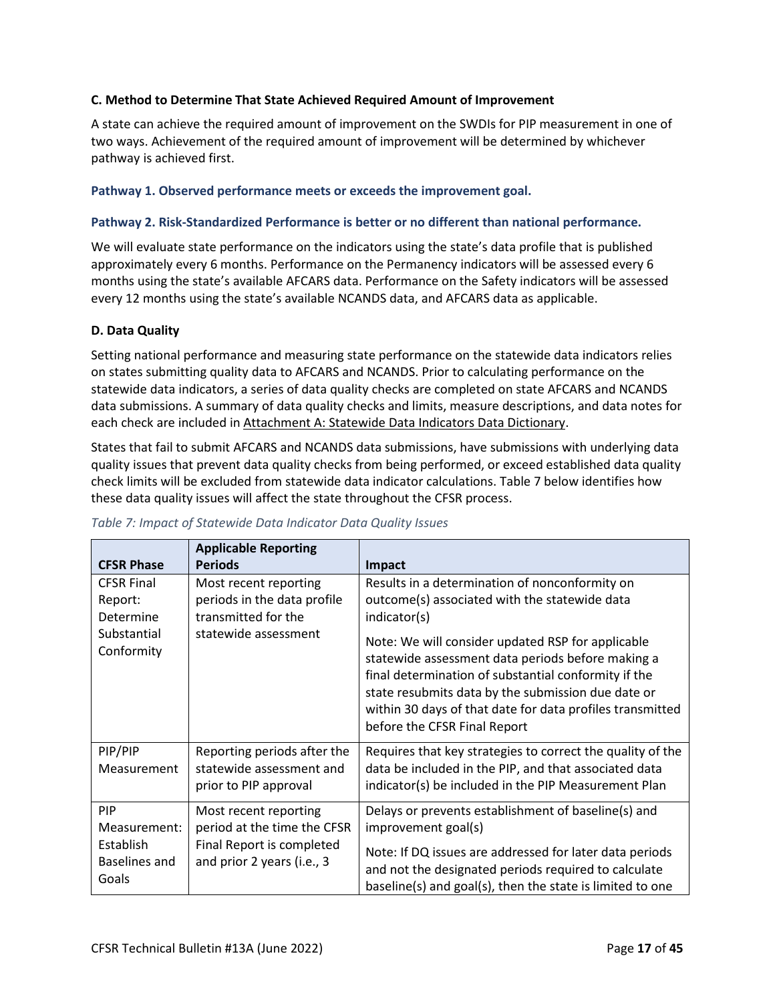## **C. Method to Determine That State Achieved Required Amount of Improvement**

A state can achieve the required amount of improvement on the SWDIs for PIP measurement in one of two ways. Achievement of the required amount of improvement will be determined by whichever pathway is achieved first.

## **Pathway 1. Observed performance meets or exceeds the improvement goal.**

## **Pathway 2. Risk-Standardized Performance is better or no different than national performance.**

We will evaluate state performance on the indicators using the state's data profile that is published approximately every 6 months. Performance on the Permanency indicators will be assessed every 6 months using the state's available AFCARS data. Performance on the Safety indicators will be assessed every 12 months using the state's available NCANDS data, and AFCARS data as applicable.

## **D. Data Quality**

Setting national performance and measuring state performance on the statewide data indicators relies on states submitting quality data to AFCARS and NCANDS. Prior to calculating performance on the statewide data indicators, a series of data quality checks are completed on state AFCARS and NCANDS data submissions. A summary of data quality checks and limits, measure descriptions, and data notes for each check are included in [Attachment A: Statewide Data Indicators Data Dictionary.](#page-25-0)

States that fail to submit AFCARS and NCANDS data submissions, have submissions with underlying data quality issues that prevent data quality checks from being performed, or exceed established data quality check limits will be excluded from statewide data indicator calculations. Table 7 below identifies how these data quality issues will affect the state throughout the CFSR process.

| <b>CFSR Phase</b>                                                      | <b>Applicable Reporting</b><br><b>Periods</b>                                                                   | Impact                                                                                                                                                                                                                                                                                                                                                                                                                               |
|------------------------------------------------------------------------|-----------------------------------------------------------------------------------------------------------------|--------------------------------------------------------------------------------------------------------------------------------------------------------------------------------------------------------------------------------------------------------------------------------------------------------------------------------------------------------------------------------------------------------------------------------------|
| <b>CFSR Final</b><br>Report:<br>Determine<br>Substantial<br>Conformity | Most recent reporting<br>periods in the data profile<br>transmitted for the<br>statewide assessment             | Results in a determination of nonconformity on<br>outcome(s) associated with the statewide data<br>indicator(s)<br>Note: We will consider updated RSP for applicable<br>statewide assessment data periods before making a<br>final determination of substantial conformity if the<br>state resubmits data by the submission due date or<br>within 30 days of that date for data profiles transmitted<br>before the CFSR Final Report |
| PIP/PIP<br>Measurement                                                 | Reporting periods after the<br>statewide assessment and<br>prior to PIP approval                                | Requires that key strategies to correct the quality of the<br>data be included in the PIP, and that associated data<br>indicator(s) be included in the PIP Measurement Plan                                                                                                                                                                                                                                                          |
| PIP<br>Measurement:<br>Establish<br>Baselines and<br>Goals             | Most recent reporting<br>period at the time the CFSR<br>Final Report is completed<br>and prior 2 years (i.e., 3 | Delays or prevents establishment of baseline(s) and<br>improvement goal(s)<br>Note: If DQ issues are addressed for later data periods<br>and not the designated periods required to calculate<br>baseline(s) and goal(s), then the state is limited to one                                                                                                                                                                           |

*Table 7: Impact of Statewide Data Indicator Data Quality Issues*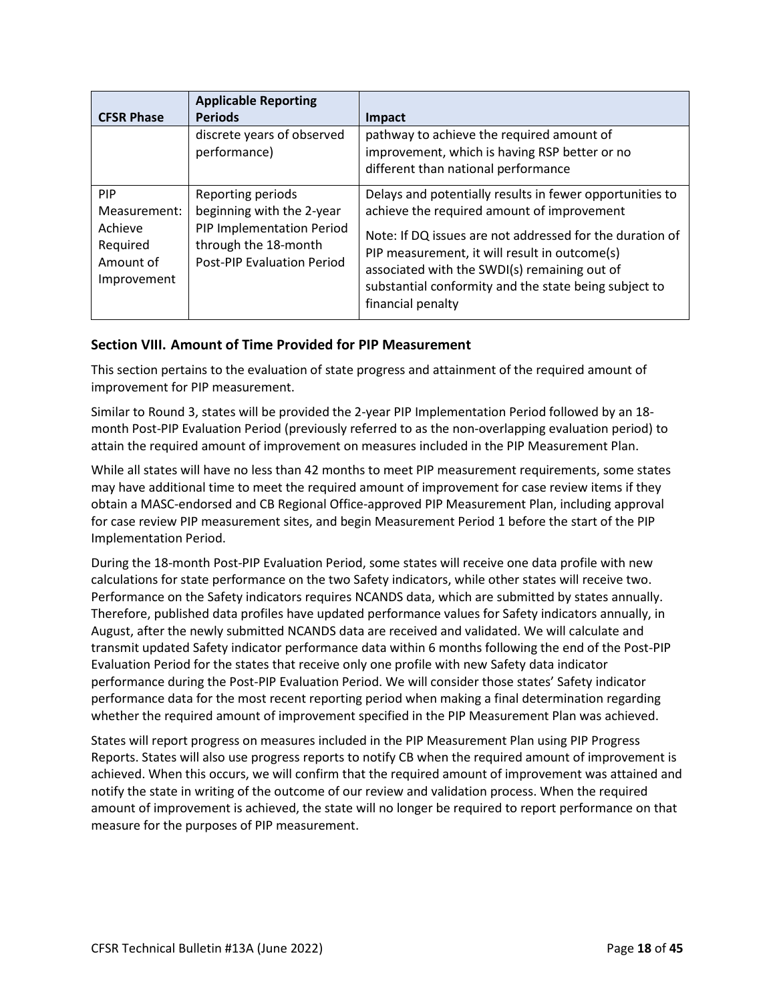|                                                                               | <b>Applicable Reporting</b>                                                                                                              |                                                                                                                                                                                                                                                                                                                                                   |
|-------------------------------------------------------------------------------|------------------------------------------------------------------------------------------------------------------------------------------|---------------------------------------------------------------------------------------------------------------------------------------------------------------------------------------------------------------------------------------------------------------------------------------------------------------------------------------------------|
| <b>CFSR Phase</b>                                                             | <b>Periods</b>                                                                                                                           | Impact                                                                                                                                                                                                                                                                                                                                            |
|                                                                               | discrete years of observed<br>performance)                                                                                               | pathway to achieve the required amount of<br>improvement, which is having RSP better or no<br>different than national performance                                                                                                                                                                                                                 |
| <b>PIP</b><br>Measurement:<br>Achieve<br>Required<br>Amount of<br>Improvement | Reporting periods<br>beginning with the 2-year<br>PIP Implementation Period<br>through the 18-month<br><b>Post-PIP Evaluation Period</b> | Delays and potentially results in fewer opportunities to<br>achieve the required amount of improvement<br>Note: If DQ issues are not addressed for the duration of<br>PIP measurement, it will result in outcome(s)<br>associated with the SWDI(s) remaining out of<br>substantial conformity and the state being subject to<br>financial penalty |

# **Section VIII. Amount of Time Provided for PIP Measurement**

This section pertains to the evaluation of state progress and attainment of the required amount of improvement for PIP measurement.

Similar to Round 3, states will be provided the 2-year PIP Implementation Period followed by an 18 month Post-PIP Evaluation Period (previously referred to as the non-overlapping evaluation period) to attain the required amount of improvement on measures included in the PIP Measurement Plan.

While all states will have no less than 42 months to meet PIP measurement requirements, some states may have additional time to meet the required amount of improvement for case review items if they obtain a MASC-endorsed and CB Regional Office-approved PIP Measurement Plan, including approval for case review PIP measurement sites, and begin Measurement Period 1 before the start of the PIP Implementation Period.

During the 18-month Post-PIP Evaluation Period, some states will receive one data profile with new calculations for state performance on the two Safety indicators, while other states will receive two. Performance on the Safety indicators requires NCANDS data, which are submitted by states annually. Therefore, published data profiles have updated performance values for Safety indicators annually, in August, after the newly submitted NCANDS data are received and validated. We will calculate and transmit updated Safety indicator performance data within 6 months following the end of the Post-PIP Evaluation Period for the states that receive only one profile with new Safety data indicator performance during the Post-PIP Evaluation Period. We will consider those states' Safety indicator performance data for the most recent reporting period when making a final determination regarding whether the required amount of improvement specified in the PIP Measurement Plan was achieved.

States will report progress on measures included in the PIP Measurement Plan using PIP Progress Reports. States will also use progress reports to notify CB when the required amount of improvement is achieved. When this occurs, we will confirm that the required amount of improvement was attained and notify the state in writing of the outcome of our review and validation process. When the required amount of improvement is achieved, the state will no longer be required to report performance on that measure for the purposes of PIP measurement.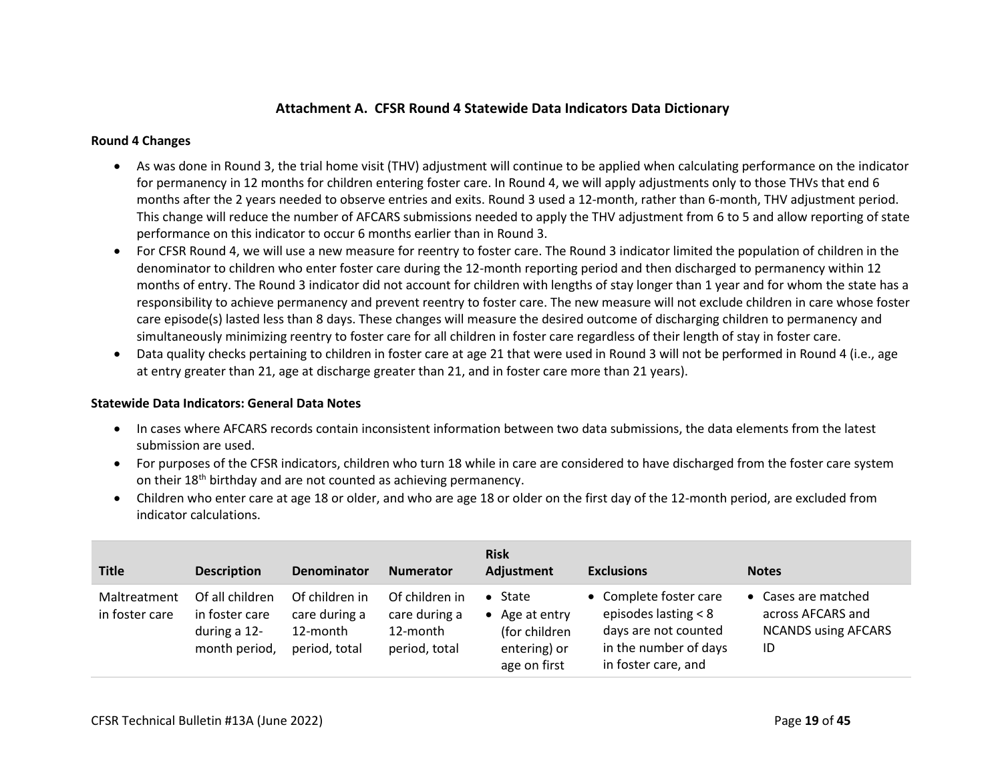# **Attachment A. CFSR Round 4 Statewide Data Indicators Data Dictionary**

#### **Round 4 Changes**

- As was done in Round 3, the trial home visit (THV) adjustment will continue to be applied when calculating performance on the indicator for permanency in 12 months for children entering foster care. In Round 4, we will apply adjustments only to those THVs that end 6 months after the 2 years needed to observe entries and exits. Round 3 used a 12-month, rather than 6-month, THV adjustment period. This change will reduce the number of AFCARS submissions needed to apply the THV adjustment from 6 to 5 and allow reporting of state performance on this indicator to occur 6 months earlier than in Round 3.
- For CFSR Round 4, we will use a new measure for reentry to foster care. The Round 3 indicator limited the population of children in the denominator to children who enter foster care during the 12-month reporting period and then discharged to permanency within 12 months of entry. The Round 3 indicator did not account for children with lengths of stay longer than 1 year and for whom the state has a responsibility to achieve permanency and prevent reentry to foster care. The new measure will not exclude children in care whose foster care episode(s) lasted less than 8 days. These changes will measure the desired outcome of discharging children to permanency and simultaneously minimizing reentry to foster care for all children in foster care regardless of their length of stay in foster care.
- Data quality checks pertaining to children in foster care at age 21 that were used in Round 3 will not be performed in Round 4 (i.e., age at entry greater than 21, age at discharge greater than 21, and in foster care more than 21 years).

#### **Statewide Data Indicators: General Data Notes**

- In cases where AFCARS records contain inconsistent information between two data submissions, the data elements from the latest submission are used.
- For purposes of the CFSR indicators, children who turn 18 while in care are considered to have discharged from the foster care system on their 18<sup>th</sup> birthday and are not counted as achieving permanency.
- Children who enter care at age 18 or older, and who are age 18 or older on the first day of the 12-month period, are excluded from indicator calculations.

| <b>Title</b>                   | <b>Description</b>                                                 | Denominator                                                  | Numerator                                                    | <b>Risk</b><br>Adjustment                                                           | <b>Exclusions</b>                                                                                                        | <b>Notes</b>                                                                 |
|--------------------------------|--------------------------------------------------------------------|--------------------------------------------------------------|--------------------------------------------------------------|-------------------------------------------------------------------------------------|--------------------------------------------------------------------------------------------------------------------------|------------------------------------------------------------------------------|
| Maltreatment<br>in foster care | Of all children<br>in foster care<br>during a 12-<br>month period, | Of children in<br>care during a<br>12-month<br>period, total | Of children in<br>care during a<br>12-month<br>period, total | State<br>Age at entry<br>$\bullet$<br>(for children<br>entering) or<br>age on first | • Complete foster care<br>episodes lasting $< 8$<br>days are not counted<br>in the number of days<br>in foster care, and | • Cases are matched<br>across AFCARS and<br><b>NCANDS using AFCARS</b><br>ID |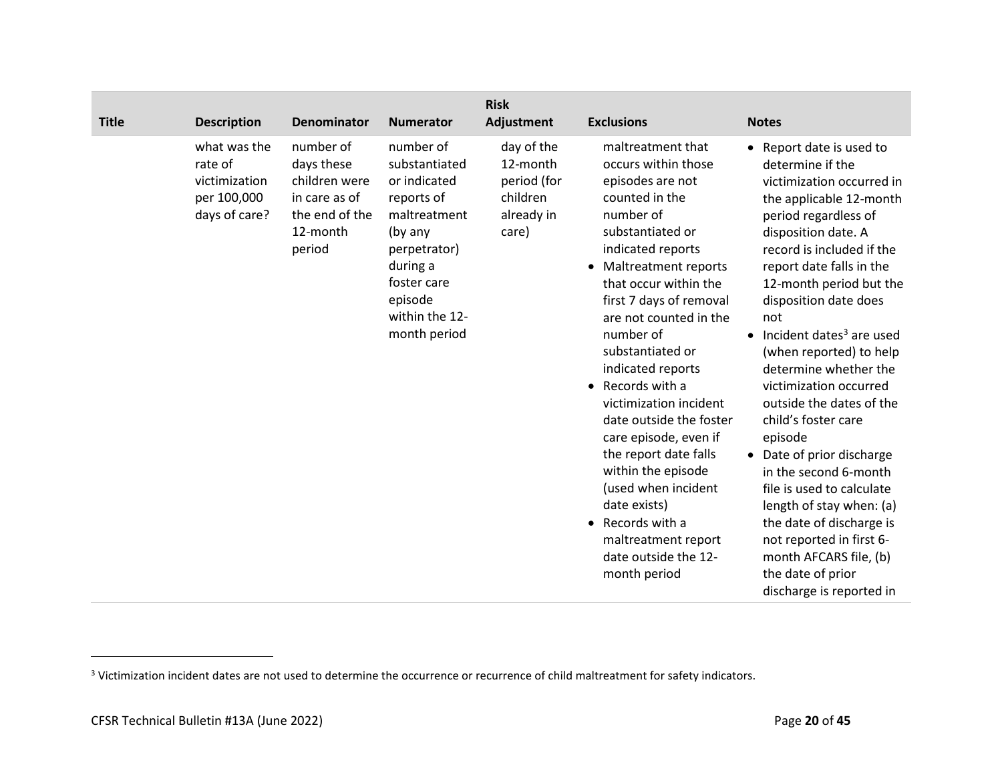| <b>Title</b> | <b>Description</b>                                                       | <b>Denominator</b>                                                                                | <b>Numerator</b>                                                                                                                                                            | <b>Risk</b><br>Adjustment                                                | <b>Exclusions</b>                                                                                                                                                                                                                                                                                                                                                                                                                                                                                                                                                                           | <b>Notes</b>                                                                                                                                                                                                                                                                                                                                                                                                                                                                                                                                                                                                                                                                                                            |
|--------------|--------------------------------------------------------------------------|---------------------------------------------------------------------------------------------------|-----------------------------------------------------------------------------------------------------------------------------------------------------------------------------|--------------------------------------------------------------------------|---------------------------------------------------------------------------------------------------------------------------------------------------------------------------------------------------------------------------------------------------------------------------------------------------------------------------------------------------------------------------------------------------------------------------------------------------------------------------------------------------------------------------------------------------------------------------------------------|-------------------------------------------------------------------------------------------------------------------------------------------------------------------------------------------------------------------------------------------------------------------------------------------------------------------------------------------------------------------------------------------------------------------------------------------------------------------------------------------------------------------------------------------------------------------------------------------------------------------------------------------------------------------------------------------------------------------------|
|              | what was the<br>rate of<br>victimization<br>per 100,000<br>days of care? | number of<br>days these<br>children were<br>in care as of<br>the end of the<br>12-month<br>period | number of<br>substantiated<br>or indicated<br>reports of<br>maltreatment<br>(by any<br>perpetrator)<br>during a<br>foster care<br>episode<br>within the 12-<br>month period | day of the<br>12-month<br>period (for<br>children<br>already in<br>care) | maltreatment that<br>occurs within those<br>episodes are not<br>counted in the<br>number of<br>substantiated or<br>indicated reports<br><b>Maltreatment reports</b><br>$\bullet$<br>that occur within the<br>first 7 days of removal<br>are not counted in the<br>number of<br>substantiated or<br>indicated reports<br>Records with a<br>victimization incident<br>date outside the foster<br>care episode, even if<br>the report date falls<br>within the episode<br>(used when incident<br>date exists)<br>Records with a<br>maltreatment report<br>date outside the 12-<br>month period | • Report date is used to<br>determine if the<br>victimization occurred in<br>the applicable 12-month<br>period regardless of<br>disposition date. A<br>record is included if the<br>report date falls in the<br>12-month period but the<br>disposition date does<br>not<br>$\bullet$ Incident dates <sup>3</sup> are used<br>(when reported) to help<br>determine whether the<br>victimization occurred<br>outside the dates of the<br>child's foster care<br>episode<br>• Date of prior discharge<br>in the second 6-month<br>file is used to calculate<br>length of stay when: (a)<br>the date of discharge is<br>not reported in first 6-<br>month AFCARS file, (b)<br>the date of prior<br>discharge is reported in |

<sup>&</sup>lt;sup>3</sup> Victimization incident dates are not used to determine the occurrence or recurrence of child maltreatment for safety indicators.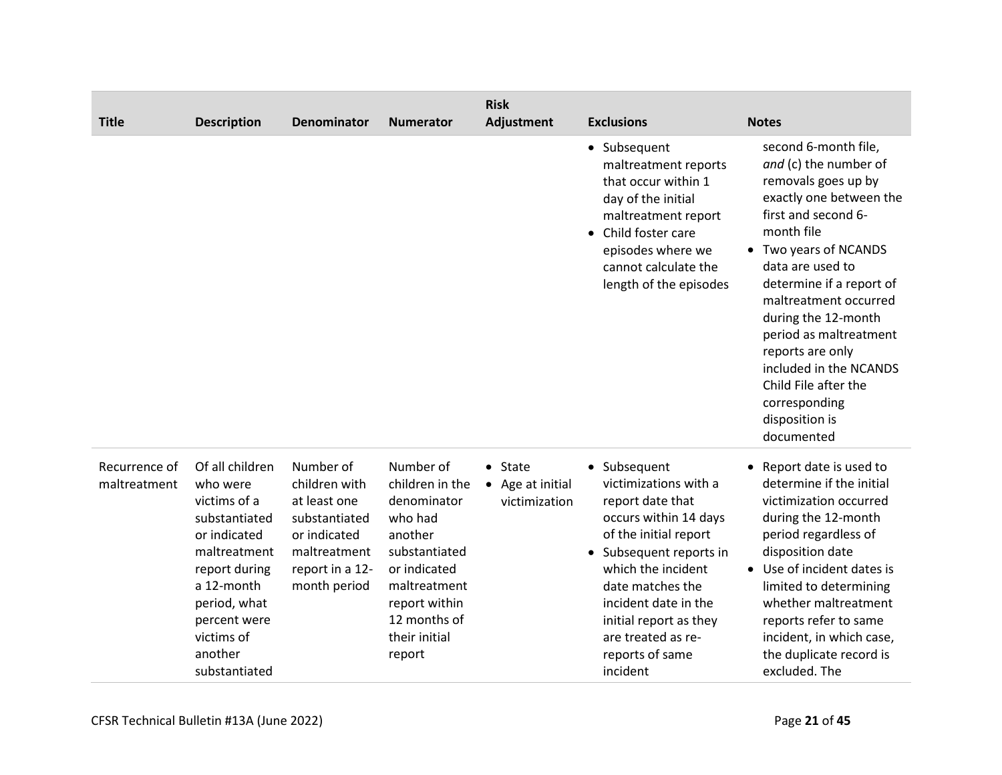| <b>Title</b>                  | <b>Description</b>                                                                                                                                                                                    | <b>Denominator</b>                                                                                                             | <b>Numerator</b>                                                                                                                                                               | <b>Risk</b><br>Adjustment                      | <b>Exclusions</b>                                                                                                                                                                                                                                                                                  | <b>Notes</b>                                                                                                                                                                                                                                                                                                                                                                                                   |
|-------------------------------|-------------------------------------------------------------------------------------------------------------------------------------------------------------------------------------------------------|--------------------------------------------------------------------------------------------------------------------------------|--------------------------------------------------------------------------------------------------------------------------------------------------------------------------------|------------------------------------------------|----------------------------------------------------------------------------------------------------------------------------------------------------------------------------------------------------------------------------------------------------------------------------------------------------|----------------------------------------------------------------------------------------------------------------------------------------------------------------------------------------------------------------------------------------------------------------------------------------------------------------------------------------------------------------------------------------------------------------|
|                               |                                                                                                                                                                                                       |                                                                                                                                |                                                                                                                                                                                |                                                | • Subsequent<br>maltreatment reports<br>that occur within 1<br>day of the initial<br>maltreatment report<br>Child foster care<br>$\bullet$<br>episodes where we<br>cannot calculate the<br>length of the episodes                                                                                  | second 6-month file,<br>and (c) the number of<br>removals goes up by<br>exactly one between the<br>first and second 6-<br>month file<br>• Two years of NCANDS<br>data are used to<br>determine if a report of<br>maltreatment occurred<br>during the 12-month<br>period as maltreatment<br>reports are only<br>included in the NCANDS<br>Child File after the<br>corresponding<br>disposition is<br>documented |
| Recurrence of<br>maltreatment | Of all children<br>who were<br>victims of a<br>substantiated<br>or indicated<br>maltreatment<br>report during<br>a 12-month<br>period, what<br>percent were<br>victims of<br>another<br>substantiated | Number of<br>children with<br>at least one<br>substantiated<br>or indicated<br>maltreatment<br>report in a 12-<br>month period | Number of<br>children in the<br>denominator<br>who had<br>another<br>substantiated<br>or indicated<br>maltreatment<br>report within<br>12 months of<br>their initial<br>report | $•$ State<br>• Age at initial<br>victimization | • Subsequent<br>victimizations with a<br>report date that<br>occurs within 14 days<br>of the initial report<br>Subsequent reports in<br>$\bullet$<br>which the incident<br>date matches the<br>incident date in the<br>initial report as they<br>are treated as re-<br>reports of same<br>incident | • Report date is used to<br>determine if the initial<br>victimization occurred<br>during the 12-month<br>period regardless of<br>disposition date<br>• Use of incident dates is<br>limited to determining<br>whether maltreatment<br>reports refer to same<br>incident, in which case,<br>the duplicate record is<br>excluded. The                                                                             |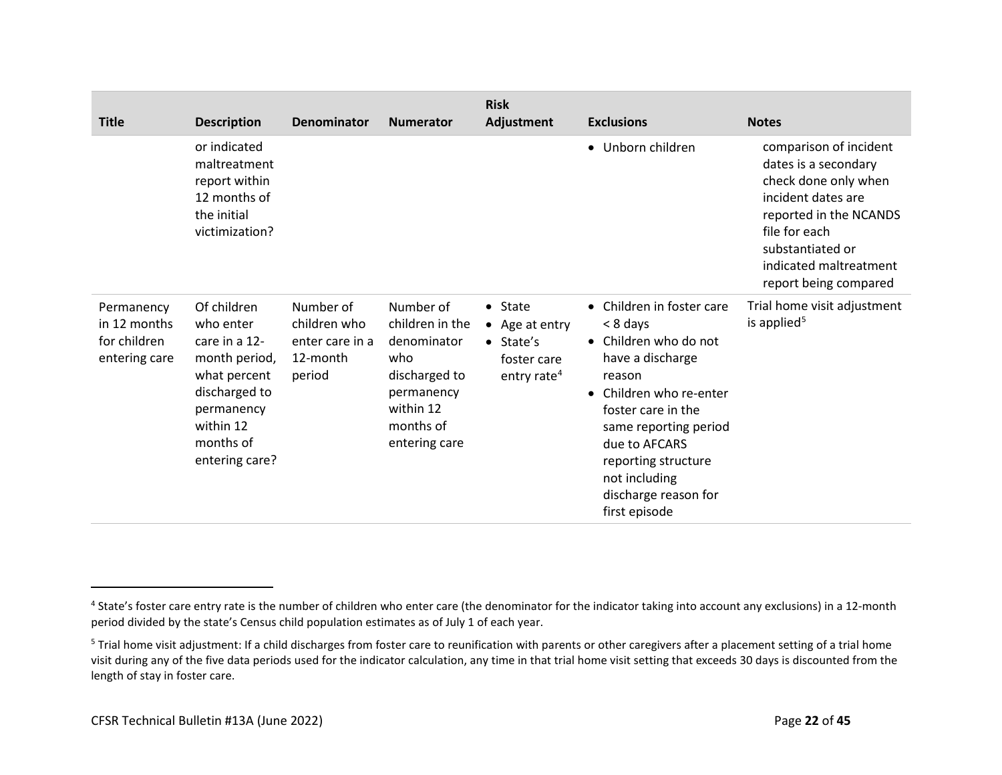| <b>Title</b>                                                | <b>Description</b>                                                                                                                                    | Denominator                                                        | <b>Numerator</b>                                                                                                             | <b>Risk</b><br>Adjustment                                                                  | <b>Exclusions</b>                                                                                                                                                                                                                                                                                         | <b>Notes</b>                                                                                                                                                                                                   |
|-------------------------------------------------------------|-------------------------------------------------------------------------------------------------------------------------------------------------------|--------------------------------------------------------------------|------------------------------------------------------------------------------------------------------------------------------|--------------------------------------------------------------------------------------------|-----------------------------------------------------------------------------------------------------------------------------------------------------------------------------------------------------------------------------------------------------------------------------------------------------------|----------------------------------------------------------------------------------------------------------------------------------------------------------------------------------------------------------------|
|                                                             | or indicated<br>maltreatment<br>report within<br>12 months of<br>the initial<br>victimization?                                                        |                                                                    |                                                                                                                              |                                                                                            | • Unborn children                                                                                                                                                                                                                                                                                         | comparison of incident<br>dates is a secondary<br>check done only when<br>incident dates are<br>reported in the NCANDS<br>file for each<br>substantiated or<br>indicated maltreatment<br>report being compared |
| Permanency<br>in 12 months<br>for children<br>entering care | Of children<br>who enter<br>care in a 12-<br>month period,<br>what percent<br>discharged to<br>permanency<br>within 12<br>months of<br>entering care? | Number of<br>children who<br>enter care in a<br>12-month<br>period | Number of<br>children in the<br>denominator<br>who<br>discharged to<br>permanency<br>within 12<br>months of<br>entering care | $•$ State<br>• Age at entry<br>$\bullet$ State's<br>foster care<br>entry rate <sup>4</sup> | Children in foster care<br>$\bullet$<br>< 8 days<br>Children who do not<br>$\bullet$<br>have a discharge<br>reason<br>Children who re-enter<br>$\bullet$<br>foster care in the<br>same reporting period<br>due to AFCARS<br>reporting structure<br>not including<br>discharge reason for<br>first episode | Trial home visit adjustment<br>is applied <sup>5</sup>                                                                                                                                                         |

<sup>&</sup>lt;sup>4</sup> State's foster care entry rate is the number of children who enter care (the denominator for the indicator taking into account any exclusions) in a 12-month period divided by the state's Census child population estimates as of July 1 of each year.

<sup>&</sup>lt;sup>5</sup> Trial home visit adjustment: If a child discharges from foster care to reunification with parents or other caregivers after a placement setting of a trial home visit during any of the five data periods used for the indicator calculation, any time in that trial home visit setting that exceeds 30 days is discounted from the length of stay in foster care.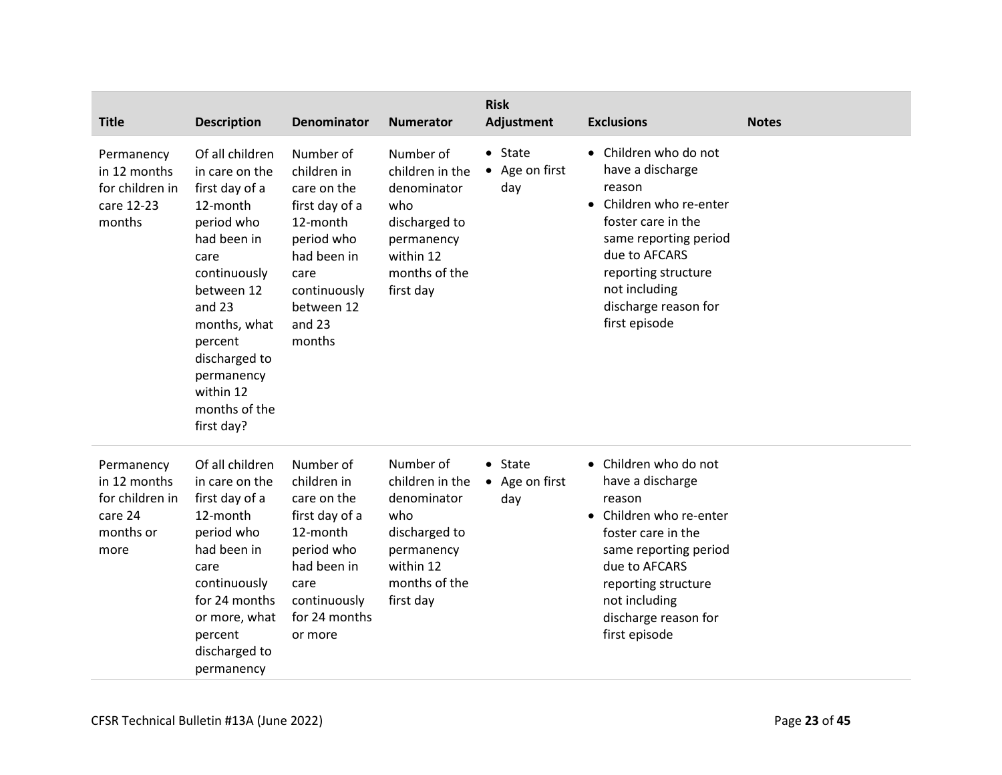| <b>Title</b>                                                                  | <b>Description</b>                                                                                                                                                                                                                                 | <b>Denominator</b>                                                                                                                                           | <b>Numerator</b>                                                                                                             | <b>Risk</b><br>Adjustment                | <b>Exclusions</b>                                                                                                                                                                                                               | <b>Notes</b> |
|-------------------------------------------------------------------------------|----------------------------------------------------------------------------------------------------------------------------------------------------------------------------------------------------------------------------------------------------|--------------------------------------------------------------------------------------------------------------------------------------------------------------|------------------------------------------------------------------------------------------------------------------------------|------------------------------------------|---------------------------------------------------------------------------------------------------------------------------------------------------------------------------------------------------------------------------------|--------------|
| Permanency<br>in 12 months<br>for children in<br>care 12-23<br>months         | Of all children<br>in care on the<br>first day of a<br>12-month<br>period who<br>had been in<br>care<br>continuously<br>between 12<br>and 23<br>months, what<br>percent<br>discharged to<br>permanency<br>within 12<br>months of the<br>first day? | Number of<br>children in<br>care on the<br>first day of a<br>12-month<br>period who<br>had been in<br>care<br>continuously<br>between 12<br>and 23<br>months | Number of<br>children in the<br>denominator<br>who<br>discharged to<br>permanency<br>within 12<br>months of the<br>first day | $\bullet$ State<br>• Age on first<br>day | • Children who do not<br>have a discharge<br>reason<br>• Children who re-enter<br>foster care in the<br>same reporting period<br>due to AFCARS<br>reporting structure<br>not including<br>discharge reason for<br>first episode |              |
| Permanency<br>in 12 months<br>for children in<br>care 24<br>months or<br>more | Of all children<br>in care on the<br>first day of a<br>12-month<br>period who<br>had been in<br>care<br>continuously<br>for 24 months<br>or more, what<br>percent<br>discharged to<br>permanency                                                   | Number of<br>children in<br>care on the<br>first day of a<br>12-month<br>period who<br>had been in<br>care<br>continuously<br>for 24 months<br>or more       | Number of<br>children in the<br>denominator<br>who<br>discharged to<br>permanency<br>within 12<br>months of the<br>first day | $\bullet$ State<br>• Age on first<br>day | • Children who do not<br>have a discharge<br>reason<br>• Children who re-enter<br>foster care in the<br>same reporting period<br>due to AFCARS<br>reporting structure<br>not including<br>discharge reason for<br>first episode |              |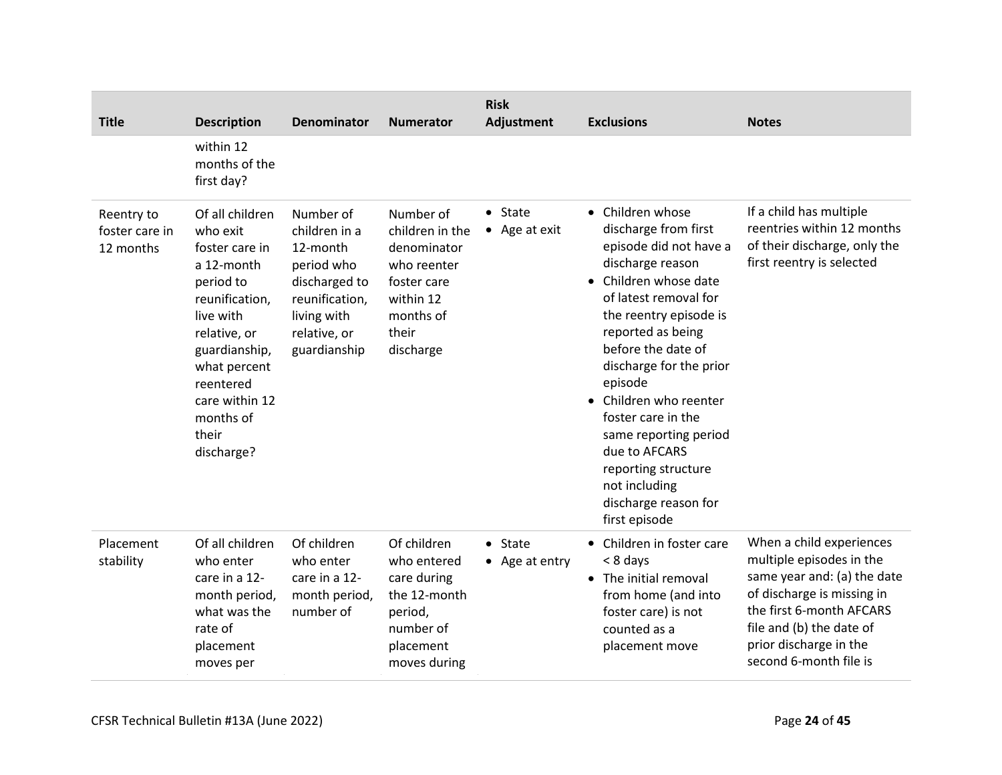| <b>Title</b>                              | <b>Description</b>                                                                                                                                                                                                          | Denominator                                                                                                                            | <b>Numerator</b>                                                                                                          | <b>Risk</b><br>Adjustment        | <b>Exclusions</b>                                                                                                                                                                                                                                                                                                                                                                                                                         | <b>Notes</b>                                                                                                                                                                                                                  |
|-------------------------------------------|-----------------------------------------------------------------------------------------------------------------------------------------------------------------------------------------------------------------------------|----------------------------------------------------------------------------------------------------------------------------------------|---------------------------------------------------------------------------------------------------------------------------|----------------------------------|-------------------------------------------------------------------------------------------------------------------------------------------------------------------------------------------------------------------------------------------------------------------------------------------------------------------------------------------------------------------------------------------------------------------------------------------|-------------------------------------------------------------------------------------------------------------------------------------------------------------------------------------------------------------------------------|
|                                           | within 12<br>months of the<br>first day?                                                                                                                                                                                    |                                                                                                                                        |                                                                                                                           |                                  |                                                                                                                                                                                                                                                                                                                                                                                                                                           |                                                                                                                                                                                                                               |
| Reentry to<br>foster care in<br>12 months | Of all children<br>who exit<br>foster care in<br>a 12-month<br>period to<br>reunification,<br>live with<br>relative, or<br>guardianship,<br>what percent<br>reentered<br>care within 12<br>months of<br>their<br>discharge? | Number of<br>children in a<br>12-month<br>period who<br>discharged to<br>reunification,<br>living with<br>relative, or<br>guardianship | Number of<br>children in the<br>denominator<br>who reenter<br>foster care<br>within 12<br>months of<br>their<br>discharge | $\bullet$ State<br>• Age at exit | • Children whose<br>discharge from first<br>episode did not have a<br>discharge reason<br>• Children whose date<br>of latest removal for<br>the reentry episode is<br>reported as being<br>before the date of<br>discharge for the prior<br>episode<br>Children who reenter<br>$\bullet$<br>foster care in the<br>same reporting period<br>due to AFCARS<br>reporting structure<br>not including<br>discharge reason for<br>first episode | If a child has multiple<br>reentries within 12 months<br>of their discharge, only the<br>first reentry is selected                                                                                                            |
| Placement<br>stability                    | Of all children<br>who enter<br>care in a 12-<br>month period,<br>what was the<br>rate of<br>placement<br>moves per                                                                                                         | Of children<br>who enter<br>care in a 12-<br>month period,<br>number of                                                                | Of children<br>who entered<br>care during<br>the 12-month<br>period,<br>number of<br>placement<br>moves during            | $•$ State<br>• Age at entry      | Children in foster care<br>< 8 days<br>• The initial removal<br>from home (and into<br>foster care) is not<br>counted as a<br>placement move                                                                                                                                                                                                                                                                                              | When a child experiences<br>multiple episodes in the<br>same year and: (a) the date<br>of discharge is missing in<br>the first 6-month AFCARS<br>file and (b) the date of<br>prior discharge in the<br>second 6-month file is |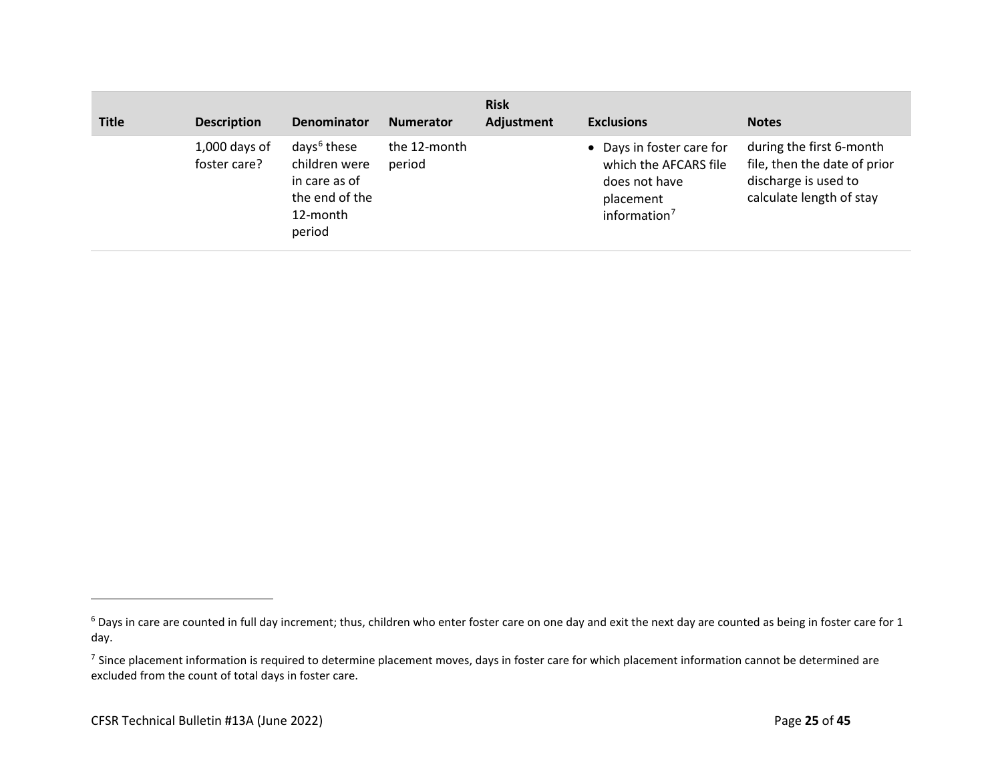| <b>Title</b> | <b>Description</b>              | <b>Denominator</b>                                                                                | <b>Numerator</b>       | <b>Risk</b><br>Adjustment | <b>Exclusions</b>                                                                                            | <b>Notes</b>                                                                                                 |
|--------------|---------------------------------|---------------------------------------------------------------------------------------------------|------------------------|---------------------------|--------------------------------------------------------------------------------------------------------------|--------------------------------------------------------------------------------------------------------------|
|              | $1,000$ days of<br>foster care? | days <sup>6</sup> these<br>children were<br>in care as of<br>the end of the<br>12-month<br>period | the 12-month<br>period |                           | • Days in foster care for<br>which the AFCARS file<br>does not have<br>placement<br>information <sup>7</sup> | during the first 6-month<br>file, then the date of prior<br>discharge is used to<br>calculate length of stay |

<sup>&</sup>lt;sup>6</sup> Days in care are counted in full day increment; thus, children who enter foster care on one day and exit the next day are counted as being in foster care for 1 day.

<sup>&</sup>lt;sup>7</sup> Since placement information is required to determine placement moves, days in foster care for which placement information cannot be determined are excluded from the count of total days in foster care.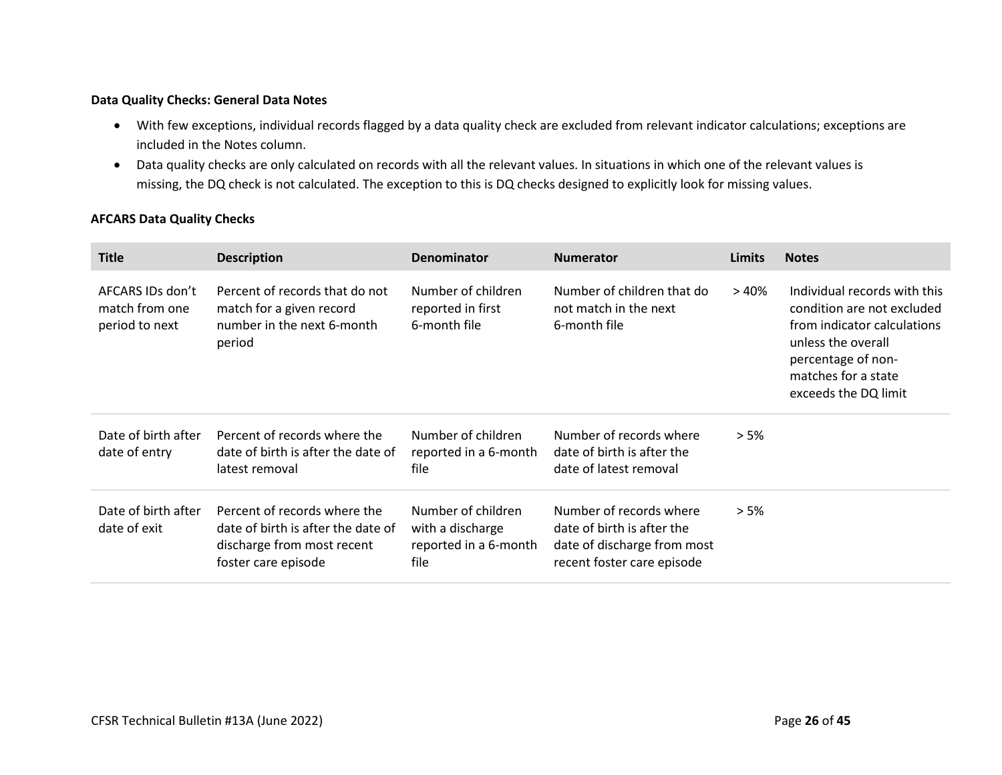### **Data Quality Checks: General Data Notes**

- With few exceptions, individual records flagged by a data quality check are excluded from relevant indicator calculations; exceptions are included in the Notes column.
- Data quality checks are only calculated on records with all the relevant values. In situations in which one of the relevant values is missing, the DQ check is not calculated. The exception to this is DQ checks designed to explicitly look for missing values.

#### **AFCARS Data Quality Checks**

<span id="page-25-0"></span>

| <b>Title</b>                                         | <b>Description</b>                                                                                                      | <b>Denominator</b>                                                      | <b>Numerator</b>                                                                                                   | Limits  | <b>Notes</b>                                                                                                                                                                         |
|------------------------------------------------------|-------------------------------------------------------------------------------------------------------------------------|-------------------------------------------------------------------------|--------------------------------------------------------------------------------------------------------------------|---------|--------------------------------------------------------------------------------------------------------------------------------------------------------------------------------------|
| AFCARS IDs don't<br>match from one<br>period to next | Percent of records that do not<br>match for a given record<br>number in the next 6-month<br>period                      | Number of children<br>reported in first<br>6-month file                 | Number of children that do<br>not match in the next<br>6-month file                                                | >40%    | Individual records with this<br>condition are not excluded<br>from indicator calculations<br>unless the overall<br>percentage of non-<br>matches for a state<br>exceeds the DQ limit |
| Date of birth after<br>date of entry                 | Percent of records where the<br>date of birth is after the date of<br>latest removal                                    | Number of children<br>reported in a 6-month<br>file                     | Number of records where<br>date of birth is after the<br>date of latest removal                                    | > 5%    |                                                                                                                                                                                      |
| Date of birth after<br>date of exit                  | Percent of records where the<br>date of birth is after the date of<br>discharge from most recent<br>foster care episode | Number of children<br>with a discharge<br>reported in a 6-month<br>file | Number of records where<br>date of birth is after the<br>date of discharge from most<br>recent foster care episode | $> 5\%$ |                                                                                                                                                                                      |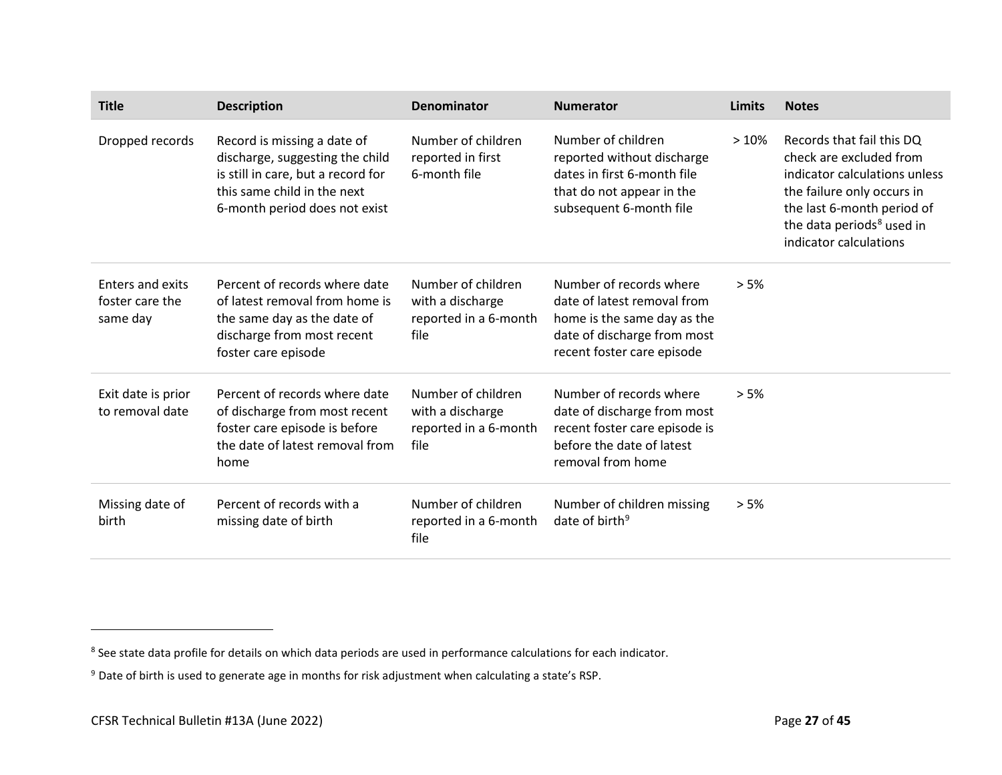| <b>Title</b>                                    | <b>Description</b>                                                                                                                                                   | Denominator                                                             | <b>Numerator</b>                                                                                                                                   | Limits | <b>Notes</b>                                                                                                                                                                                                         |
|-------------------------------------------------|----------------------------------------------------------------------------------------------------------------------------------------------------------------------|-------------------------------------------------------------------------|----------------------------------------------------------------------------------------------------------------------------------------------------|--------|----------------------------------------------------------------------------------------------------------------------------------------------------------------------------------------------------------------------|
| Dropped records                                 | Record is missing a date of<br>discharge, suggesting the child<br>is still in care, but a record for<br>this same child in the next<br>6-month period does not exist | Number of children<br>reported in first<br>6-month file                 | Number of children<br>reported without discharge<br>dates in first 6-month file<br>that do not appear in the<br>subsequent 6-month file            | >10%   | Records that fail this DO<br>check are excluded from<br>indicator calculations unless<br>the failure only occurs in<br>the last 6-month period of<br>the data periods <sup>8</sup> used in<br>indicator calculations |
| Enters and exits<br>foster care the<br>same day | Percent of records where date<br>of latest removal from home is<br>the same day as the date of<br>discharge from most recent<br>foster care episode                  | Number of children<br>with a discharge<br>reported in a 6-month<br>file | Number of records where<br>date of latest removal from<br>home is the same day as the<br>date of discharge from most<br>recent foster care episode | > 5%   |                                                                                                                                                                                                                      |
| Exit date is prior<br>to removal date           | Percent of records where date<br>of discharge from most recent<br>foster care episode is before<br>the date of latest removal from<br>home                           | Number of children<br>with a discharge<br>reported in a 6-month<br>file | Number of records where<br>date of discharge from most<br>recent foster care episode is<br>before the date of latest<br>removal from home          | > 5%   |                                                                                                                                                                                                                      |
| Missing date of<br>birth                        | Percent of records with a<br>missing date of birth                                                                                                                   | Number of children<br>reported in a 6-month<br>file                     | Number of children missing<br>date of birth <sup>9</sup>                                                                                           | > 5%   |                                                                                                                                                                                                                      |

<sup>&</sup>lt;sup>8</sup> See state data profile for details on which data periods are used in performance calculations for each indicator.

<sup>&</sup>lt;sup>9</sup> Date of birth is used to generate age in months for risk adjustment when calculating a state's RSP.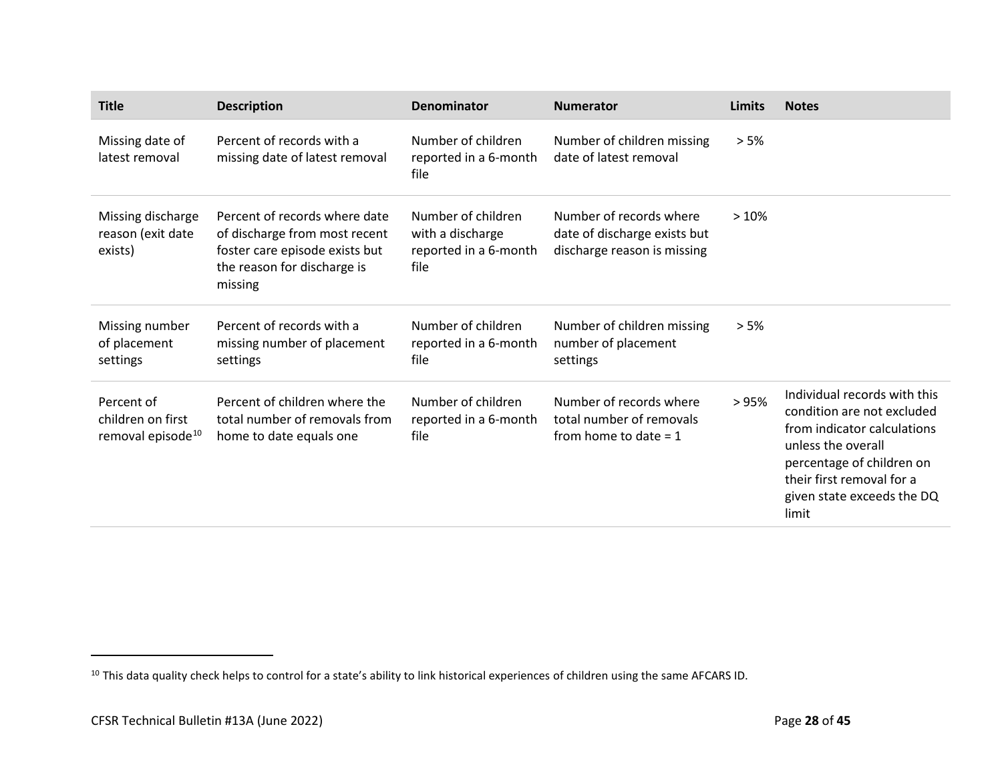| <b>Title</b>                                                     | <b>Description</b>                                                                                                                         | Denominator                                                             | <b>Numerator</b>                                                                       | Limits | <b>Notes</b>                                                                                                                                                                                                     |
|------------------------------------------------------------------|--------------------------------------------------------------------------------------------------------------------------------------------|-------------------------------------------------------------------------|----------------------------------------------------------------------------------------|--------|------------------------------------------------------------------------------------------------------------------------------------------------------------------------------------------------------------------|
| Missing date of<br>latest removal                                | Percent of records with a<br>missing date of latest removal                                                                                | Number of children<br>reported in a 6-month<br>file                     | Number of children missing<br>date of latest removal                                   | > 5%   |                                                                                                                                                                                                                  |
| Missing discharge<br>reason (exit date<br>exists)                | Percent of records where date<br>of discharge from most recent<br>foster care episode exists but<br>the reason for discharge is<br>missing | Number of children<br>with a discharge<br>reported in a 6-month<br>file | Number of records where<br>date of discharge exists but<br>discharge reason is missing | >10%   |                                                                                                                                                                                                                  |
| Missing number<br>of placement<br>settings                       | Percent of records with a<br>missing number of placement<br>settings                                                                       | Number of children<br>reported in a 6-month<br>file                     | Number of children missing<br>number of placement<br>settings                          | > 5%   |                                                                                                                                                                                                                  |
| Percent of<br>children on first<br>removal episode <sup>10</sup> | Percent of children where the<br>total number of removals from<br>home to date equals one                                                  | Number of children<br>reported in a 6-month<br>file                     | Number of records where<br>total number of removals<br>from home to date $= 1$         | >95%   | Individual records with this<br>condition are not excluded<br>from indicator calculations<br>unless the overall<br>percentage of children on<br>their first removal for a<br>given state exceeds the DQ<br>limit |

<sup>&</sup>lt;sup>10</sup> This data quality check helps to control for a state's ability to link historical experiences of children using the same AFCARS ID.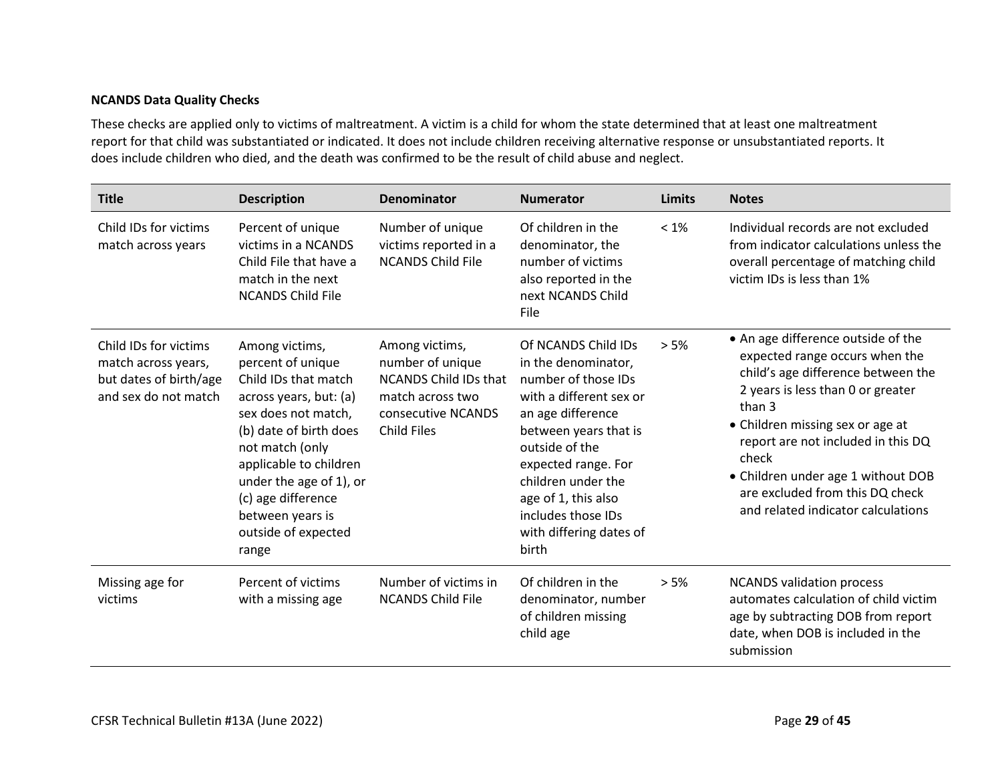#### **NCANDS Data Quality Checks**

These checks are applied only to victims of maltreatment. A victim is a child for whom the state determined that at least one maltreatment report for that child was substantiated or indicated. It does not include children receiving alternative response or unsubstantiated reports. It does include children who died, and the death was confirmed to be the result of child abuse and neglect.

| <b>Title</b>                                                                                   | <b>Description</b>                                                                                                                                                                                                                                                                       | Denominator                                                                                                                        | <b>Numerator</b>                                                                                                                                                                                                                                                                           | Limits  | <b>Notes</b>                                                                                                                                                                                                                                                                                                                                                |
|------------------------------------------------------------------------------------------------|------------------------------------------------------------------------------------------------------------------------------------------------------------------------------------------------------------------------------------------------------------------------------------------|------------------------------------------------------------------------------------------------------------------------------------|--------------------------------------------------------------------------------------------------------------------------------------------------------------------------------------------------------------------------------------------------------------------------------------------|---------|-------------------------------------------------------------------------------------------------------------------------------------------------------------------------------------------------------------------------------------------------------------------------------------------------------------------------------------------------------------|
| Child IDs for victims<br>match across years                                                    | Percent of unique<br>victims in a NCANDS<br>Child File that have a<br>match in the next<br><b>NCANDS Child File</b>                                                                                                                                                                      | Number of unique<br>victims reported in a<br><b>NCANDS Child File</b>                                                              | Of children in the<br>denominator, the<br>number of victims<br>also reported in the<br>next NCANDS Child<br><b>File</b>                                                                                                                                                                    | $< 1\%$ | Individual records are not excluded<br>from indicator calculations unless the<br>overall percentage of matching child<br>victim IDs is less than 1%                                                                                                                                                                                                         |
| Child IDs for victims<br>match across years,<br>but dates of birth/age<br>and sex do not match | Among victims,<br>percent of unique<br>Child IDs that match<br>across years, but: (a)<br>sex does not match,<br>(b) date of birth does<br>not match (only<br>applicable to children<br>under the age of 1), or<br>(c) age difference<br>between years is<br>outside of expected<br>range | Among victims,<br>number of unique<br><b>NCANDS Child IDs that</b><br>match across two<br>consecutive NCANDS<br><b>Child Files</b> | Of NCANDS Child IDs<br>in the denominator,<br>number of those IDs<br>with a different sex or<br>an age difference<br>between years that is<br>outside of the<br>expected range. For<br>children under the<br>age of 1, this also<br>includes those IDs<br>with differing dates of<br>birth | > 5%    | • An age difference outside of the<br>expected range occurs when the<br>child's age difference between the<br>2 years is less than 0 or greater<br>than 3<br>• Children missing sex or age at<br>report are not included in this DQ<br>check<br>• Children under age 1 without DOB<br>are excluded from this DQ check<br>and related indicator calculations |
| Missing age for<br>victims                                                                     | Percent of victims<br>with a missing age                                                                                                                                                                                                                                                 | Number of victims in<br><b>NCANDS Child File</b>                                                                                   | Of children in the<br>denominator, number<br>of children missing<br>child age                                                                                                                                                                                                              | $> 5\%$ | <b>NCANDS validation process</b><br>automates calculation of child victim<br>age by subtracting DOB from report<br>date, when DOB is included in the<br>submission                                                                                                                                                                                          |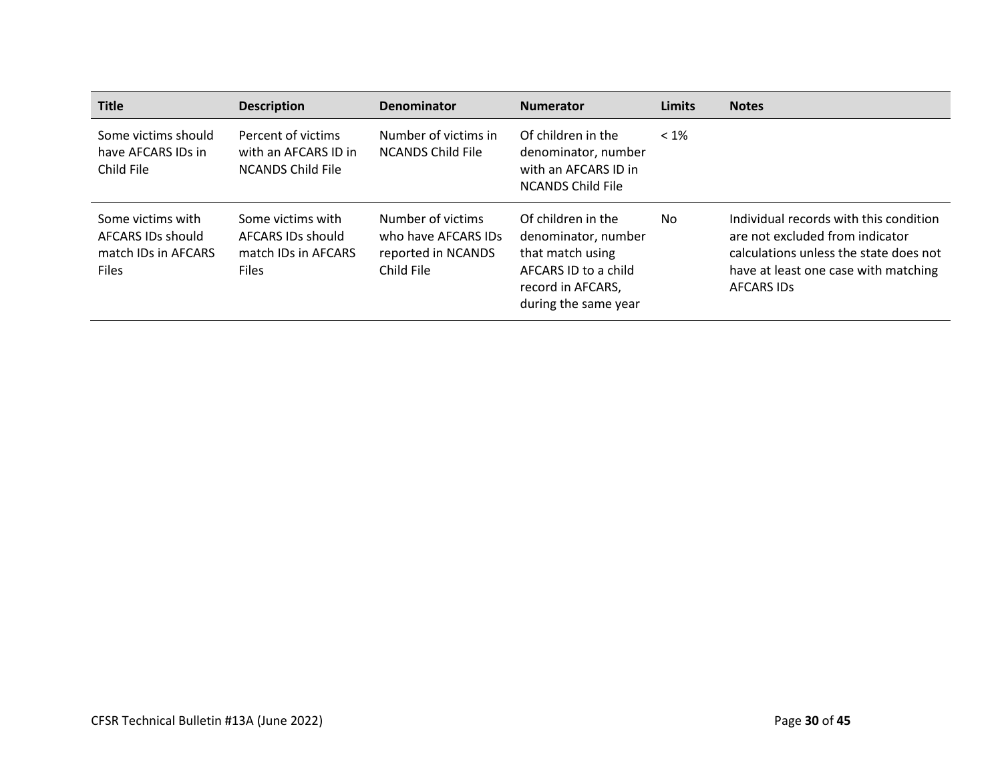| <b>Title</b>                                                                  | <b>Description</b>                                                            | <b>Denominator</b>                                                           | <b>Numerator</b>                                                                                                                   | <b>Limits</b> | <b>Notes</b>                                                                                                                                                                     |
|-------------------------------------------------------------------------------|-------------------------------------------------------------------------------|------------------------------------------------------------------------------|------------------------------------------------------------------------------------------------------------------------------------|---------------|----------------------------------------------------------------------------------------------------------------------------------------------------------------------------------|
| Some victims should<br>have AFCARS IDs in<br>Child File                       | Percent of victims<br>with an AFCARS ID in<br><b>NCANDS Child File</b>        | Number of victims in<br><b>NCANDS Child File</b>                             | Of children in the<br>denominator, number<br>with an AFCARS ID in<br><b>NCANDS Child File</b>                                      | $< 1\%$       |                                                                                                                                                                                  |
| Some victims with<br>AFCARS IDs should<br>match IDs in AFCARS<br><b>Files</b> | Some victims with<br>AFCARS IDs should<br>match IDs in AFCARS<br><b>Files</b> | Number of victims<br>who have AFCARS IDs<br>reported in NCANDS<br>Child File | Of children in the<br>denominator, number<br>that match using<br>AFCARS ID to a child<br>record in AFCARS,<br>during the same year | No.           | Individual records with this condition<br>are not excluded from indicator<br>calculations unless the state does not<br>have at least one case with matching<br><b>AFCARS IDS</b> |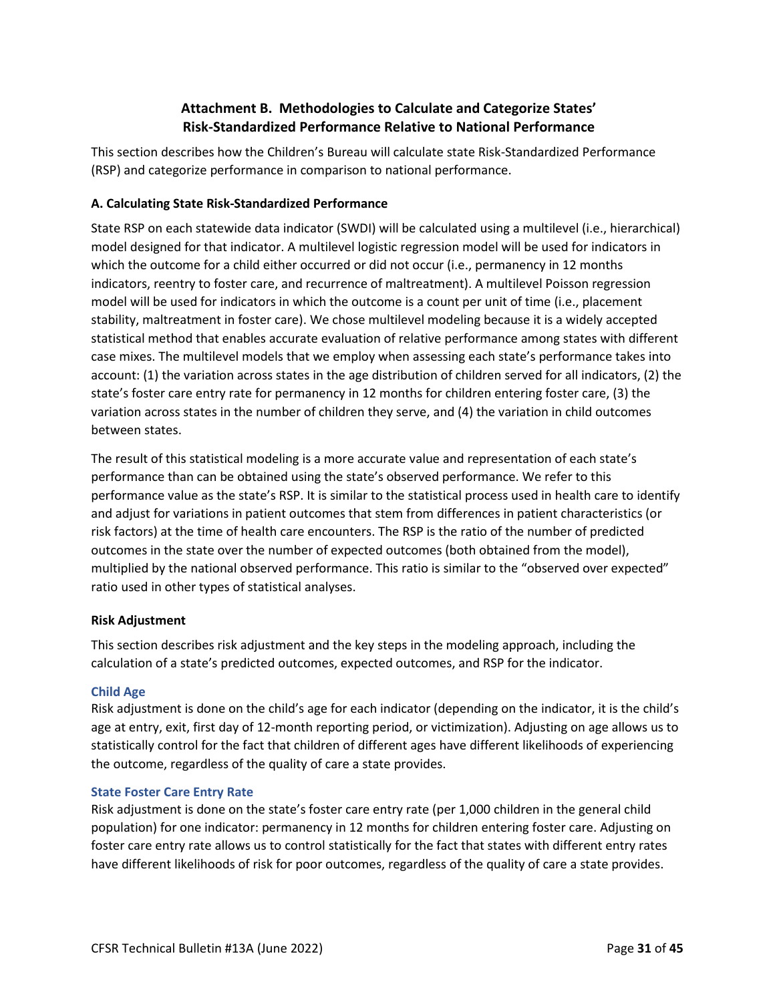# **Attachment B. Methodologies to Calculate and Categorize States' Risk-Standardized Performance Relative to National Performance**

This section describes how the Children's Bureau will calculate state Risk-Standardized Performance (RSP) and categorize performance in comparison to national performance.

## **A. Calculating State Risk-Standardized Performance**

State RSP on each statewide data indicator (SWDI) will be calculated using a multilevel (i.e., hierarchical) model designed for that indicator. A multilevel logistic regression model will be used for indicators in which the outcome for a child either occurred or did not occur (i.e., permanency in 12 months indicators, reentry to foster care, and recurrence of maltreatment). A multilevel Poisson regression model will be used for indicators in which the outcome is a count per unit of time (i.e., placement stability, maltreatment in foster care). We chose multilevel modeling because it is a widely accepted statistical method that enables accurate evaluation of relative performance among states with different case mixes. The multilevel models that we employ when assessing each state's performance takes into account: (1) the variation across states in the age distribution of children served for all indicators, (2) the state's foster care entry rate for permanency in 12 months for children entering foster care, (3) the variation across states in the number of children they serve, and (4) the variation in child outcomes between states.

The result of this statistical modeling is a more accurate value and representation of each state's performance than can be obtained using the state's observed performance. We refer to this performance value as the state's RSP. It is similar to the statistical process used in health care to identify and adjust for variations in patient outcomes that stem from differences in patient characteristics (or risk factors) at the time of health care encounters. The RSP is the ratio of the number of predicted outcomes in the state over the number of expected outcomes (both obtained from the model), multiplied by the national observed performance. This ratio is similar to the "observed over expected" ratio used in other types of statistical analyses.

## **Risk Adjustment**

This section describes risk adjustment and the key steps in the modeling approach, including the calculation of a state's predicted outcomes, expected outcomes, and RSP for the indicator.

## **Child Age**

Risk adjustment is done on the child's age for each indicator (depending on the indicator, it is the child's age at entry, exit, first day of 12-month reporting period, or victimization). Adjusting on age allows us to statistically control for the fact that children of different ages have different likelihoods of experiencing the outcome, regardless of the quality of care a state provides.

## **State Foster Care Entry Rate**

Risk adjustment is done on the state's foster care entry rate (per 1,000 children in the general child population) for one indicator: permanency in 12 months for children entering foster care. Adjusting on foster care entry rate allows us to control statistically for the fact that states with different entry rates have different likelihoods of risk for poor outcomes, regardless of the quality of care a state provides.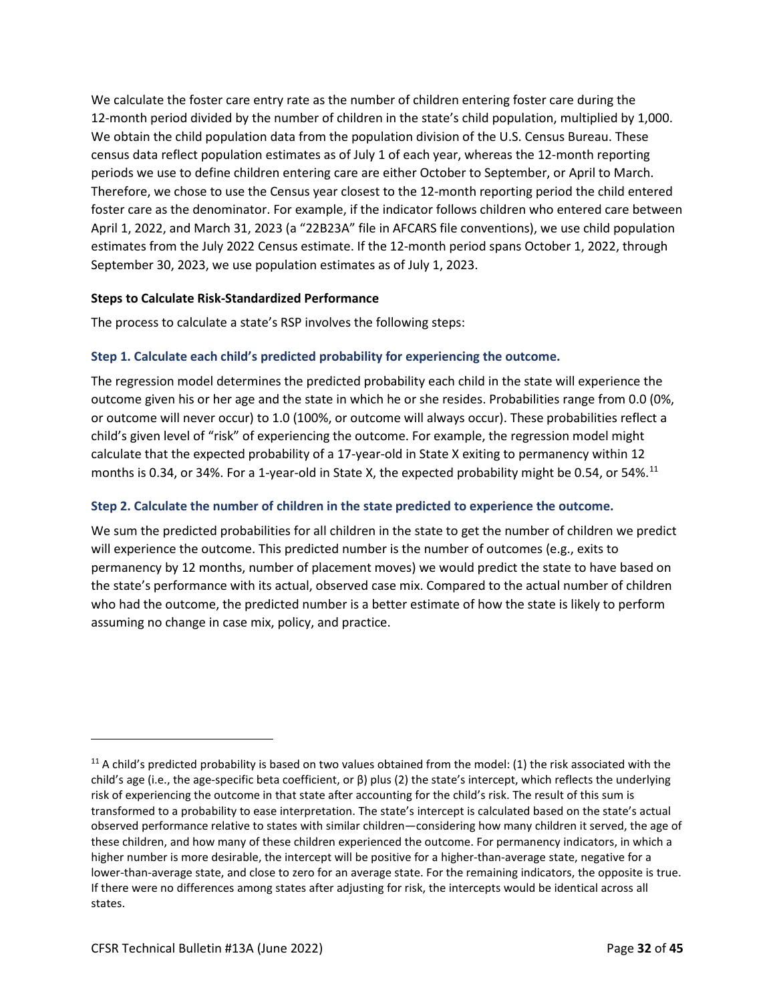We calculate the foster care entry rate as the number of children entering foster care during the 12-month period divided by the number of children in the state's child population, multiplied by 1,000. We obtain the child population data from the population division of the U.S. Census Bureau. These census data reflect population estimates as of July 1 of each year, whereas the 12-month reporting periods we use to define children entering care are either October to September, or April to March. Therefore, we chose to use the Census year closest to the 12-month reporting period the child entered foster care as the denominator. For example, if the indicator follows children who entered care between April 1, 2022, and March 31, 2023 (a "22B23A" file in AFCARS file conventions), we use child population estimates from the July 2022 Census estimate. If the 12-month period spans October 1, 2022, through September 30, 2023, we use population estimates as of July 1, 2023.

## **Steps to Calculate Risk-Standardized Performance**

The process to calculate a state's RSP involves the following steps:

## **Step 1. Calculate each child's predicted probability for experiencing the outcome.**

The regression model determines the predicted probability each child in the state will experience the outcome given his or her age and the state in which he or she resides. Probabilities range from 0.0 (0%, or outcome will never occur) to 1.0 (100%, or outcome will always occur). These probabilities reflect a child's given level of "risk" of experiencing the outcome. For example, the regression model might calculate that the expected probability of a 17-year-old in State X exiting to permanency within 12 months is 0.34, or 34%. For a 1-year-old in State X, the expected probability might be 0.54, or 54%.<sup>11</sup>

#### **Step 2. Calculate the number of children in the state predicted to experience the outcome.**

We sum the predicted probabilities for all children in the state to get the number of children we predict will experience the outcome. This predicted number is the number of outcomes (e.g., exits to permanency by 12 months, number of placement moves) we would predict the state to have based on the state's performance with its actual, observed case mix. Compared to the actual number of children who had the outcome, the predicted number is a better estimate of how the state is likely to perform assuming no change in case mix, policy, and practice.

 $11$  A child's predicted probability is based on two values obtained from the model: (1) the risk associated with the child's age (i.e., the age-specific beta coefficient, or β) plus (2) the state's intercept, which reflects the underlying risk of experiencing the outcome in that state after accounting for the child's risk. The result of this sum is transformed to a probability to ease interpretation. The state's intercept is calculated based on the state's actual observed performance relative to states with similar children—considering how many children it served, the age of these children, and how many of these children experienced the outcome. For permanency indicators, in which a higher number is more desirable, the intercept will be positive for a higher-than-average state, negative for a lower-than-average state, and close to zero for an average state. For the remaining indicators, the opposite is true. If there were no differences among states after adjusting for risk, the intercepts would be identical across all states.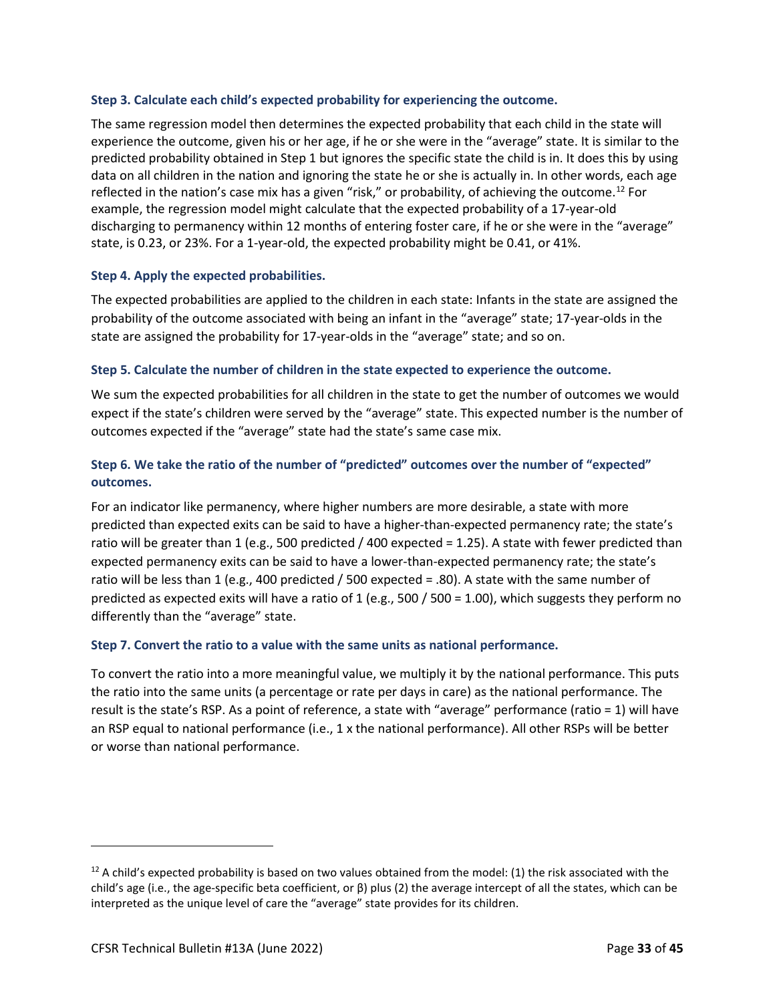#### **Step 3. Calculate each child's expected probability for experiencing the outcome.**

The same regression model then determines the expected probability that each child in the state will experience the outcome, given his or her age, if he or she were in the "average" state. It is similar to the predicted probability obtained in Step 1 but ignores the specific state the child is in. It does this by using data on all children in the nation and ignoring the state he or she is actually in. In other words, each age reflected in the nation's case mix has a given "risk," or probability, of achieving the outcome.<sup>12</sup> For example, the regression model might calculate that the expected probability of a 17-year-old discharging to permanency within 12 months of entering foster care, if he or she were in the "average" state, is 0.23, or 23%. For a 1-year-old, the expected probability might be 0.41, or 41%.

#### **Step 4. Apply the expected probabilities.**

The expected probabilities are applied to the children in each state: Infants in the state are assigned the probability of the outcome associated with being an infant in the "average" state; 17-year-olds in the state are assigned the probability for 17-year-olds in the "average" state; and so on.

#### **Step 5. Calculate the number of children in the state expected to experience the outcome.**

We sum the expected probabilities for all children in the state to get the number of outcomes we would expect if the state's children were served by the "average" state. This expected number is the number of outcomes expected if the "average" state had the state's same case mix.

# **Step 6. We take the ratio of the number of "predicted" outcomes over the number of "expected" outcomes.**

For an indicator like permanency, where higher numbers are more desirable, a state with more predicted than expected exits can be said to have a higher-than-expected permanency rate; the state's ratio will be greater than 1 (e.g., 500 predicted / 400 expected = 1.25). A state with fewer predicted than expected permanency exits can be said to have a lower-than-expected permanency rate; the state's ratio will be less than 1 (e.g., 400 predicted / 500 expected = .80). A state with the same number of predicted as expected exits will have a ratio of 1 (e.g., 500 / 500 = 1.00), which suggests they perform no differently than the "average" state.

#### **Step 7. Convert the ratio to a value with the same units as national performance.**

To convert the ratio into a more meaningful value, we multiply it by the national performance. This puts the ratio into the same units (a percentage or rate per days in care) as the national performance. The result is the state's RSP. As a point of reference, a state with "average" performance (ratio = 1) will have an RSP equal to national performance (i.e., 1 x the national performance). All other RSPs will be better or worse than national performance.

 $12$  A child's expected probability is based on two values obtained from the model: (1) the risk associated with the child's age (i.e., the age-specific beta coefficient, or β) plus (2) the average intercept of all the states, which can be interpreted as the unique level of care the "average" state provides for its children.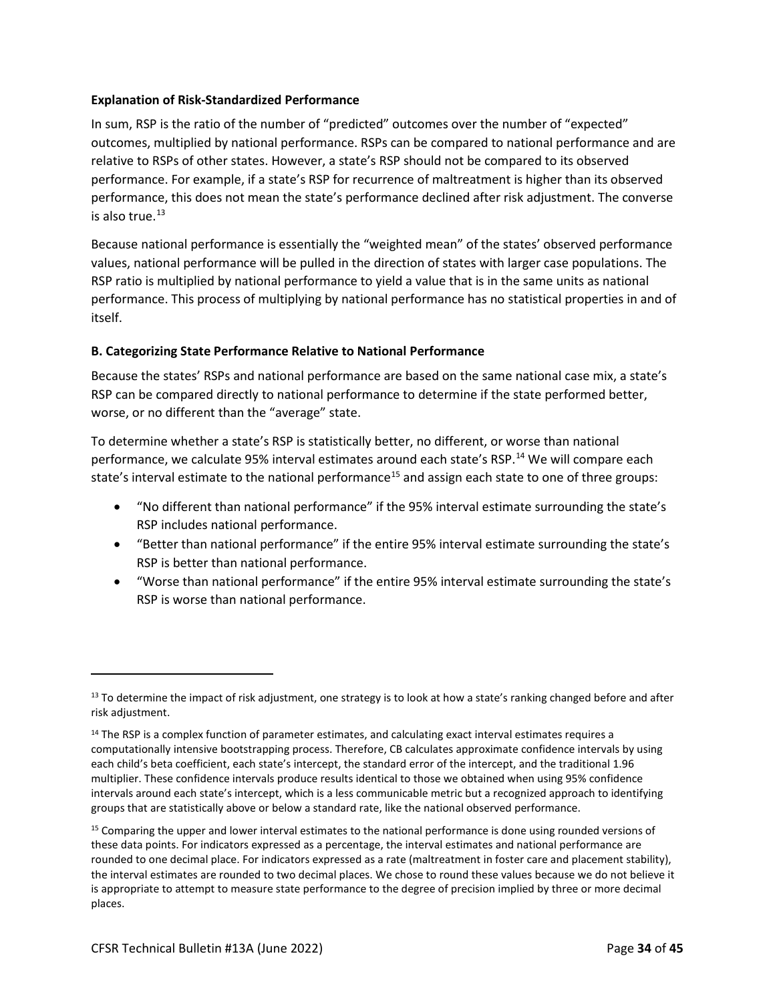#### **Explanation of Risk-Standardized Performance**

In sum, RSP is the ratio of the number of "predicted" outcomes over the number of "expected" outcomes, multiplied by national performance. RSPs can be compared to national performance and are relative to RSPs of other states. However, a state's RSP should not be compared to its observed performance. For example, if a state's RSP for recurrence of maltreatment is higher than its observed performance, this does not mean the state's performance declined after risk adjustment. The converse is also true. $13$ 

Because national performance is essentially the "weighted mean" of the states' observed performance values, national performance will be pulled in the direction of states with larger case populations. The RSP ratio is multiplied by national performance to yield a value that is in the same units as national performance. This process of multiplying by national performance has no statistical properties in and of itself.

## **B. Categorizing State Performance Relative to National Performance**

Because the states' RSPs and national performance are based on the same national case mix, a state's RSP can be compared directly to national performance to determine if the state performed better, worse, or no different than the "average" state.

To determine whether a state's RSP is statistically better, no different, or worse than national performance, we calculate 95% interval estimates around each state's RSP.<sup>14</sup> We will compare each state's interval estimate to the national performance<sup>15</sup> and assign each state to one of three groups:

- "No different than national performance" if the 95% interval estimate surrounding the state's RSP includes national performance.
- "Better than national performance" if the entire 95% interval estimate surrounding the state's RSP is better than national performance.
- "Worse than national performance" if the entire 95% interval estimate surrounding the state's RSP is worse than national performance.

 $13$  To determine the impact of risk adjustment, one strategy is to look at how a state's ranking changed before and after risk adjustment.

<sup>&</sup>lt;sup>14</sup> The RSP is a complex function of parameter estimates, and calculating exact interval estimates requires a computationally intensive bootstrapping process. Therefore, CB calculates approximate confidence intervals by using each child's beta coefficient, each state's intercept, the standard error of the intercept, and the traditional 1.96 multiplier. These confidence intervals produce results identical to those we obtained when using 95% confidence intervals around each state's intercept, which is a less communicable metric but a recognized approach to identifying groups that are statistically above or below a standard rate, like the national observed performance.

<sup>&</sup>lt;sup>15</sup> Comparing the upper and lower interval estimates to the national performance is done using rounded versions of these data points. For indicators expressed as a percentage, the interval estimates and national performance are rounded to one decimal place. For indicators expressed as a rate (maltreatment in foster care and placement stability), the interval estimates are rounded to two decimal places. We chose to round these values because we do not believe it is appropriate to attempt to measure state performance to the degree of precision implied by three or more decimal places.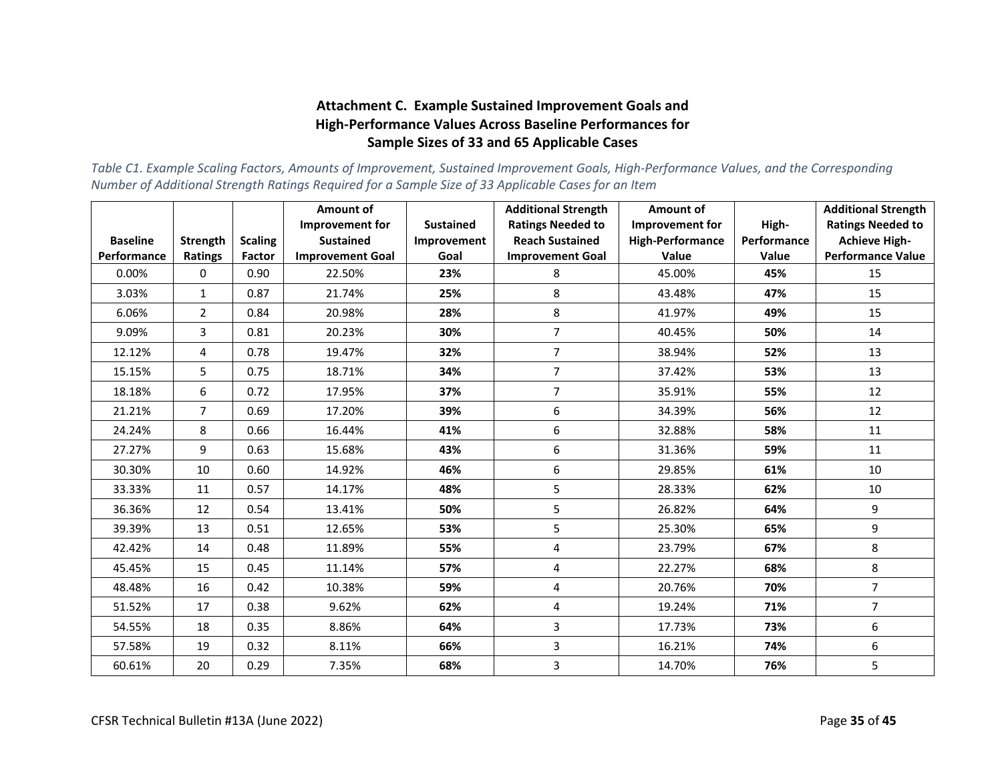# **Attachment C. Example Sustained Improvement Goals and High-Performance Values Across Baseline Performances for Sample Sizes of 33 and 65 Applicable Cases**

*Table C1. Example Scaling Factors, Amounts of Improvement, Sustained Improvement Goals, High-Performance Values, and the Corresponding Number of Additional Strength Ratings Required for a Sample Size of 33 Applicable Cases for an Item*

|                 |                 |                | <b>Amount of</b>                           |                                 | <b>Additional Strength</b>                         | Amount of                                         |                      | <b>Additional Strength</b>                       |
|-----------------|-----------------|----------------|--------------------------------------------|---------------------------------|----------------------------------------------------|---------------------------------------------------|----------------------|--------------------------------------------------|
| <b>Baseline</b> | <b>Strength</b> | <b>Scaling</b> | <b>Improvement for</b><br><b>Sustained</b> | <b>Sustained</b><br>Improvement | <b>Ratings Needed to</b><br><b>Reach Sustained</b> | <b>Improvement for</b><br><b>High-Performance</b> | High-<br>Performance | <b>Ratings Needed to</b><br><b>Achieve High-</b> |
| Performance     | <b>Ratings</b>  | Factor         | <b>Improvement Goal</b>                    | Goal                            | <b>Improvement Goal</b>                            | Value                                             | Value                | <b>Performance Value</b>                         |
| 0.00%           | 0               | 0.90           | 22.50%                                     | 23%                             | 8                                                  | 45.00%                                            | 45%                  | 15                                               |
| 3.03%           | $\mathbf{1}$    | 0.87           | 21.74%                                     | 25%                             | 8                                                  | 43.48%                                            | 47%                  | 15                                               |
| 6.06%           | $\overline{a}$  | 0.84           | 20.98%                                     | 28%                             | 8                                                  | 41.97%                                            | 49%                  | 15                                               |
| 9.09%           | 3               | 0.81           | 20.23%                                     | 30%                             | $\overline{7}$                                     | 40.45%                                            | 50%                  | 14                                               |
| 12.12%          | 4               | 0.78           | 19.47%                                     | 32%                             | $\overline{7}$                                     | 38.94%                                            | 52%                  | 13                                               |
| 15.15%          | 5               | 0.75           | 18.71%                                     | 34%                             | $\overline{7}$                                     | 37.42%                                            | 53%                  | 13                                               |
| 18.18%          | 6               | 0.72           | 17.95%                                     | 37%                             | $\overline{7}$                                     | 35.91%                                            | 55%                  | 12                                               |
| 21.21%          | $\overline{7}$  | 0.69           | 17.20%                                     | 39%                             | 6                                                  | 34.39%                                            | 56%                  | 12                                               |
| 24.24%          | 8               | 0.66           | 16.44%                                     | 41%                             | 6                                                  | 32.88%                                            | 58%                  | 11                                               |
| 27.27%          | 9               | 0.63           | 15.68%                                     | 43%                             | 6                                                  | 31.36%                                            | 59%                  | 11                                               |
| 30.30%          | 10              | 0.60           | 14.92%                                     | 46%                             | 6                                                  | 29.85%                                            | 61%                  | 10                                               |
| 33.33%          | 11              | 0.57           | 14.17%                                     | 48%                             | 5                                                  | 28.33%                                            | 62%                  | 10                                               |
| 36.36%          | 12              | 0.54           | 13.41%                                     | 50%                             | 5                                                  | 26.82%                                            | 64%                  | 9                                                |
| 39.39%          | 13              | 0.51           | 12.65%                                     | 53%                             | 5                                                  | 25.30%                                            | 65%                  | 9                                                |
| 42.42%          | 14              | 0.48           | 11.89%                                     | 55%                             | 4                                                  | 23.79%                                            | 67%                  | 8                                                |
| 45.45%          | 15              | 0.45           | 11.14%                                     | 57%                             | 4                                                  | 22.27%                                            | 68%                  | 8                                                |
| 48.48%          | 16              | 0.42           | 10.38%                                     | 59%                             | 4                                                  | 20.76%                                            | 70%                  | $\overline{7}$                                   |
| 51.52%          | 17              | 0.38           | 9.62%                                      | 62%                             | $\overline{\mathbf{4}}$                            | 19.24%                                            | 71%                  | $\overline{7}$                                   |
| 54.55%          | 18              | 0.35           | 8.86%                                      | 64%                             | 3                                                  | 17.73%                                            | 73%                  | 6                                                |
| 57.58%          | 19              | 0.32           | 8.11%                                      | 66%                             | 3                                                  | 16.21%                                            | 74%                  | 6                                                |
| 60.61%          | 20              | 0.29           | 7.35%                                      | 68%                             | 3                                                  | 14.70%                                            | 76%                  | 5                                                |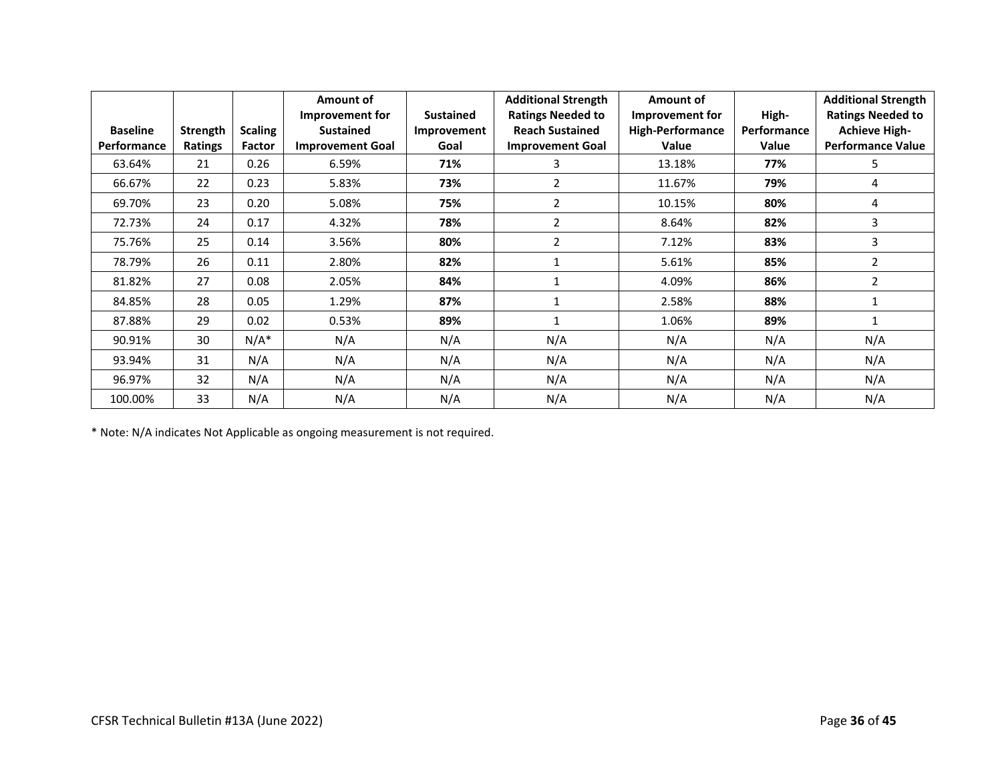| <b>Baseline</b> | Strength | <b>Scaling</b> | Amount of<br>Improvement for<br><b>Sustained</b> | <b>Sustained</b><br>Improvement | <b>Additional Strength</b><br><b>Ratings Needed to</b><br><b>Reach Sustained</b> | Amount of<br>Improvement for<br><b>High-Performance</b> | High-<br>Performance | <b>Additional Strength</b><br><b>Ratings Needed to</b><br><b>Achieve High-</b> |
|-----------------|----------|----------------|--------------------------------------------------|---------------------------------|----------------------------------------------------------------------------------|---------------------------------------------------------|----------------------|--------------------------------------------------------------------------------|
| Performance     | Ratings  | Factor         | <b>Improvement Goal</b>                          | Goal                            | <b>Improvement Goal</b>                                                          | Value                                                   | Value                | <b>Performance Value</b>                                                       |
| 63.64%          | 21       | 0.26           | 6.59%                                            | 71%                             | 3                                                                                | 13.18%                                                  | 77%                  | 5                                                                              |
| 66.67%          | 22       | 0.23           | 5.83%                                            | 73%                             | $\overline{2}$                                                                   | 11.67%                                                  | 79%                  | 4                                                                              |
| 69.70%          | 23       | 0.20           | 5.08%                                            | 75%                             | $\overline{2}$                                                                   | 10.15%                                                  | 80%                  | 4                                                                              |
| 72.73%          | 24       | 0.17           | 4.32%                                            | 78%                             | $\overline{2}$                                                                   | 8.64%                                                   | 82%                  | 3                                                                              |
| 75.76%          | 25       | 0.14           | 3.56%                                            | 80%                             | 2                                                                                | 7.12%                                                   | 83%                  | 3                                                                              |
| 78.79%          | 26       | 0.11           | 2.80%                                            | 82%                             |                                                                                  | 5.61%                                                   | 85%                  | $\overline{2}$                                                                 |
| 81.82%          | 27       | 0.08           | 2.05%                                            | 84%                             |                                                                                  | 4.09%                                                   | 86%                  | $\overline{2}$                                                                 |
| 84.85%          | 28       | 0.05           | 1.29%                                            | 87%                             |                                                                                  | 2.58%                                                   | 88%                  |                                                                                |
| 87.88%          | 29       | 0.02           | 0.53%                                            | 89%                             | $\mathbf{1}$                                                                     | 1.06%                                                   | 89%                  | 1                                                                              |
| 90.91%          | 30       | $N/A^*$        | N/A                                              | N/A                             | N/A                                                                              | N/A                                                     | N/A                  | N/A                                                                            |
| 93.94%          | 31       | N/A            | N/A                                              | N/A                             | N/A                                                                              | N/A                                                     | N/A                  | N/A                                                                            |
| 96.97%          | 32       | N/A            | N/A                                              | N/A                             | N/A                                                                              | N/A                                                     | N/A                  | N/A                                                                            |
| 100.00%         | 33       | N/A            | N/A                                              | N/A                             | N/A                                                                              | N/A                                                     | N/A                  | N/A                                                                            |

\* Note: N/A indicates Not Applicable as ongoing measurement is not required.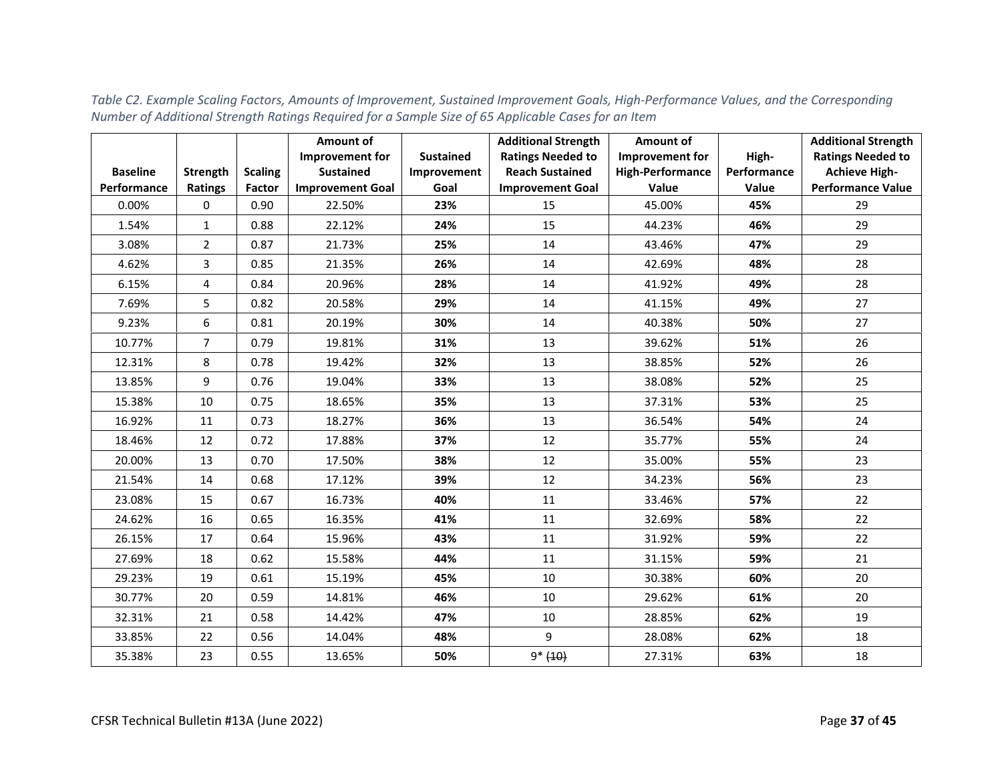|                 |                 |                | Amount of               |                  | <b>Additional Strength</b> | Amount of               |             | <b>Additional Strength</b> |
|-----------------|-----------------|----------------|-------------------------|------------------|----------------------------|-------------------------|-------------|----------------------------|
|                 |                 |                | <b>Improvement for</b>  | <b>Sustained</b> | <b>Ratings Needed to</b>   | Improvement for         | High-       | <b>Ratings Needed to</b>   |
| <b>Baseline</b> | <b>Strength</b> | <b>Scaling</b> | <b>Sustained</b>        | Improvement      | <b>Reach Sustained</b>     | <b>High-Performance</b> | Performance | <b>Achieve High-</b>       |
| Performance     | <b>Ratings</b>  | Factor         | <b>Improvement Goal</b> | Goal             | <b>Improvement Goal</b>    | Value                   | Value       | <b>Performance Value</b>   |
| 0.00%           | 0               | 0.90           | 22.50%                  | 23%              | 15                         | 45.00%                  | 45%         | 29                         |
| 1.54%           | $\mathbf{1}$    | 0.88           | 22.12%                  | 24%              | 15                         | 44.23%                  | 46%         | 29                         |
| 3.08%           | $\overline{2}$  | 0.87           | 21.73%                  | 25%              | 14                         | 43.46%                  | 47%         | 29                         |
| 4.62%           | 3               | 0.85           | 21.35%                  | 26%              | 14                         | 42.69%                  | 48%         | 28                         |
| 6.15%           | 4               | 0.84           | 20.96%                  | 28%              | 14                         | 41.92%                  | 49%         | 28                         |
| 7.69%           | 5               | 0.82           | 20.58%                  | 29%              | 14                         | 41.15%                  | 49%         | 27                         |
| 9.23%           | 6               | 0.81           | 20.19%                  | 30%              | 14                         | 40.38%                  | 50%         | 27                         |
| 10.77%          | $\overline{7}$  | 0.79           | 19.81%                  | 31%              | 13                         | 39.62%                  | 51%         | 26                         |
| 12.31%          | 8               | 0.78           | 19.42%                  | 32%              | 13                         | 38.85%                  | 52%         | 26                         |
| 13.85%          | 9               | 0.76           | 19.04%                  | 33%              | 13                         | 38.08%                  | 52%         | 25                         |
| 15.38%          | 10              | 0.75           | 18.65%                  | 35%              | 13                         | 37.31%                  | 53%         | 25                         |
| 16.92%          | 11              | 0.73           | 18.27%                  | 36%              | 13                         | 36.54%                  | 54%         | 24                         |
| 18.46%          | 12              | 0.72           | 17.88%                  | 37%              | 12                         | 35.77%                  | 55%         | 24                         |
| 20.00%          | 13              | 0.70           | 17.50%                  | 38%              | 12                         | 35.00%                  | 55%         | 23                         |
| 21.54%          | 14              | 0.68           | 17.12%                  | 39%              | 12                         | 34.23%                  | 56%         | 23                         |
| 23.08%          | 15              | 0.67           | 16.73%                  | 40%              | 11                         | 33.46%                  | 57%         | 22                         |
| 24.62%          | 16              | 0.65           | 16.35%                  | 41%              | 11                         | 32.69%                  | 58%         | 22                         |
| 26.15%          | 17              | 0.64           | 15.96%                  | 43%              | 11                         | 31.92%                  | 59%         | 22                         |
| 27.69%          | 18              | 0.62           | 15.58%                  | 44%              | 11                         | 31.15%                  | 59%         | 21                         |
| 29.23%          | 19              | 0.61           | 15.19%                  | 45%              | 10                         | 30.38%                  | 60%         | 20                         |
| 30.77%          | 20              | 0.59           | 14.81%                  | 46%              | 10                         | 29.62%                  | 61%         | 20                         |
| 32.31%          | 21              | 0.58           | 14.42%                  | 47%              | 10                         | 28.85%                  | 62%         | 19                         |
| 33.85%          | 22              | 0.56           | 14.04%                  | 48%              | 9                          | 28.08%                  | 62%         | 18                         |
| 35.38%          | 23              | 0.55           | 13.65%                  | 50%              | $9* (10)$                  | 27.31%                  | 63%         | 18                         |

*Table C2. Example Scaling Factors, Amounts of Improvement, Sustained Improvement Goals, High-Performance Values, and the Corresponding Number of Additional Strength Ratings Required for a Sample Size of 65 Applicable Cases for an Item*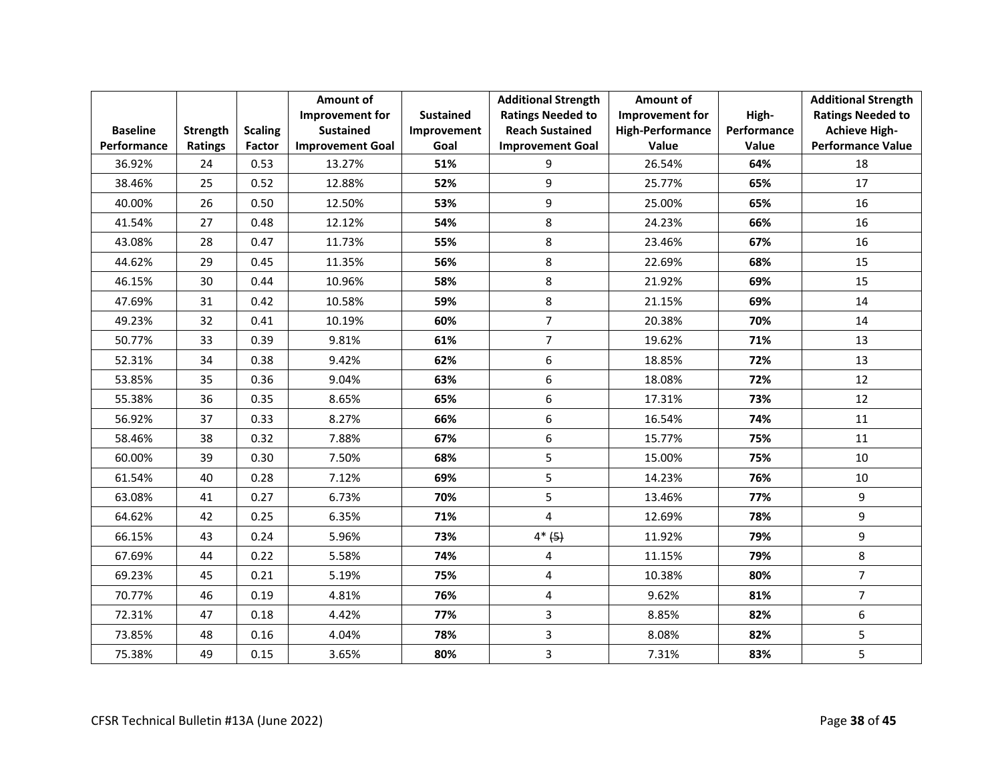|                 |                |                | Amount of               |                  | <b>Additional Strength</b> | Amount of               |             | <b>Additional Strength</b> |
|-----------------|----------------|----------------|-------------------------|------------------|----------------------------|-------------------------|-------------|----------------------------|
|                 |                |                | Improvement for         | <b>Sustained</b> | <b>Ratings Needed to</b>   | Improvement for         | High-       | <b>Ratings Needed to</b>   |
| <b>Baseline</b> | Strength       | <b>Scaling</b> | <b>Sustained</b>        | Improvement      | <b>Reach Sustained</b>     | <b>High-Performance</b> | Performance | <b>Achieve High-</b>       |
| Performance     | <b>Ratings</b> | Factor         | <b>Improvement Goal</b> | Goal             | <b>Improvement Goal</b>    | Value                   | Value       | <b>Performance Value</b>   |
| 36.92%          | 24             | 0.53           | 13.27%                  | 51%              | 9                          | 26.54%                  | 64%         | 18                         |
| 38.46%          | 25             | 0.52           | 12.88%                  | 52%              | 9                          | 25.77%                  | 65%         | 17                         |
| 40.00%          | 26             | 0.50           | 12.50%                  | 53%              | 9                          | 25.00%                  | 65%         | 16                         |
| 41.54%          | 27             | 0.48           | 12.12%                  | 54%              | 8                          | 24.23%                  | 66%         | 16                         |
| 43.08%          | 28             | 0.47           | 11.73%                  | 55%              | 8                          | 23.46%                  | 67%         | 16                         |
| 44.62%          | 29             | 0.45           | 11.35%                  | 56%              | 8                          | 22.69%                  | 68%         | 15                         |
| 46.15%          | 30             | 0.44           | 10.96%                  | 58%              | 8                          | 21.92%                  | 69%         | 15                         |
| 47.69%          | 31             | 0.42           | 10.58%                  | 59%              | 8                          | 21.15%                  | 69%         | 14                         |
| 49.23%          | 32             | 0.41           | 10.19%                  | 60%              | $\overline{7}$             | 20.38%                  | 70%         | 14                         |
| 50.77%          | 33             | 0.39           | 9.81%                   | 61%              | $\overline{7}$             | 19.62%                  | 71%         | 13                         |
| 52.31%          | 34             | 0.38           | 9.42%                   | 62%              | 6                          | 18.85%                  | 72%         | 13                         |
| 53.85%          | 35             | 0.36           | 9.04%                   | 63%              | 6                          | 18.08%                  | 72%         | 12                         |
| 55.38%          | 36             | 0.35           | 8.65%                   | 65%              | 6                          | 17.31%                  | 73%         | 12                         |
| 56.92%          | 37             | 0.33           | 8.27%                   | 66%              | 6                          | 16.54%                  | 74%         | 11                         |
| 58.46%          | 38             | 0.32           | 7.88%                   | 67%              | 6                          | 15.77%                  | 75%         | 11                         |
| 60.00%          | 39             | 0.30           | 7.50%                   | 68%              | 5                          | 15.00%                  | 75%         | 10                         |
| 61.54%          | 40             | 0.28           | 7.12%                   | 69%              | 5                          | 14.23%                  | 76%         | 10                         |
| 63.08%          | 41             | 0.27           | 6.73%                   | 70%              | 5                          | 13.46%                  | 77%         | 9                          |
| 64.62%          | 42             | 0.25           | 6.35%                   | 71%              | $\overline{\mathbf{4}}$    | 12.69%                  | 78%         | 9                          |
| 66.15%          | 43             | 0.24           | 5.96%                   | 73%              | $4*(5)$                    | 11.92%                  | 79%         | 9                          |
| 67.69%          | 44             | 0.22           | 5.58%                   | 74%              | 4                          | 11.15%                  | 79%         | 8                          |
| 69.23%          | 45             | 0.21           | 5.19%                   | 75%              | 4                          | 10.38%                  | 80%         | $\overline{7}$             |
| 70.77%          | 46             | 0.19           | 4.81%                   | 76%              | 4                          | 9.62%                   | 81%         | $\overline{7}$             |
| 72.31%          | 47             | 0.18           | 4.42%                   | 77%              | 3                          | 8.85%                   | 82%         | 6                          |
| 73.85%          | 48             | 0.16           | 4.04%                   | 78%              | 3                          | 8.08%                   | 82%         | 5                          |
| 75.38%          | 49             | 0.15           | 3.65%                   | 80%              | 3                          | 7.31%                   | 83%         | 5                          |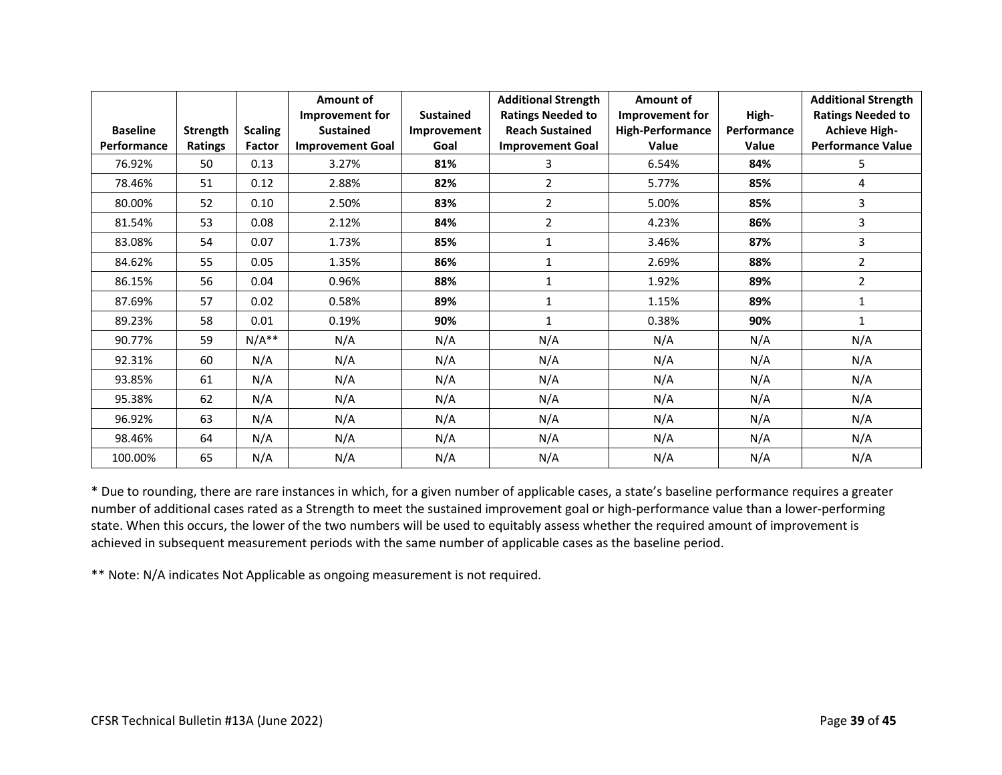|                 |                 |                | Amount of               |                  | <b>Additional Strength</b> | Amount of               |              | <b>Additional Strength</b> |
|-----------------|-----------------|----------------|-------------------------|------------------|----------------------------|-------------------------|--------------|----------------------------|
|                 |                 |                | Improvement for         | <b>Sustained</b> | <b>Ratings Needed to</b>   | Improvement for         | High-        | <b>Ratings Needed to</b>   |
| <b>Baseline</b> | <b>Strength</b> | <b>Scaling</b> | <b>Sustained</b>        | Improvement      | <b>Reach Sustained</b>     | <b>High-Performance</b> | Performance  | <b>Achieve High-</b>       |
| Performance     | <b>Ratings</b>  | Factor         | <b>Improvement Goal</b> | Goal             | <b>Improvement Goal</b>    | Value                   | <b>Value</b> | <b>Performance Value</b>   |
| 76.92%          | 50              | 0.13           | 3.27%                   | 81%              | 3                          | 6.54%                   | 84%          | 5                          |
| 78.46%          | 51              | 0.12           | 2.88%                   | 82%              | $\overline{2}$             | 5.77%                   | 85%          | 4                          |
| 80.00%          | 52              | 0.10           | 2.50%                   | 83%              | $\overline{2}$             | 5.00%                   | 85%          | 3                          |
| 81.54%          | 53              | 0.08           | 2.12%                   | 84%              | $\overline{2}$             | 4.23%                   | 86%          | 3                          |
| 83.08%          | 54              | 0.07           | 1.73%                   | 85%              | 1                          | 3.46%                   | 87%          | 3                          |
| 84.62%          | 55              | 0.05           | 1.35%                   | 86%              | $\mathbf{1}$               | 2.69%                   | 88%          | $\overline{2}$             |
| 86.15%          | 56              | 0.04           | 0.96%                   | 88%              | $\mathbf{1}$               | 1.92%                   | 89%          | $\overline{2}$             |
| 87.69%          | 57              | 0.02           | 0.58%                   | 89%              | 1                          | 1.15%                   | 89%          | 1                          |
| 89.23%          | 58              | 0.01           | 0.19%                   | 90%              | $\mathbf{1}$               | 0.38%                   | 90%          | 1                          |
| 90.77%          | 59              | $N/A**$        | N/A                     | N/A              | N/A                        | N/A                     | N/A          | N/A                        |
| 92.31%          | 60              | N/A            | N/A                     | N/A              | N/A                        | N/A                     | N/A          | N/A                        |
| 93.85%          | 61              | N/A            | N/A                     | N/A              | N/A                        | N/A                     | N/A          | N/A                        |
| 95.38%          | 62              | N/A            | N/A                     | N/A              | N/A                        | N/A                     | N/A          | N/A                        |
| 96.92%          | 63              | N/A            | N/A                     | N/A              | N/A                        | N/A                     | N/A          | N/A                        |
| 98.46%          | 64              | N/A            | N/A                     | N/A              | N/A                        | N/A                     | N/A          | N/A                        |
| 100.00%         | 65              | N/A            | N/A                     | N/A              | N/A                        | N/A                     | N/A          | N/A                        |

\* Due to rounding, there are rare instances in which, for a given number of applicable cases, a state's baseline performance requires a greater number of additional cases rated as a Strength to meet the sustained improvement goal or high-performance value than a lower-performing state. When this occurs, the lower of the two numbers will be used to equitably assess whether the required amount of improvement is achieved in subsequent measurement periods with the same number of applicable cases as the baseline period.

\*\* Note: N/A indicates Not Applicable as ongoing measurement is not required.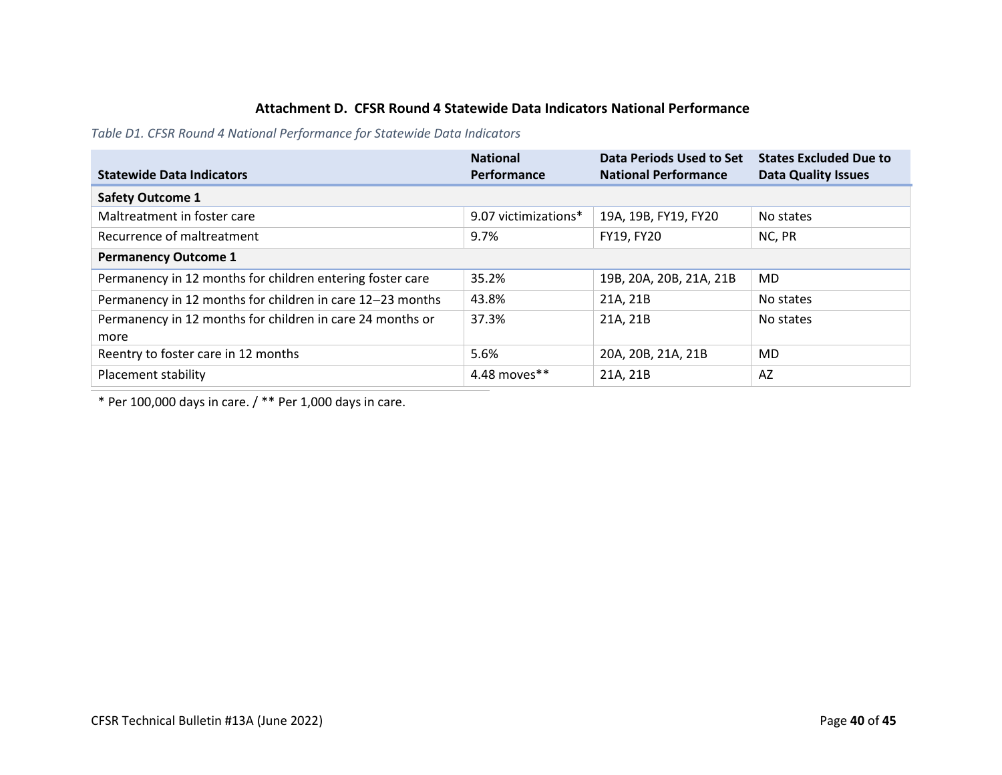# **Attachment D. CFSR Round 4 Statewide Data Indicators National Performance**

*Table D1. CFSR Round 4 National Performance for Statewide Data Indicators*

| <b>Statewide Data Indicators</b>                                  | <b>National</b><br>Performance | Data Periods Used to Set<br><b>National Performance</b> | <b>States Excluded Due to</b><br><b>Data Quality Issues</b> |
|-------------------------------------------------------------------|--------------------------------|---------------------------------------------------------|-------------------------------------------------------------|
| <b>Safety Outcome 1</b>                                           |                                |                                                         |                                                             |
| Maltreatment in foster care                                       | 9.07 victimizations*           | 19A, 19B, FY19, FY20                                    | No states                                                   |
| Recurrence of maltreatment                                        | 9.7%                           | FY19, FY20                                              | NC, PR                                                      |
| <b>Permanency Outcome 1</b>                                       |                                |                                                         |                                                             |
| Permanency in 12 months for children entering foster care         | 35.2%                          | 19B, 20A, 20B, 21A, 21B                                 | MD.                                                         |
| Permanency in 12 months for children in care 12-23 months         | 43.8%                          | 21A, 21B                                                | No states                                                   |
| Permanency in 12 months for children in care 24 months or<br>more | 37.3%                          | 21A, 21B                                                | No states                                                   |
| Reentry to foster care in 12 months                               | 5.6%                           | 20A, 20B, 21A, 21B                                      | <b>MD</b>                                                   |
| Placement stability                                               | 4.48 moves**                   | 21A, 21B                                                | AZ                                                          |

<span id="page-39-0"></span>\* Per 100,000 days in care. / \*\* Per 1,000 days in care.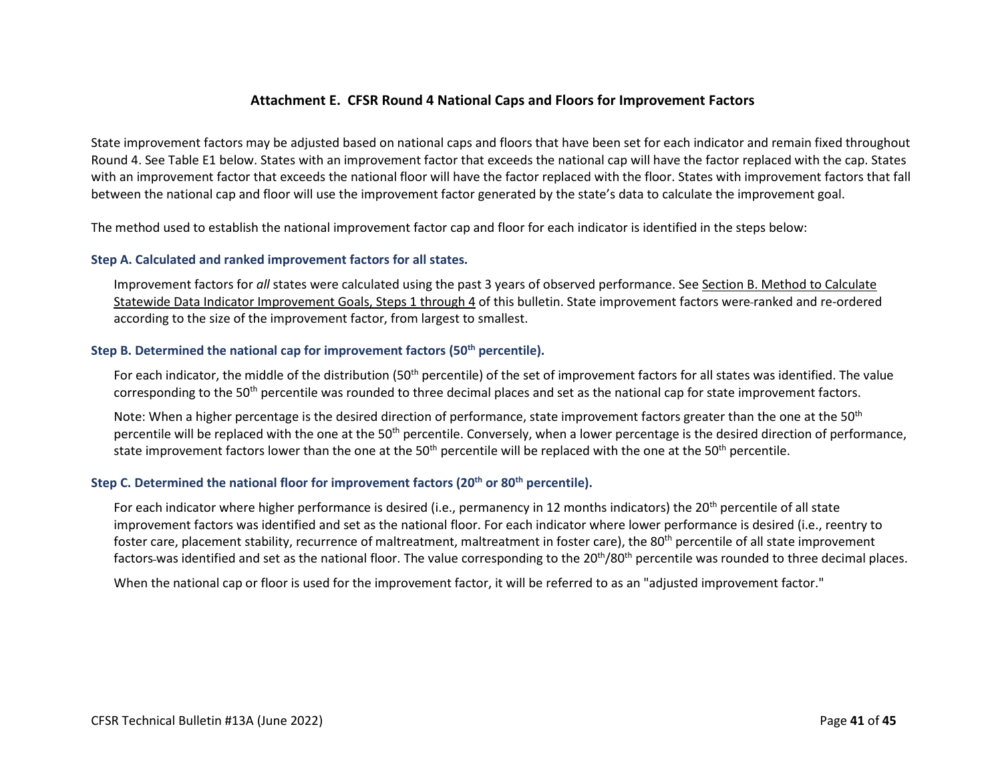## **Attachment E. CFSR Round 4 National Caps and Floors for Improvement Factors**

State improvement factors may be adjusted based on national caps and floors that have been set for each indicator and remain fixed throughout Round 4. See Table E1 below. States with an improvement factor that exceeds the national cap will have the factor replaced with the cap. States with an improvement factor that exceeds the national floor will have the factor replaced with the floor. States with improvement factors that fall between the national cap and floor will use the improvement factor generated by the state's data to calculate the improvement goal.

The method used to establish the national improvement factor cap and floor for each indicator is identified in the steps below:

#### **Step A. Calculated and ranked improvement factors for all states.**

Improvement factors for *all* states [were calculated using the past 3 years of observed performance. See Section B. Method to Calculate](#page-13-0)  Statewide Data Indicator Improvement Goals, Steps 1 through 4 of this bulletin. State improvement factors were ranked and re-ordered according to the size of the improvement factor, from largest to smallest.

#### <span id="page-40-0"></span>**Step B. Determined the national cap for improvement factors (50th percentile).**

For each indicator, the middle of the distribution (50<sup>th</sup> percentile) of the set of improvement factors for all states was identified. The value corresponding to the 50<sup>th</sup> percentile was rounded to three decimal places and set as the national cap for state improvement factors.

Note: When a higher percentage is the desired direction of performance, state improvement factors greater than the one at the 50<sup>th</sup> percentile will be replaced with the one at the 50<sup>th</sup> percentile. Conversely, when a lower percentage is the desired direction of performance, state improvement factors lower than the one at the 50<sup>th</sup> percentile will be replaced with the one at the 50<sup>th</sup> percentile.

# Step C. Determined the national floor for improvement factors (20<sup>th</sup> or 80<sup>th</sup> percentile).

For each indicator where higher performance is desired (i.e., permanency in 12 months indicators) the 20<sup>th</sup> percentile of all state improvement factors was identified and set as the national floor. For each indicator where lower performance is desired (i.e., reentry to foster care, placement stability, recurrence of maltreatment, maltreatment in foster care), the 80<sup>th</sup> percentile of all state improvement factors-was identified and set as the national floor. The value corresponding to the 20<sup>th</sup>/80<sup>th</sup> percentile was rounded to three decimal places.

When the national cap or floor is used for the improvement factor, it will be referred to as an "adjusted improvement factor."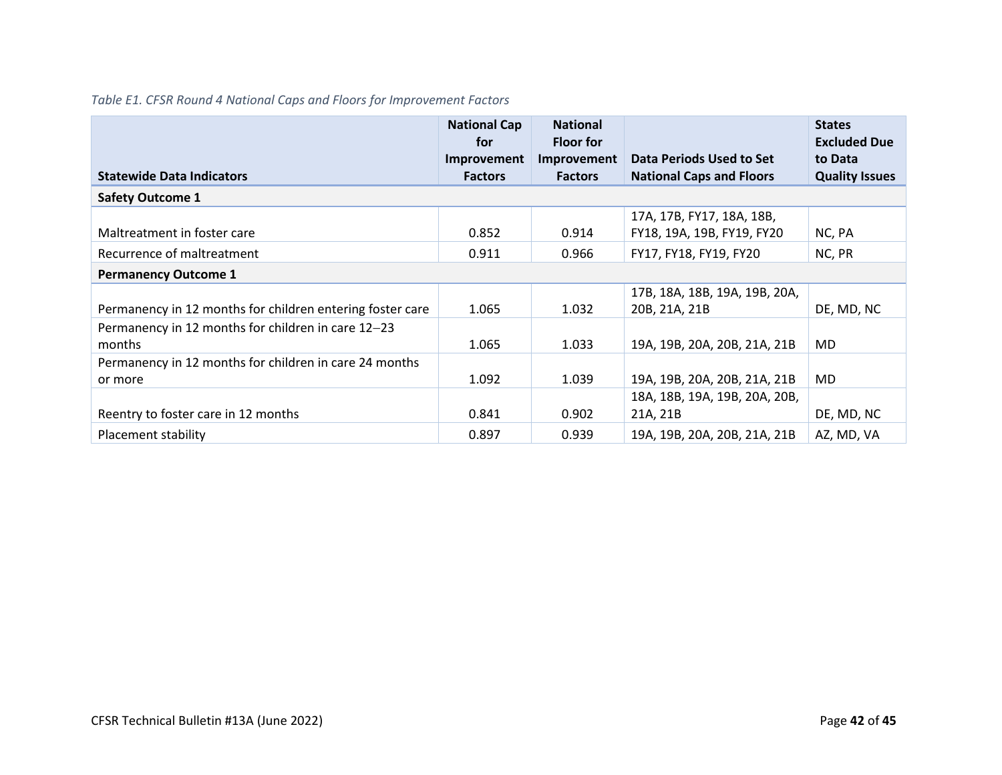# *Table E1. CFSR Round 4 National Caps and Floors for Improvement Factors*

|                                                           | <b>National Cap</b><br>for | <b>National</b><br><b>Floor for</b> |                                 | <b>States</b><br><b>Excluded Due</b> |
|-----------------------------------------------------------|----------------------------|-------------------------------------|---------------------------------|--------------------------------------|
|                                                           | Improvement                | Improvement                         | Data Periods Used to Set        | to Data                              |
| <b>Statewide Data Indicators</b>                          | <b>Factors</b>             | <b>Factors</b>                      | <b>National Caps and Floors</b> | <b>Quality Issues</b>                |
| <b>Safety Outcome 1</b>                                   |                            |                                     |                                 |                                      |
|                                                           |                            |                                     | 17A, 17B, FY17, 18A, 18B,       |                                      |
| Maltreatment in foster care                               | 0.852                      | 0.914                               | FY18, 19A, 19B, FY19, FY20      | NC, PA                               |
| Recurrence of maltreatment                                | 0.911                      | 0.966                               | FY17, FY18, FY19, FY20          | NC, PR                               |
| <b>Permanency Outcome 1</b>                               |                            |                                     |                                 |                                      |
|                                                           |                            |                                     | 17B, 18A, 18B, 19A, 19B, 20A,   |                                      |
| Permanency in 12 months for children entering foster care | 1.065                      | 1.032                               | 20B, 21A, 21B                   | DE, MD, NC                           |
| Permanency in 12 months for children in care 12-23        |                            |                                     |                                 |                                      |
| months                                                    | 1.065                      | 1.033                               | 19A, 19B, 20A, 20B, 21A, 21B    | MD.                                  |
| Permanency in 12 months for children in care 24 months    |                            |                                     |                                 |                                      |
| or more                                                   | 1.092                      | 1.039                               | 19A, 19B, 20A, 20B, 21A, 21B    | MD.                                  |
|                                                           |                            |                                     | 18A, 18B, 19A, 19B, 20A, 20B,   |                                      |
| Reentry to foster care in 12 months                       | 0.841                      | 0.902                               | 21A, 21B                        | DE, MD, NC                           |
| Placement stability                                       | 0.897                      | 0.939                               | 19A. 19B. 20A. 20B. 21A. 21B    | AZ, MD, VA                           |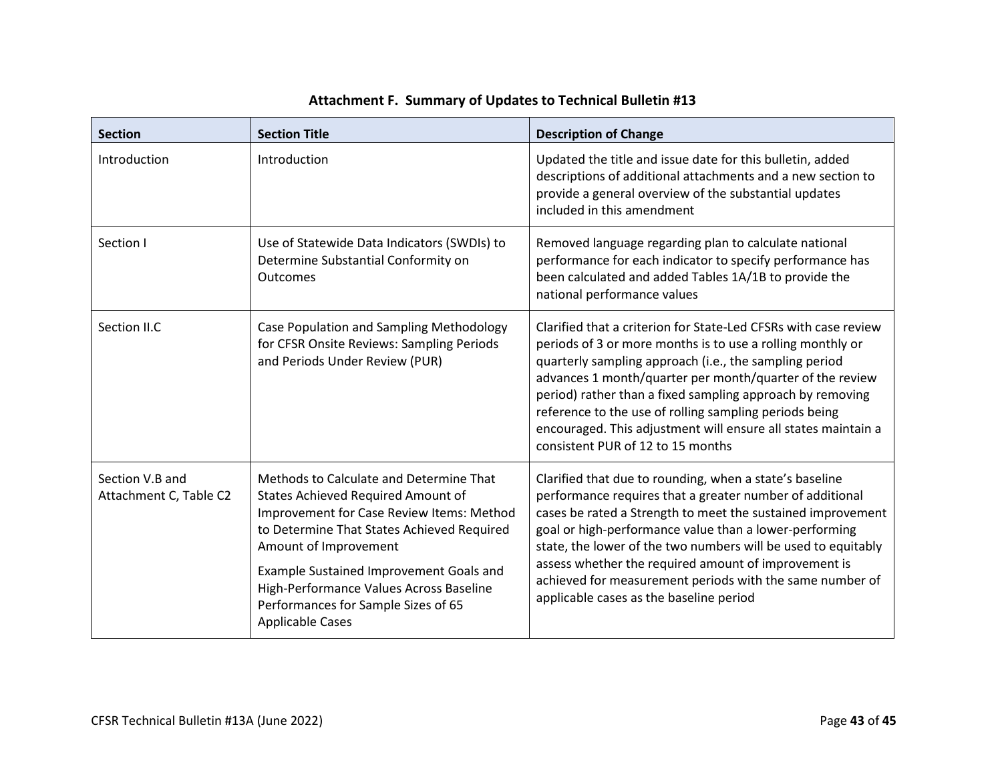| <b>Section</b>                            | <b>Section Title</b>                                                                                                                                                                                                                                                                                                                                             | <b>Description of Change</b>                                                                                                                                                                                                                                                                                                                                                                                                                                                     |
|-------------------------------------------|------------------------------------------------------------------------------------------------------------------------------------------------------------------------------------------------------------------------------------------------------------------------------------------------------------------------------------------------------------------|----------------------------------------------------------------------------------------------------------------------------------------------------------------------------------------------------------------------------------------------------------------------------------------------------------------------------------------------------------------------------------------------------------------------------------------------------------------------------------|
| Introduction                              | Introduction                                                                                                                                                                                                                                                                                                                                                     | Updated the title and issue date for this bulletin, added<br>descriptions of additional attachments and a new section to<br>provide a general overview of the substantial updates<br>included in this amendment                                                                                                                                                                                                                                                                  |
| Section I                                 | Use of Statewide Data Indicators (SWDIs) to<br>Determine Substantial Conformity on<br><b>Outcomes</b>                                                                                                                                                                                                                                                            | Removed language regarding plan to calculate national<br>performance for each indicator to specify performance has<br>been calculated and added Tables 1A/1B to provide the<br>national performance values                                                                                                                                                                                                                                                                       |
| Section II.C                              | Case Population and Sampling Methodology<br>for CFSR Onsite Reviews: Sampling Periods<br>and Periods Under Review (PUR)                                                                                                                                                                                                                                          | Clarified that a criterion for State-Led CFSRs with case review<br>periods of 3 or more months is to use a rolling monthly or<br>quarterly sampling approach (i.e., the sampling period<br>advances 1 month/quarter per month/quarter of the review<br>period) rather than a fixed sampling approach by removing<br>reference to the use of rolling sampling periods being<br>encouraged. This adjustment will ensure all states maintain a<br>consistent PUR of 12 to 15 months |
| Section V.B and<br>Attachment C, Table C2 | Methods to Calculate and Determine That<br><b>States Achieved Required Amount of</b><br>Improvement for Case Review Items: Method<br>to Determine That States Achieved Required<br>Amount of Improvement<br>Example Sustained Improvement Goals and<br>High-Performance Values Across Baseline<br>Performances for Sample Sizes of 65<br><b>Applicable Cases</b> | Clarified that due to rounding, when a state's baseline<br>performance requires that a greater number of additional<br>cases be rated a Strength to meet the sustained improvement<br>goal or high-performance value than a lower-performing<br>state, the lower of the two numbers will be used to equitably<br>assess whether the required amount of improvement is<br>achieved for measurement periods with the same number of<br>applicable cases as the baseline period     |

# **Attachment F. Summary of Updates to Technical Bulletin #13**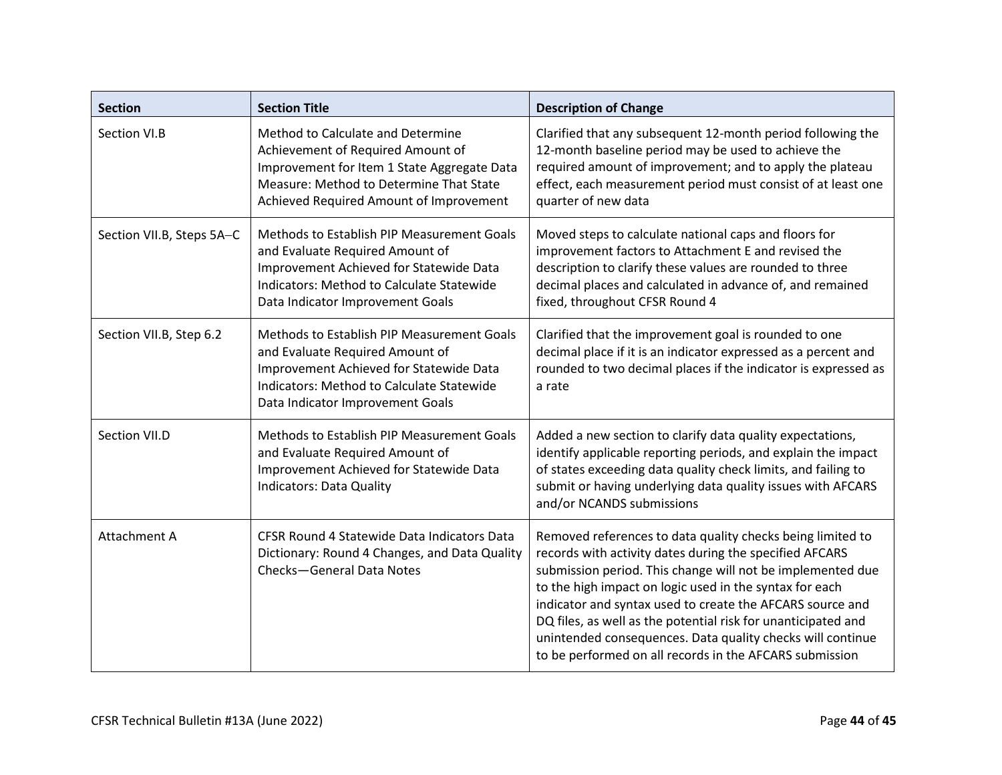| <b>Section</b>            | <b>Section Title</b>                                                                                                                                                                                             | <b>Description of Change</b>                                                                                                                                                                                                                                                                                                                                                                                                                                                                          |
|---------------------------|------------------------------------------------------------------------------------------------------------------------------------------------------------------------------------------------------------------|-------------------------------------------------------------------------------------------------------------------------------------------------------------------------------------------------------------------------------------------------------------------------------------------------------------------------------------------------------------------------------------------------------------------------------------------------------------------------------------------------------|
| Section VI.B              | Method to Calculate and Determine<br>Achievement of Required Amount of<br>Improvement for Item 1 State Aggregate Data<br>Measure: Method to Determine That State<br>Achieved Required Amount of Improvement      | Clarified that any subsequent 12-month period following the<br>12-month baseline period may be used to achieve the<br>required amount of improvement; and to apply the plateau<br>effect, each measurement period must consist of at least one<br>quarter of new data                                                                                                                                                                                                                                 |
| Section VII.B, Steps 5A-C | Methods to Establish PIP Measurement Goals<br>and Evaluate Required Amount of<br>Improvement Achieved for Statewide Data<br><b>Indicators: Method to Calculate Statewide</b><br>Data Indicator Improvement Goals | Moved steps to calculate national caps and floors for<br>improvement factors to Attachment E and revised the<br>description to clarify these values are rounded to three<br>decimal places and calculated in advance of, and remained<br>fixed, throughout CFSR Round 4                                                                                                                                                                                                                               |
| Section VII.B, Step 6.2   | Methods to Establish PIP Measurement Goals<br>and Evaluate Required Amount of<br>Improvement Achieved for Statewide Data<br>Indicators: Method to Calculate Statewide<br>Data Indicator Improvement Goals        | Clarified that the improvement goal is rounded to one<br>decimal place if it is an indicator expressed as a percent and<br>rounded to two decimal places if the indicator is expressed as<br>a rate                                                                                                                                                                                                                                                                                                   |
| Section VII.D             | Methods to Establish PIP Measurement Goals<br>and Evaluate Required Amount of<br>Improvement Achieved for Statewide Data<br><b>Indicators: Data Quality</b>                                                      | Added a new section to clarify data quality expectations,<br>identify applicable reporting periods, and explain the impact<br>of states exceeding data quality check limits, and failing to<br>submit or having underlying data quality issues with AFCARS<br>and/or NCANDS submissions                                                                                                                                                                                                               |
| <b>Attachment A</b>       | CFSR Round 4 Statewide Data Indicators Data<br>Dictionary: Round 4 Changes, and Data Quality<br>Checks-General Data Notes                                                                                        | Removed references to data quality checks being limited to<br>records with activity dates during the specified AFCARS<br>submission period. This change will not be implemented due<br>to the high impact on logic used in the syntax for each<br>indicator and syntax used to create the AFCARS source and<br>DQ files, as well as the potential risk for unanticipated and<br>unintended consequences. Data quality checks will continue<br>to be performed on all records in the AFCARS submission |